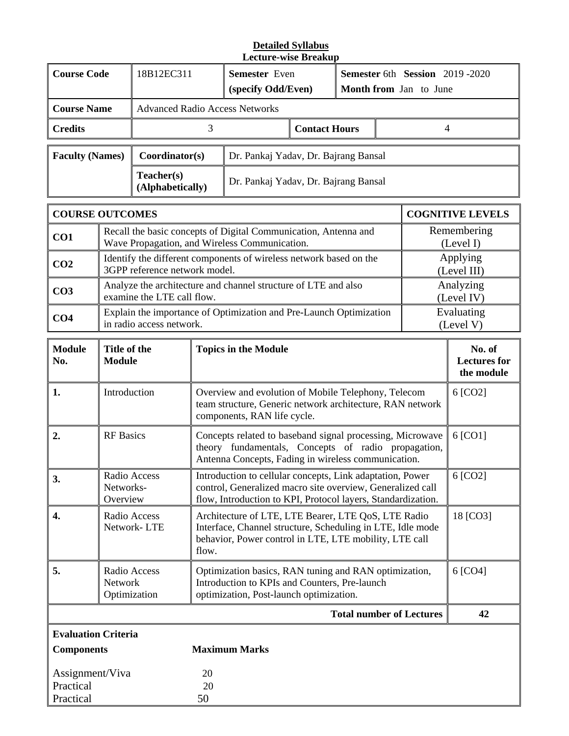| <b>Course Code</b>                                                                           |                                                                                                | 18B12EC311                                                                                                                                                                                  |                                       | <b>Semester</b> Even<br>(specify Odd/Even)                                                                                                                                              |                      | Semester 6th Session 2019-2020<br>Month from Jan to June |                         |                                             |                          |
|----------------------------------------------------------------------------------------------|------------------------------------------------------------------------------------------------|---------------------------------------------------------------------------------------------------------------------------------------------------------------------------------------------|---------------------------------------|-----------------------------------------------------------------------------------------------------------------------------------------------------------------------------------------|----------------------|----------------------------------------------------------|-------------------------|---------------------------------------------|--------------------------|
| <b>Course Name</b>                                                                           |                                                                                                |                                                                                                                                                                                             | <b>Advanced Radio Access Networks</b> |                                                                                                                                                                                         |                      |                                                          |                         |                                             |                          |
| <b>Credits</b>                                                                               |                                                                                                |                                                                                                                                                                                             | 3                                     |                                                                                                                                                                                         | <b>Contact Hours</b> |                                                          |                         | 4                                           |                          |
| <b>Faculty (Names)</b>                                                                       |                                                                                                | Coordinator(s)                                                                                                                                                                              |                                       | Dr. Pankaj Yadav, Dr. Bajrang Bansal                                                                                                                                                    |                      |                                                          |                         |                                             |                          |
| Teacher(s)<br>(Alphabetically)                                                               |                                                                                                |                                                                                                                                                                                             |                                       | Dr. Pankaj Yadav, Dr. Bajrang Bansal                                                                                                                                                    |                      |                                                          |                         |                                             |                          |
| <b>COURSE OUTCOMES</b><br><b>COGNITIVE LEVELS</b>                                            |                                                                                                |                                                                                                                                                                                             |                                       |                                                                                                                                                                                         |                      |                                                          |                         |                                             |                          |
| CO1                                                                                          |                                                                                                |                                                                                                                                                                                             |                                       | Recall the basic concepts of Digital Communication, Antenna and<br>Wave Propagation, and Wireless Communication.                                                                        |                      |                                                          |                         |                                             | Remembering<br>(Level I) |
| CO <sub>2</sub>                                                                              |                                                                                                | 3GPP reference network model.                                                                                                                                                               |                                       | Identify the different components of wireless network based on the                                                                                                                      |                      |                                                          |                         |                                             | Applying<br>(Level III)  |
| CO <sub>3</sub>                                                                              |                                                                                                | examine the LTE call flow.                                                                                                                                                                  |                                       | Analyze the architecture and channel structure of LTE and also                                                                                                                          |                      |                                                          |                         |                                             | Analyzing<br>(Level IV)  |
| CO <sub>4</sub>                                                                              | Explain the importance of Optimization and Pre-Launch Optimization<br>in radio access network. |                                                                                                                                                                                             |                                       |                                                                                                                                                                                         |                      |                                                          | Evaluating<br>(Level V) |                                             |                          |
| <b>Module</b><br>No.                                                                         | Title of the<br><b>Topics in the Module</b><br><b>Module</b>                                   |                                                                                                                                                                                             |                                       |                                                                                                                                                                                         |                      |                                                          |                         | No. of<br><b>Lectures for</b><br>the module |                          |
| 1.                                                                                           |                                                                                                | Introduction                                                                                                                                                                                |                                       | Overview and evolution of Mobile Telephony, Telecom<br>team structure, Generic network architecture, RAN network<br>components, RAN life cycle.                                         |                      |                                                          |                         | 6 [CO2]                                     |                          |
| 2.                                                                                           |                                                                                                | <b>RF</b> Basics<br>Concepts related to baseband signal processing, Microwave<br>theory fundamentals, Concepts of radio propagation,<br>Antenna Concepts, Fading in wireless communication. |                                       |                                                                                                                                                                                         |                      | 6 [CO1]                                                  |                         |                                             |                          |
| 3.                                                                                           | Networks-<br>Overview                                                                          | Radio Access                                                                                                                                                                                |                                       | Introduction to cellular concepts, Link adaptation, Power<br>control, Generalized macro site overview, Generalized call<br>flow, Introduction to KPI, Protocol layers, Standardization. |                      |                                                          |                         |                                             | 6 [CO2]                  |
| 4.                                                                                           |                                                                                                | Radio Access<br>Network-LTE<br>flow.                                                                                                                                                        |                                       | Architecture of LTE, LTE Bearer, LTE QoS, LTE Radio<br>Interface, Channel structure, Scheduling in LTE, Idle mode<br>behavior, Power control in LTE, LTE mobility, LTE call             |                      |                                                          | 18 [CO3]                |                                             |                          |
| 5.                                                                                           | Network<br>Optimization                                                                        | Radio Access                                                                                                                                                                                |                                       | Optimization basics, RAN tuning and RAN optimization,<br>Introduction to KPIs and Counters, Pre-launch<br>optimization, Post-launch optimization.                                       |                      |                                                          | 6 [CO4]                 |                                             |                          |
|                                                                                              |                                                                                                |                                                                                                                                                                                             |                                       |                                                                                                                                                                                         |                      |                                                          |                         | <b>Total number of Lectures</b>             | 42                       |
| <b>Evaluation Criteria</b><br><b>Components</b><br>Assignment/Viva<br>Practical<br>Practical |                                                                                                |                                                                                                                                                                                             | 20<br>20<br>50                        | <b>Maximum Marks</b>                                                                                                                                                                    |                      |                                                          |                         |                                             |                          |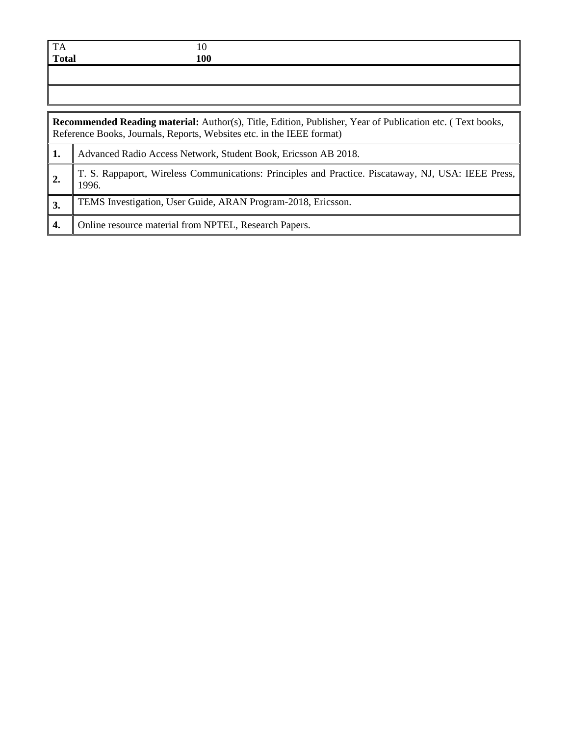| TA           | 10  |
|--------------|-----|
| <b>Total</b> | 100 |
|              |     |
|              |     |

|                  | <b>Recommended Reading material:</b> Author(s), Title, Edition, Publisher, Year of Publication etc. (Text books,<br>Reference Books, Journals, Reports, Websites etc. in the IEEE format) |  |  |  |  |  |
|------------------|-------------------------------------------------------------------------------------------------------------------------------------------------------------------------------------------|--|--|--|--|--|
| 1.               | Advanced Radio Access Network, Student Book, Ericsson AB 2018.                                                                                                                            |  |  |  |  |  |
| $\overline{2}$ . | T. S. Rappaport, Wireless Communications: Principles and Practice. Piscataway, NJ, USA: IEEE Press,<br>1996.                                                                              |  |  |  |  |  |
| 3.               | TEMS Investigation, User Guide, ARAN Program-2018, Ericsson.                                                                                                                              |  |  |  |  |  |
| 4.               | Online resource material from NPTEL, Research Papers.                                                                                                                                     |  |  |  |  |  |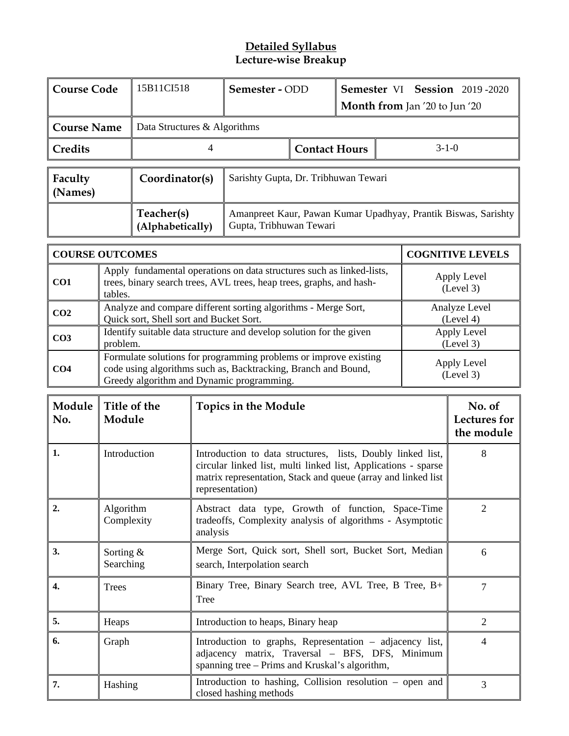| <b>Course Code</b>     |                          | 15B11CI518                                                                                                                                                                                                                        |                              | Semester - ODD                                                                                                                                                |                      | <b>Semester VI Session 2019-2020</b><br><b>Month from</b> Jan '20 to Jun '20 |  |             |                            |
|------------------------|--------------------------|-----------------------------------------------------------------------------------------------------------------------------------------------------------------------------------------------------------------------------------|------------------------------|---------------------------------------------------------------------------------------------------------------------------------------------------------------|----------------------|------------------------------------------------------------------------------|--|-------------|----------------------------|
| <b>Course Name</b>     |                          |                                                                                                                                                                                                                                   | Data Structures & Algorithms |                                                                                                                                                               |                      |                                                                              |  |             |                            |
| <b>Credits</b>         |                          |                                                                                                                                                                                                                                   | 4                            |                                                                                                                                                               | <b>Contact Hours</b> |                                                                              |  | $3 - 1 - 0$ |                            |
| Faculty<br>(Names)     |                          | Coordinator(s)                                                                                                                                                                                                                    |                              | Sarishty Gupta, Dr. Tribhuwan Tewari                                                                                                                          |                      |                                                                              |  |             |                            |
|                        |                          | Teacher(s)<br>(Alphabetically)                                                                                                                                                                                                    |                              | Amanpreet Kaur, Pawan Kumar Upadhyay, Prantik Biswas, Sarishty<br>Gupta, Tribhuwan Tewari                                                                     |                      |                                                                              |  |             |                            |
| <b>COURSE OUTCOMES</b> |                          |                                                                                                                                                                                                                                   |                              |                                                                                                                                                               |                      |                                                                              |  |             | <b>COGNITIVE LEVELS</b>    |
| CO <sub>1</sub>        | tables.                  |                                                                                                                                                                                                                                   |                              | Apply fundamental operations on data structures such as linked-lists,<br>trees, binary search trees, AVL trees, heap trees, graphs, and hash-                 |                      |                                                                              |  |             | Apply Level<br>(Level 3)   |
| CO <sub>2</sub>        |                          | Quick sort, Shell sort and Bucket Sort.                                                                                                                                                                                           |                              | Analyze and compare different sorting algorithms - Merge Sort,                                                                                                |                      |                                                                              |  |             | Analyze Level<br>(Level 4) |
| CO <sub>3</sub>        | problem.                 |                                                                                                                                                                                                                                   |                              | Identify suitable data structure and develop solution for the given                                                                                           |                      |                                                                              |  |             | Apply Level<br>(Level 3)   |
| CO <sub>4</sub>        |                          | Formulate solutions for programming problems or improve existing<br>Apply Level<br>code using algorithms such as, Backtracking, Branch and Bound,<br>(Level 3)<br>Greedy algorithm and Dynamic programming.                       |                              |                                                                                                                                                               |                      |                                                                              |  |             |                            |
| Module<br>No.          |                          | Title of the<br><b>Topics in the Module</b><br>Module                                                                                                                                                                             |                              |                                                                                                                                                               |                      | No. of<br><b>Lectures</b> for<br>the module                                  |  |             |                            |
| 1.                     |                          | Introduction<br>Introduction to data structures, lists, Doubly linked list,<br>circular linked list, multi linked list, Applications - sparse<br>matrix representation, Stack and queue (array and linked list<br>representation) |                              |                                                                                                                                                               |                      | 8                                                                            |  |             |                            |
| 2.                     |                          | Algorithm<br>Abstract data type, Growth of function, Space-Time<br>tradeoffs, Complexity analysis of algorithms - Asymptotic<br>Complexity<br>analysis                                                                            |                              |                                                                                                                                                               |                      | $\overline{2}$                                                               |  |             |                            |
| 3.                     | Sorting $&$<br>Searching |                                                                                                                                                                                                                                   |                              | Merge Sort, Quick sort, Shell sort, Bucket Sort, Median<br>search, Interpolation search                                                                       |                      |                                                                              |  |             | 6                          |
| 4.                     | <b>Trees</b>             | Binary Tree, Binary Search tree, AVL Tree, B Tree, B+<br>Tree                                                                                                                                                                     |                              |                                                                                                                                                               |                      |                                                                              |  | $\tau$      |                            |
| 5.                     | Heaps                    |                                                                                                                                                                                                                                   |                              | Introduction to heaps, Binary heap                                                                                                                            |                      |                                                                              |  |             | $\overline{2}$             |
| 6.                     | Graph                    |                                                                                                                                                                                                                                   |                              | Introduction to graphs, Representation – adjacency list,<br>adjacency matrix, Traversal - BFS, DFS, Minimum<br>spanning tree – Prims and Kruskal's algorithm, |                      |                                                                              |  |             | $\overline{4}$             |
| 7.                     | Hashing                  |                                                                                                                                                                                                                                   |                              | Introduction to hashing, Collision resolution – open and<br>closed hashing methods                                                                            |                      |                                                                              |  |             | 3                          |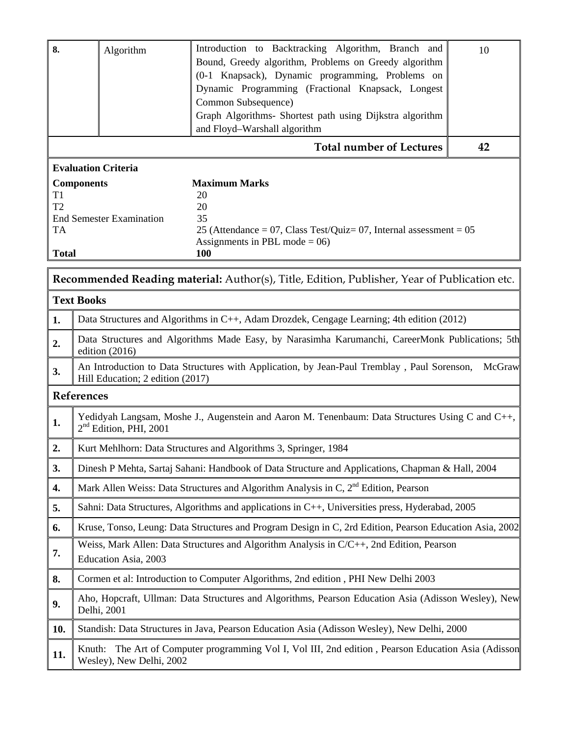| 8.                                                | Algorithm                                                                                                         | Introduction to Backtracking Algorithm, Branch and<br>Bound, Greedy algorithm, Problems on Greedy algorithm<br>(0-1 Knapsack), Dynamic programming, Problems on<br>Dynamic Programming (Fractional Knapsack, Longest<br>Common Subsequence)<br>Graph Algorithms- Shortest path using Dijkstra algorithm<br>and Floyd-Warshall algorithm | 10     |  |  |  |  |
|---------------------------------------------------|-------------------------------------------------------------------------------------------------------------------|-----------------------------------------------------------------------------------------------------------------------------------------------------------------------------------------------------------------------------------------------------------------------------------------------------------------------------------------|--------|--|--|--|--|
|                                                   |                                                                                                                   | <b>Total number of Lectures</b>                                                                                                                                                                                                                                                                                                         | 42     |  |  |  |  |
|                                                   | <b>Evaluation Criteria</b>                                                                                        |                                                                                                                                                                                                                                                                                                                                         |        |  |  |  |  |
| T1<br>T <sub>2</sub><br><b>TA</b><br><b>Total</b> | <b>Components</b><br><b>End Semester Examination</b>                                                              | <b>Maximum Marks</b><br>20<br>20<br>35<br>25 (Attendance = $07$ , Class Test/Quiz= $07$ , Internal assessment = $05$<br>Assignments in PBL mode = $06$ )<br><b>100</b>                                                                                                                                                                  |        |  |  |  |  |
|                                                   |                                                                                                                   | Recommended Reading material: Author(s), Title, Edition, Publisher, Year of Publication etc.                                                                                                                                                                                                                                            |        |  |  |  |  |
|                                                   | <b>Text Books</b>                                                                                                 |                                                                                                                                                                                                                                                                                                                                         |        |  |  |  |  |
| 1.                                                | Data Structures and Algorithms in C++, Adam Drozdek, Cengage Learning; 4th edition (2012)                         |                                                                                                                                                                                                                                                                                                                                         |        |  |  |  |  |
| 2.                                                | Data Structures and Algorithms Made Easy, by Narasimha Karumanchi, CareerMonk Publications; 5th<br>edition (2016) |                                                                                                                                                                                                                                                                                                                                         |        |  |  |  |  |
| 3.                                                | Hill Education; 2 edition (2017)                                                                                  | An Introduction to Data Structures with Application, by Jean-Paul Tremblay, Paul Sorenson,                                                                                                                                                                                                                                              | McGraw |  |  |  |  |
|                                                   | References                                                                                                        |                                                                                                                                                                                                                                                                                                                                         |        |  |  |  |  |
| 1.                                                | 2 <sup>nd</sup> Edition, PHI, 2001                                                                                | Yedidyah Langsam, Moshe J., Augenstein and Aaron M. Tenenbaum: Data Structures Using C and C++,                                                                                                                                                                                                                                         |        |  |  |  |  |
| <sup>2</sup>                                      |                                                                                                                   | Kurt Mehlhorn: Data Structures and Algorithms 3, Springer, 1984                                                                                                                                                                                                                                                                         |        |  |  |  |  |
| 3.                                                |                                                                                                                   | Dinesh P Mehta, Sartaj Sahani: Handbook of Data Structure and Applications, Chapman & Hall, 2004                                                                                                                                                                                                                                        |        |  |  |  |  |
| 4.                                                |                                                                                                                   | Mark Allen Weiss: Data Structures and Algorithm Analysis in C, $2nd$ Edition, Pearson                                                                                                                                                                                                                                                   |        |  |  |  |  |
| 5.                                                |                                                                                                                   | Sahni: Data Structures, Algorithms and applications in C++, Universities press, Hyderabad, 2005                                                                                                                                                                                                                                         |        |  |  |  |  |
| 6.                                                |                                                                                                                   | Kruse, Tonso, Leung: Data Structures and Program Design in C, 2rd Edition, Pearson Education Asia, 2002                                                                                                                                                                                                                                 |        |  |  |  |  |
| 7.                                                | Education Asia, 2003                                                                                              | Weiss, Mark Allen: Data Structures and Algorithm Analysis in C/C++, 2nd Edition, Pearson                                                                                                                                                                                                                                                |        |  |  |  |  |
| 8.                                                |                                                                                                                   | Cormen et al: Introduction to Computer Algorithms, 2nd edition, PHI New Delhi 2003                                                                                                                                                                                                                                                      |        |  |  |  |  |
|                                                   | Abo, Honoraft Illman: Data Structures and Algorithms, Bearson Education Asia (Adisson Wesley), New                |                                                                                                                                                                                                                                                                                                                                         |        |  |  |  |  |

**9.** Aho, Hopcraft, Ullman: Data Structures and Algorithms, Pearson Education Asia (Adisson Wesley), New Delhi, 2001

**10.** Standish: Data Structures in Java, Pearson Education Asia (Adisson Wesley), New Delhi, 2000

**11.** Knuth: The Art of Computer programming Vol I, Vol III, 2nd edition , Pearson Education Asia (Adisson Wesley), New Delhi, 2002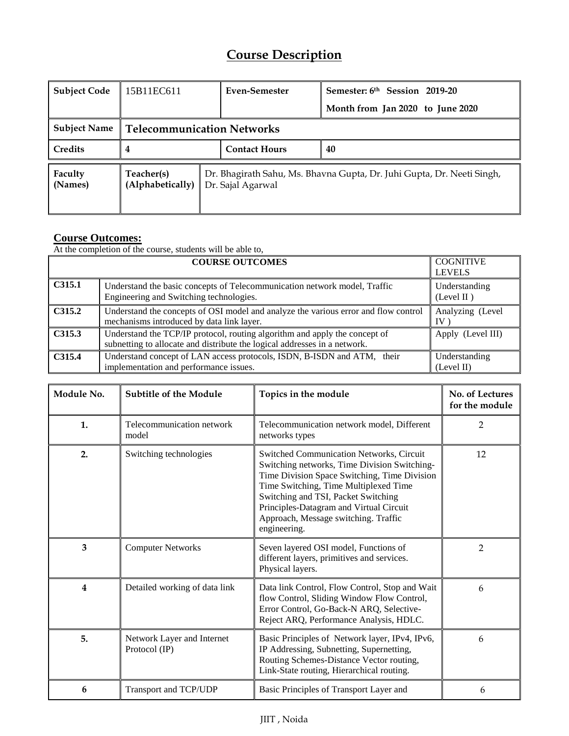# **Course Description**

| <b>Subject Code</b> | 15B11EC611                        |  | Even-Semester        | Semester: 6 <sup>th</sup> Session 2019-20                              |
|---------------------|-----------------------------------|--|----------------------|------------------------------------------------------------------------|
|                     |                                   |  |                      | Month from Jan 2020 to June 2020                                       |
| <b>Subject Name</b> | <b>Telecommunication Networks</b> |  |                      |                                                                        |
| Credits             | 4                                 |  | <b>Contact Hours</b> | 40                                                                     |
| Faculty<br>(Names)  | Teacher(s)<br>(Alphabetically)    |  | Dr. Sajal Agarwal    | Dr. Bhagirath Sahu, Ms. Bhavna Gupta, Dr. Juhi Gupta, Dr. Neeti Singh, |

## **Course Outcomes:**

At the completion of the course, students will be able to,

|                    | <b>COURSE OUTCOMES</b>                                                                                                                                  | <b>COGNITIVE</b><br><b>LEVELS</b> |
|--------------------|---------------------------------------------------------------------------------------------------------------------------------------------------------|-----------------------------------|
| C <sub>315.1</sub> | Understand the basic concepts of Telecommunication network model, Traffic<br>Engineering and Switching technologies.                                    | Understanding<br>(Level II)       |
| C <sub>315.2</sub> | Understand the concepts of OSI model and analyze the various error and flow control<br>mechanisms introduced by data link layer.                        | Analyzing (Level<br>IV            |
| C <sub>315.3</sub> | Understand the TCP/IP protocol, routing algorithm and apply the concept of<br>subnetting to allocate and distribute the logical addresses in a network. | Apply (Level III)                 |
| C <sub>315.4</sub> | Understand concept of LAN access protocols, ISDN, B-ISDN and ATM, their<br>implementation and performance issues.                                       | Understanding<br>(Level II)       |

| Module No. | <b>Subtitle of the Module</b>               | Topics in the module                                                                                                                                                                                                                                                                                                        | No. of Lectures<br>for the module |
|------------|---------------------------------------------|-----------------------------------------------------------------------------------------------------------------------------------------------------------------------------------------------------------------------------------------------------------------------------------------------------------------------------|-----------------------------------|
| 1.         | Telecommunication network<br>model          | Telecommunication network model, Different<br>networks types                                                                                                                                                                                                                                                                | $\overline{2}$                    |
| 2.         | Switching technologies                      | Switched Communication Networks, Circuit<br>Switching networks, Time Division Switching-<br>Time Division Space Switching, Time Division<br>Time Switching, Time Multiplexed Time<br>Switching and TSI, Packet Switching<br>Principles-Datagram and Virtual Circuit<br>Approach, Message switching. Traffic<br>engineering. | 12                                |
| 3          | <b>Computer Networks</b>                    | Seven layered OSI model, Functions of<br>different layers, primitives and services.<br>Physical layers.                                                                                                                                                                                                                     | 2                                 |
| 4          | Detailed working of data link               | Data link Control, Flow Control, Stop and Wait<br>flow Control, Sliding Window Flow Control,<br>Error Control, Go-Back-N ARQ, Selective-<br>Reject ARQ, Performance Analysis, HDLC.                                                                                                                                         | 6                                 |
| 5.         | Network Layer and Internet<br>Protocol (IP) | Basic Principles of Network layer, IPv4, IPv6,<br>IP Addressing, Subnetting, Supernetting,<br>Routing Schemes-Distance Vector routing,<br>Link-State routing, Hierarchical routing.                                                                                                                                         | 6                                 |
| 6          | Transport and TCP/UDP                       | Basic Principles of Transport Layer and                                                                                                                                                                                                                                                                                     | 6                                 |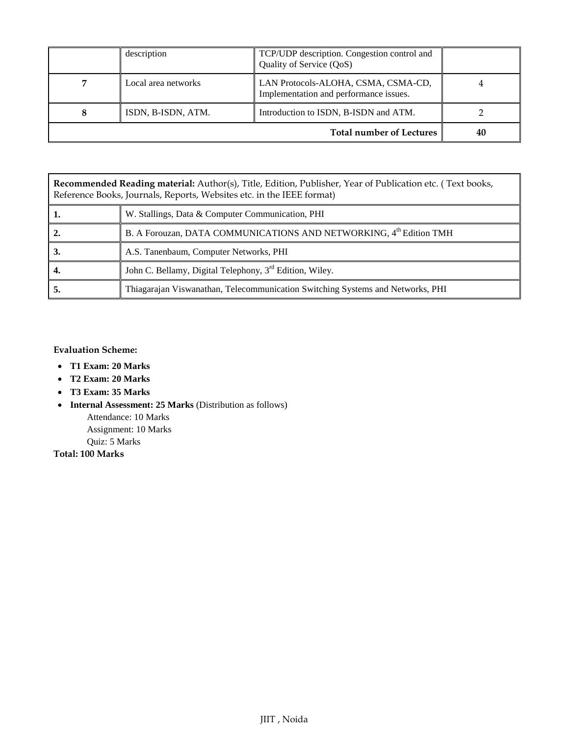|  | description         | TCP/UDP description. Congestion control and<br>Quality of Service (QoS)       |  |
|--|---------------------|-------------------------------------------------------------------------------|--|
|  | Local area networks | LAN Protocols-ALOHA, CSMA, CSMA-CD,<br>Implementation and performance issues. |  |
|  | ISDN, B-ISDN, ATM.  | Introduction to ISDN, B-ISDN and ATM.                                         |  |
|  | 40                  |                                                                               |  |

**Recommended Reading material:** Author(s), Title, Edition, Publisher, Year of Publication etc. ( Text books, Reference Books, Journals, Reports, Websites etc. in the IEEE format)

|    | W. Stallings, Data & Computer Communication, PHI                               |
|----|--------------------------------------------------------------------------------|
| 2. | B. A Forouzan, DATA COMMUNICATIONS AND NETWORKING, 4th Edition TMH             |
| 3. | A.S. Tanenbaum, Computer Networks, PHI                                         |
| 4. | John C. Bellamy, Digital Telephony, 3 <sup>rd</sup> Edition, Wiley.            |
|    | Thiagarajan Viswanathan, Telecommunication Switching Systems and Networks, PHI |

**Evaluation Scheme:**

- **T1 Exam: 20 Marks**
- **T2 Exam: 20 Marks**
- **T3 Exam: 35 Marks**
- **Internal Assessment: 25 Marks** (Distribution as follows)

Attendance: 10 Marks

Assignment: 10 Marks Quiz: 5 Marks

**Total: 100 Marks**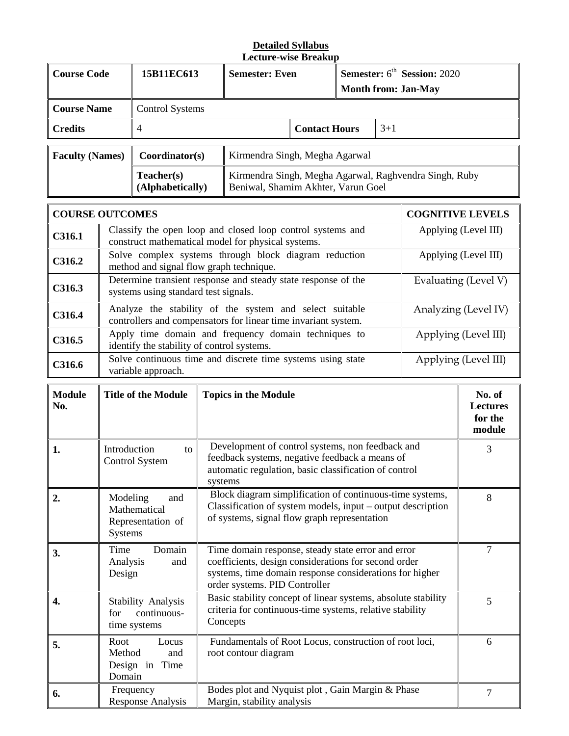| <b>Course Code</b>                           |                            | 15B11EC613                                                                        |  | <b>Semester: Even</b>                                                                                                                                                                                  |                      |  |         | Semester: 6 <sup>th</sup> Session: 2020<br><b>Month from: Jan-May</b> |                                      |
|----------------------------------------------|----------------------------|-----------------------------------------------------------------------------------|--|--------------------------------------------------------------------------------------------------------------------------------------------------------------------------------------------------------|----------------------|--|---------|-----------------------------------------------------------------------|--------------------------------------|
| <b>Control Systems</b><br><b>Course Name</b> |                            |                                                                                   |  |                                                                                                                                                                                                        |                      |  |         |                                                                       |                                      |
| $\overline{4}$<br><b>Credits</b>             |                            |                                                                                   |  |                                                                                                                                                                                                        | <b>Contact Hours</b> |  | $3 + 1$ |                                                                       |                                      |
| <b>Faculty (Names)</b><br>Coordinator(s)     |                            |                                                                                   |  | Kirmendra Singh, Megha Agarwal                                                                                                                                                                         |                      |  |         |                                                                       |                                      |
| Teacher(s)<br>(Alphabetically)               |                            |                                                                                   |  | Kirmendra Singh, Megha Agarwal, Raghvendra Singh, Ruby<br>Beniwal, Shamim Akhter, Varun Goel                                                                                                           |                      |  |         |                                                                       |                                      |
| <b>COURSE OUTCOMES</b>                       |                            |                                                                                   |  |                                                                                                                                                                                                        |                      |  |         |                                                                       | <b>COGNITIVE LEVELS</b>              |
| C316.1                                       |                            |                                                                                   |  | Classify the open loop and closed loop control systems and<br>construct mathematical model for physical systems.                                                                                       |                      |  |         |                                                                       | Applying (Level III)                 |
| C316.2                                       |                            | method and signal flow graph technique.                                           |  | Solve complex systems through block diagram reduction                                                                                                                                                  |                      |  |         |                                                                       | Applying (Level III)                 |
| C316.3                                       |                            | systems using standard test signals.                                              |  | Determine transient response and steady state response of the                                                                                                                                          |                      |  |         |                                                                       | Evaluating (Level V)                 |
| C316.4                                       |                            |                                                                                   |  | Analyze the stability of the system and select suitable<br>controllers and compensators for linear time invariant system.                                                                              |                      |  |         |                                                                       | Analyzing (Level IV)                 |
| C316.5                                       |                            | identify the stability of control systems.                                        |  | Apply time domain and frequency domain techniques to                                                                                                                                                   |                      |  |         |                                                                       | Applying (Level III)                 |
| C316.6                                       |                            | Solve continuous time and discrete time systems using state<br>variable approach. |  |                                                                                                                                                                                                        |                      |  |         | Applying (Level III)                                                  |                                      |
| <b>Module</b><br>No.                         |                            | <b>Title of the Module</b>                                                        |  | <b>Topics in the Module</b>                                                                                                                                                                            |                      |  |         |                                                                       | No. of<br><b>Lectures</b><br>for the |
|                                              |                            |                                                                                   |  |                                                                                                                                                                                                        |                      |  |         |                                                                       | module                               |
| 1.                                           | Introduction               | to<br><b>Control System</b>                                                       |  | Development of control systems, non feedback and<br>feedback systems, negative feedback a means of<br>automatic regulation, basic classification of control<br>systems                                 |                      |  |         |                                                                       | 3                                    |
| 2.                                           | Modeling<br>Systems        | and<br>Mathematical<br>Representation of                                          |  | Block diagram simplification of continuous-time systems,<br>Classification of system models, input – output description<br>of systems, signal flow graph representation                                |                      |  |         |                                                                       | 8                                    |
| 3.                                           | Time<br>Analysis<br>Design | Domain<br>and                                                                     |  | Time domain response, steady state error and error<br>coefficients, design considerations for second order<br>systems, time domain response considerations for higher<br>order systems. PID Controller |                      |  |         |                                                                       | $\overline{7}$                       |
| 4.                                           | for                        | <b>Stability Analysis</b><br>continuous-<br>time systems                          |  | Basic stability concept of linear systems, absolute stability<br>criteria for continuous-time systems, relative stability<br>Concepts                                                                  |                      |  |         |                                                                       | 5                                    |
| 5.                                           | Root<br>Method<br>Domain   | Locus<br>and<br>Design in Time                                                    |  | Fundamentals of Root Locus, construction of root loci,<br>root contour diagram                                                                                                                         |                      |  |         |                                                                       | 6                                    |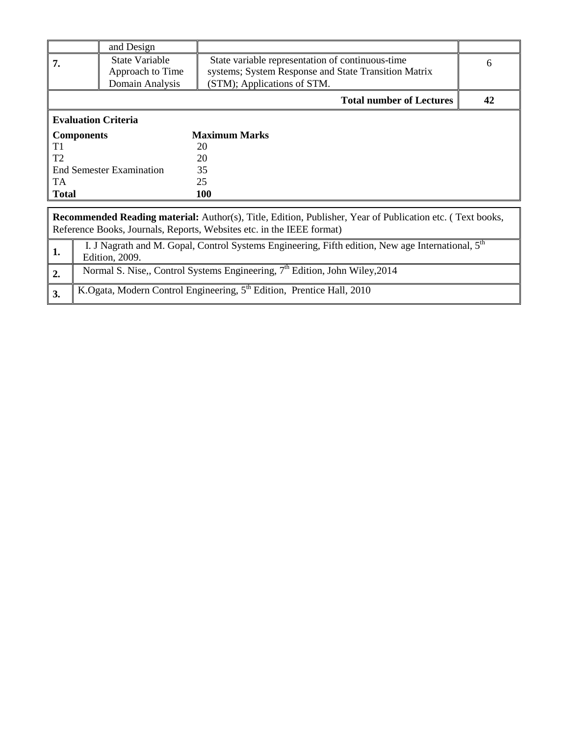|                   | and Design                                                   |                                                                                                                                         |    |  |  |  |  |
|-------------------|--------------------------------------------------------------|-----------------------------------------------------------------------------------------------------------------------------------------|----|--|--|--|--|
| 7.                | <b>State Variable</b><br>Approach to Time<br>Domain Analysis | State variable representation of continuous-time<br>systems; System Response and State Transition Matrix<br>(STM); Applications of STM. | 6  |  |  |  |  |
|                   |                                                              | <b>Total number of Lectures</b>                                                                                                         | 42 |  |  |  |  |
|                   | <b>Evaluation Criteria</b>                                   |                                                                                                                                         |    |  |  |  |  |
| <b>Components</b> |                                                              | <b>Maximum Marks</b>                                                                                                                    |    |  |  |  |  |
| T1                |                                                              | 20                                                                                                                                      |    |  |  |  |  |
| T <sub>2</sub>    |                                                              | 20                                                                                                                                      |    |  |  |  |  |
|                   | <b>End Semester Examination</b>                              | 35                                                                                                                                      |    |  |  |  |  |
| TA                |                                                              | 25                                                                                                                                      |    |  |  |  |  |
| <b>Total</b>      |                                                              | 100                                                                                                                                     |    |  |  |  |  |
|                   |                                                              |                                                                                                                                         |    |  |  |  |  |
|                   |                                                              | <b>Recommended Reading material:</b> Author(s), Title, Edition, Publisher, Year of Publication etc. (Text books,                        |    |  |  |  |  |

|      | Reference Books, Journals, Reports, Websites etc. in the IEEE format)                                                           |  |  |  |  |
|------|---------------------------------------------------------------------------------------------------------------------------------|--|--|--|--|
| 1.   | I. J Nagrath and M. Gopal, Control Systems Engineering, Fifth edition, New age International, 5 <sup>th</sup><br>Edition, 2009. |  |  |  |  |
| l 2. | Normal S. Nise,, Control Systems Engineering, 7 <sup>th</sup> Edition, John Wiley, 2014                                         |  |  |  |  |
| 3.   | K.Ogata, Modern Control Engineering, $5th$ Edition, Prentice Hall, 2010                                                         |  |  |  |  |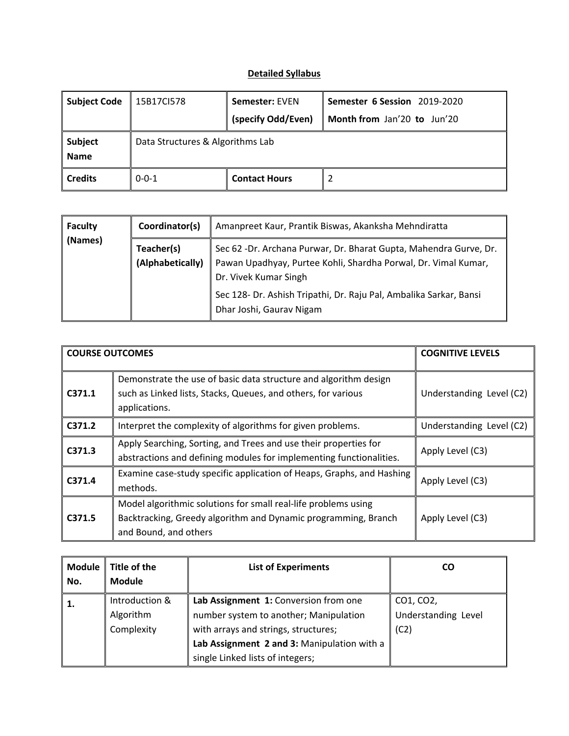# **Detailed Syllabus**

| <b>Subject Code</b>    | 15B17CI578<br><b>Semester: EVEN</b><br>(specify Odd/Even) |                      | Semester 6 Session 2019-2020<br>Month from Jan'20 to Jun'20 |
|------------------------|-----------------------------------------------------------|----------------------|-------------------------------------------------------------|
| Subject<br><b>Name</b> | Data Structures & Algorithms Lab                          |                      |                                                             |
| Credits                | $0 - 0 - 1$                                               | <b>Contact Hours</b> |                                                             |

| <b>Faculty</b> | Coordinator(s)                 | Amanpreet Kaur, Prantik Biswas, Akanksha Mehndiratta                                                                                                                                                                                                           |
|----------------|--------------------------------|----------------------------------------------------------------------------------------------------------------------------------------------------------------------------------------------------------------------------------------------------------------|
| (Names)        | Teacher(s)<br>(Alphabetically) | Sec 62 -Dr. Archana Purwar, Dr. Bharat Gupta, Mahendra Gurve, Dr.<br>Pawan Upadhyay, Purtee Kohli, Shardha Porwal, Dr. Vimal Kumar,<br>Dr. Vivek Kumar Singh<br>Sec 128- Dr. Ashish Tripathi, Dr. Raju Pal, Ambalika Sarkar, Bansi<br>Dhar Joshi, Gaurav Nigam |

| <b>COURSE OUTCOMES</b> |                                                                                                                                                           | <b>COGNITIVE LEVELS</b>  |
|------------------------|-----------------------------------------------------------------------------------------------------------------------------------------------------------|--------------------------|
| C371.1                 | Demonstrate the use of basic data structure and algorithm design<br>such as Linked lists, Stacks, Queues, and others, for various<br>applications.        | Understanding Level (C2) |
| C371.2                 | Interpret the complexity of algorithms for given problems.                                                                                                | Understanding Level (C2) |
| C371.3                 | Apply Searching, Sorting, and Trees and use their properties for<br>abstractions and defining modules for implementing functionalities.                   | Apply Level (C3)         |
| C371.4                 | Examine case-study specific application of Heaps, Graphs, and Hashing<br>methods.                                                                         | Apply Level (C3)         |
| C371.5                 | Model algorithmic solutions for small real-life problems using<br>Backtracking, Greedy algorithm and Dynamic programming, Branch<br>and Bound, and others | Apply Level (C3)         |

| No.            | Module $\ $ Title of the<br><b>Module</b> | <b>List of Experiments</b>                                                                                                                                                                                 | <b>CO</b>                                |  |
|----------------|-------------------------------------------|------------------------------------------------------------------------------------------------------------------------------------------------------------------------------------------------------------|------------------------------------------|--|
| $\mathbf{1}$ . | Introduction &<br>Algorithm<br>Complexity | Lab Assignment 1: Conversion from one<br>number system to another; Manipulation<br>with arrays and strings, structures;<br>Lab Assignment 2 and 3: Manipulation with a<br>single Linked lists of integers; | CO1, CO2,<br>Understanding Level<br>(C2) |  |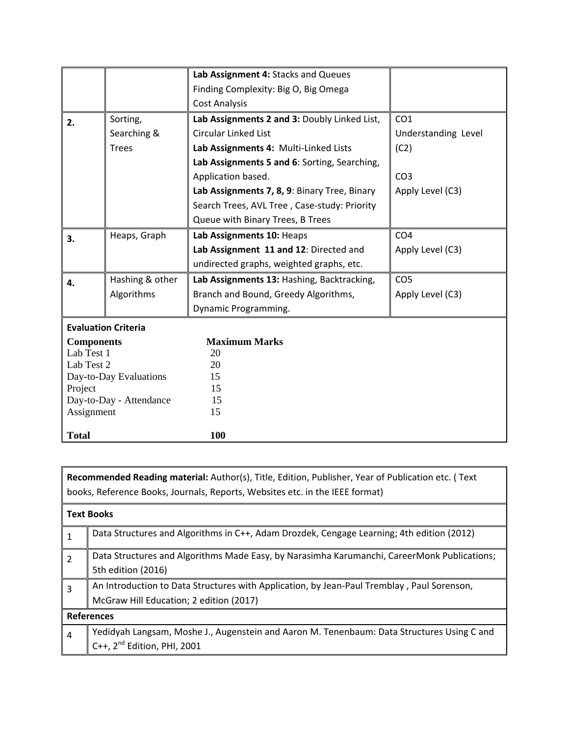|                         |                            | Lab Assignment 4: Stacks and Queues          |                     |  |  |  |
|-------------------------|----------------------------|----------------------------------------------|---------------------|--|--|--|
|                         |                            | Finding Complexity: Big O, Big Omega         |                     |  |  |  |
|                         |                            | <b>Cost Analysis</b>                         |                     |  |  |  |
| 2.                      | Sorting,                   | Lab Assignments 2 and 3: Doubly Linked List, | CO <sub>1</sub>     |  |  |  |
|                         | Searching &                | <b>Circular Linked List</b>                  | Understanding Level |  |  |  |
|                         | <b>Trees</b>               | Lab Assignments 4: Multi-Linked Lists        | (C2)                |  |  |  |
|                         |                            | Lab Assignments 5 and 6: Sorting, Searching, |                     |  |  |  |
|                         |                            | Application based.                           | CO <sub>3</sub>     |  |  |  |
|                         |                            | Lab Assignments 7, 8, 9: Binary Tree, Binary | Apply Level (C3)    |  |  |  |
|                         |                            | Search Trees, AVL Tree, Case-study: Priority |                     |  |  |  |
|                         |                            | Queue with Binary Trees, B Trees             |                     |  |  |  |
| 3.                      | Heaps, Graph               | Lab Assignments 10: Heaps                    | CO <sub>4</sub>     |  |  |  |
|                         |                            | Lab Assignment 11 and 12: Directed and       | Apply Level (C3)    |  |  |  |
|                         |                            | undirected graphs, weighted graphs, etc.     |                     |  |  |  |
| 4.                      | Hashing & other            | Lab Assignments 13: Hashing, Backtracking,   | CO <sub>5</sub>     |  |  |  |
|                         | Algorithms                 | Branch and Bound, Greedy Algorithms,         | Apply Level (C3)    |  |  |  |
|                         |                            | Dynamic Programming.                         |                     |  |  |  |
|                         | <b>Evaluation Criteria</b> |                                              |                     |  |  |  |
| <b>Components</b>       |                            | <b>Maximum Marks</b>                         |                     |  |  |  |
| Lab Test 1              |                            | 20                                           |                     |  |  |  |
| Lab Test 2              |                            | 20                                           |                     |  |  |  |
| Day-to-Day Evaluations  |                            | 15                                           |                     |  |  |  |
| Project                 |                            | 15                                           |                     |  |  |  |
| Day-to-Day - Attendance |                            | 15                                           |                     |  |  |  |
| Assignment              |                            | 15                                           |                     |  |  |  |
| <b>Total</b>            |                            | 100                                          |                     |  |  |  |

**Recommended Reading material:** Author(s), Title, Edition, Publisher, Year of Publication etc. ( Text books, Reference Books, Journals, Reports, Websites etc. in the IEEE format)

|                | <b>Text Books</b>                                                                           |
|----------------|---------------------------------------------------------------------------------------------|
|                | Data Structures and Algorithms in C++, Adam Drozdek, Cengage Learning; 4th edition (2012)   |
| $\overline{2}$ | Data Structures and Algorithms Made Easy, by Narasimha Karumanchi, CareerMonk Publications; |
|                | 5th edition (2016)                                                                          |
| $\overline{3}$ | An Introduction to Data Structures with Application, by Jean-Paul Tremblay, Paul Sorenson,  |
|                | McGraw Hill Education; 2 edition (2017)                                                     |
|                | <b>References</b>                                                                           |
| 4              | Yedidyah Langsam, Moshe J., Augenstein and Aaron M. Tenenbaum: Data Structures Using C and  |
|                | C++, 2 <sup>nd</sup> Edition, PHI, 2001                                                     |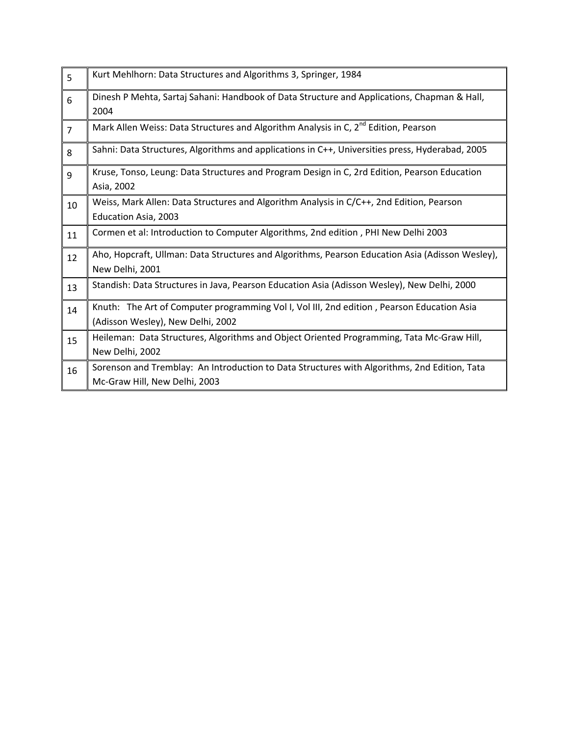| $\overline{5}$ | Kurt Mehlhorn: Data Structures and Algorithms 3, Springer, 1984                                                                 |
|----------------|---------------------------------------------------------------------------------------------------------------------------------|
| 6              | Dinesh P Mehta, Sartaj Sahani: Handbook of Data Structure and Applications, Chapman & Hall,<br>2004                             |
| $\overline{7}$ | Mark Allen Weiss: Data Structures and Algorithm Analysis in C, 2 <sup>nd</sup> Edition, Pearson                                 |
| 8              | Sahni: Data Structures, Algorithms and applications in C++, Universities press, Hyderabad, 2005                                 |
| 9              | Kruse, Tonso, Leung: Data Structures and Program Design in C, 2rd Edition, Pearson Education<br>Asia, 2002                      |
| 10             | Weiss, Mark Allen: Data Structures and Algorithm Analysis in C/C++, 2nd Edition, Pearson<br>Education Asia, 2003                |
| 11             | Cormen et al: Introduction to Computer Algorithms, 2nd edition, PHI New Delhi 2003                                              |
| 12             | Aho, Hopcraft, Ullman: Data Structures and Algorithms, Pearson Education Asia (Adisson Wesley),<br>New Delhi, 2001              |
| 13             | Standish: Data Structures in Java, Pearson Education Asia (Adisson Wesley), New Delhi, 2000                                     |
| 14             | Knuth: The Art of Computer programming Vol I, Vol III, 2nd edition, Pearson Education Asia<br>(Adisson Wesley), New Delhi, 2002 |
| 15             | Heileman: Data Structures, Algorithms and Object Oriented Programming, Tata Mc-Graw Hill,<br>New Delhi, 2002                    |
| 16             | Sorenson and Tremblay: An Introduction to Data Structures with Algorithms, 2nd Edition, Tata<br>Mc-Graw Hill, New Delhi, 2003   |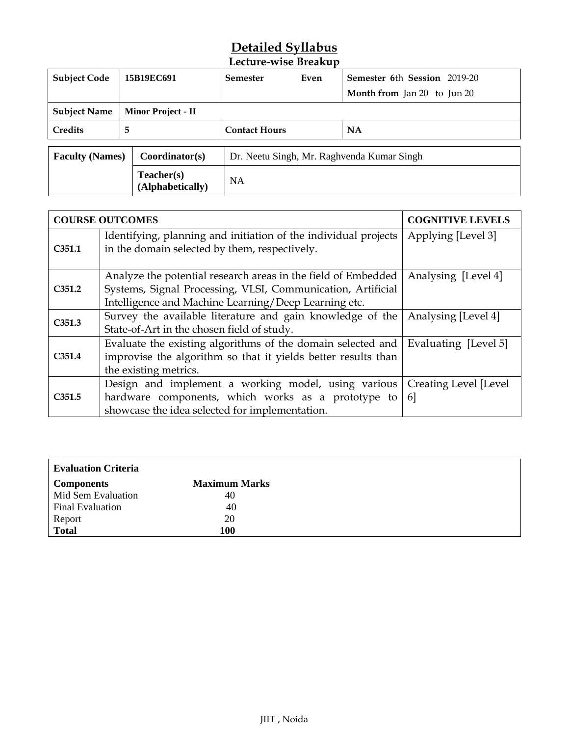# **Detailed Syllabus**

#### **Lecture-wise Breakup**

| <b>Subject Code</b>                       | 15B19EC691                     | <b>Semester</b><br>Even |  | <b>Semester 6th Session 2019-20</b><br><b>Month from</b> Jan 20 to Jun 20 |  |  |
|-------------------------------------------|--------------------------------|-------------------------|--|---------------------------------------------------------------------------|--|--|
| <b>Subject Name</b><br>Minor Project - II |                                |                         |  |                                                                           |  |  |
| <b>Credits</b>                            | 5                              | <b>Contact Hours</b>    |  | <b>NA</b>                                                                 |  |  |
| <b>Faculty (Names)</b><br>Coordinator(s)  |                                |                         |  | Dr. Neetu Singh, Mr. Raghvenda Kumar Singh                                |  |  |
|                                           | Teacher(s)<br>(Alphabetically) | <b>NA</b>               |  |                                                                           |  |  |

|                    | <b>COURSE OUTCOMES</b>                                                                                                                                                               | <b>COGNITIVE LEVELS</b>             |
|--------------------|--------------------------------------------------------------------------------------------------------------------------------------------------------------------------------------|-------------------------------------|
| C <sub>351.1</sub> | Identifying, planning and initiation of the individual projects<br>in the domain selected by them, respectively.                                                                     | Applying [Level 3]                  |
| C <sub>351.2</sub> | Analyze the potential research areas in the field of Embedded<br>Systems, Signal Processing, VLSI, Communication, Artificial<br>Intelligence and Machine Learning/Deep Learning etc. | Analysing [Level 4]                 |
| C <sub>351.3</sub> | Survey the available literature and gain knowledge of the<br>State-of-Art in the chosen field of study.                                                                              | Analysing [Level 4]                 |
| C <sub>351.4</sub> | Evaluate the existing algorithms of the domain selected and<br>improvise the algorithm so that it yields better results than<br>the existing metrics.                                | Evaluating [Level 5]                |
| C <sub>351.5</sub> | Design and implement a working model, using various<br>hardware components, which works as a prototype to<br>showcase the idea selected for implementation.                          | <b>Creating Level [Level</b> ]<br>6 |

| <b>Evaluation Criteria</b> |                      |  |  |  |  |
|----------------------------|----------------------|--|--|--|--|
| <b>Components</b>          | <b>Maximum Marks</b> |  |  |  |  |
| Mid Sem Evaluation         | 40                   |  |  |  |  |
| <b>Final Evaluation</b>    | 40                   |  |  |  |  |
| Report                     | 20                   |  |  |  |  |
| <b>Total</b>               | 100                  |  |  |  |  |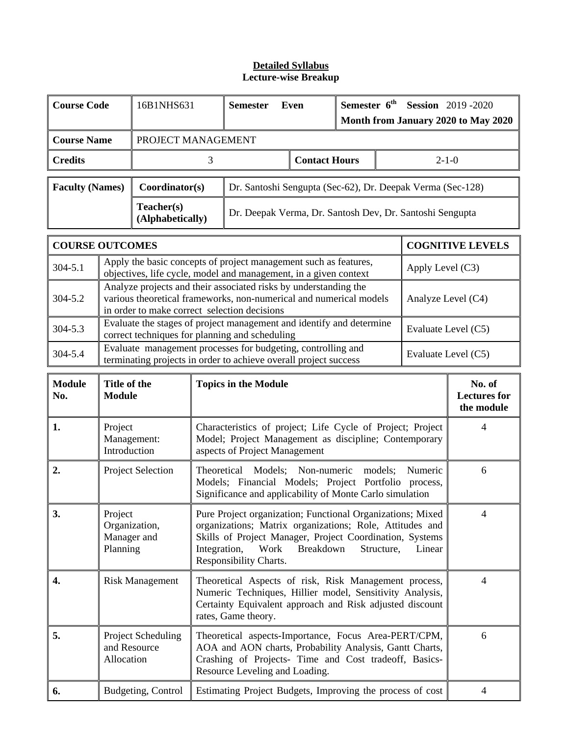| <b>Course Code</b>                                        |                                                                                                                                                                                                   | 16B1NHS631                                                                                                                                                                             |                                                                                                                                                                                                                      | <b>Semester</b>                                                                                                                                                                                      | Even                 | Semester 6 <sup>th</sup> |        |                                             | <b>Session</b> 2019-2020<br>Month from January 2020 to May 2020 |  |
|-----------------------------------------------------------|---------------------------------------------------------------------------------------------------------------------------------------------------------------------------------------------------|----------------------------------------------------------------------------------------------------------------------------------------------------------------------------------------|----------------------------------------------------------------------------------------------------------------------------------------------------------------------------------------------------------------------|------------------------------------------------------------------------------------------------------------------------------------------------------------------------------------------------------|----------------------|--------------------------|--------|---------------------------------------------|-----------------------------------------------------------------|--|
| <b>Course Name</b>                                        |                                                                                                                                                                                                   |                                                                                                                                                                                        | PROJECT MANAGEMENT                                                                                                                                                                                                   |                                                                                                                                                                                                      |                      |                          |        |                                             |                                                                 |  |
| <b>Credits</b>                                            |                                                                                                                                                                                                   |                                                                                                                                                                                        | 3                                                                                                                                                                                                                    |                                                                                                                                                                                                      | <b>Contact Hours</b> |                          |        | $2 - 1 - 0$                                 |                                                                 |  |
| <b>Faculty (Names)</b>                                    |                                                                                                                                                                                                   | Coordinator(s)                                                                                                                                                                         |                                                                                                                                                                                                                      | Dr. Santoshi Sengupta (Sec-62), Dr. Deepak Verma (Sec-128)                                                                                                                                           |                      |                          |        |                                             |                                                                 |  |
|                                                           |                                                                                                                                                                                                   | Teacher(s)<br>(Alphabetically)                                                                                                                                                         |                                                                                                                                                                                                                      | Dr. Deepak Verma, Dr. Santosh Dev, Dr. Santoshi Sengupta                                                                                                                                             |                      |                          |        |                                             |                                                                 |  |
| <b>COURSE OUTCOMES</b>                                    |                                                                                                                                                                                                   |                                                                                                                                                                                        |                                                                                                                                                                                                                      |                                                                                                                                                                                                      |                      |                          |        |                                             | <b>COGNITIVE LEVELS</b>                                         |  |
| $304 - 5.1$                                               |                                                                                                                                                                                                   | Apply the basic concepts of project management such as features,<br>objectives, life cycle, model and management, in a given context                                                   |                                                                                                                                                                                                                      |                                                                                                                                                                                                      |                      |                          |        | Apply Level $(C3)$                          |                                                                 |  |
| 304-5.2                                                   |                                                                                                                                                                                                   | Analyze projects and their associated risks by understanding the<br>various theoretical frameworks, non-numerical and numerical models<br>in order to make correct selection decisions |                                                                                                                                                                                                                      |                                                                                                                                                                                                      |                      |                          |        | Analyze Level (C4)                          |                                                                 |  |
| 304-5.3                                                   |                                                                                                                                                                                                   | Evaluate the stages of project management and identify and determine<br>correct techniques for planning and scheduling                                                                 |                                                                                                                                                                                                                      |                                                                                                                                                                                                      |                      |                          |        | Evaluate Level (C5)                         |                                                                 |  |
| 304-5.4                                                   |                                                                                                                                                                                                   | Evaluate management processes for budgeting, controlling and<br>terminating projects in order to achieve overall project success                                                       |                                                                                                                                                                                                                      |                                                                                                                                                                                                      |                      |                          |        |                                             | Evaluate Level (C5)                                             |  |
| <b>Module</b><br>No.                                      | Title of the<br><b>Module</b>                                                                                                                                                                     |                                                                                                                                                                                        |                                                                                                                                                                                                                      | <b>Topics in the Module</b>                                                                                                                                                                          |                      |                          |        | No. of<br><b>Lectures</b> for<br>the module |                                                                 |  |
| 1.                                                        | Project<br>Introduction                                                                                                                                                                           | Management:                                                                                                                                                                            |                                                                                                                                                                                                                      | Characteristics of project; Life Cycle of Project; Project<br>Model; Project Management as discipline; Contemporary<br>aspects of Project Management                                                 |                      |                          |        |                                             | 4                                                               |  |
| 2.                                                        | Models; Non-numeric<br>Project Selection<br>Theoretical<br>models:<br>Numeric<br>Models; Financial Models; Project Portfolio process,<br>Significance and applicability of Monte Carlo simulation |                                                                                                                                                                                        |                                                                                                                                                                                                                      |                                                                                                                                                                                                      |                      | 6                        |        |                                             |                                                                 |  |
| 3.<br>Project<br>Organization,<br>Manager and<br>Planning |                                                                                                                                                                                                   | Integration,                                                                                                                                                                           | Pure Project organization; Functional Organizations; Mixed<br>organizations; Matrix organizations; Role, Attitudes and<br>Skills of Project Manager, Project Coordination, Systems<br>Work<br>Responsibility Charts. | <b>Breakdown</b>                                                                                                                                                                                     |                      | Structure,               | Linear | 4                                           |                                                                 |  |
| <b>Risk Management</b><br>4.                              |                                                                                                                                                                                                   |                                                                                                                                                                                        |                                                                                                                                                                                                                      | Theoretical Aspects of risk, Risk Management process,<br>Numeric Techniques, Hillier model, Sensitivity Analysis,<br>Certainty Equivalent approach and Risk adjusted discount<br>rates, Game theory. |                      |                          |        | $\overline{4}$                              |                                                                 |  |
| 5.                                                        | Allocation                                                                                                                                                                                        | Project Scheduling<br>and Resource                                                                                                                                                     | Theoretical aspects-Importance, Focus Area-PERT/CPM,<br>AOA and AON charts, Probability Analysis, Gantt Charts,<br>Crashing of Projects- Time and Cost tradeoff, Basics-<br>Resource Leveling and Loading.           |                                                                                                                                                                                                      |                      |                          |        | 6                                           |                                                                 |  |
| Budgeting, Control<br>6.                                  |                                                                                                                                                                                                   |                                                                                                                                                                                        |                                                                                                                                                                                                                      | Estimating Project Budgets, Improving the process of cost                                                                                                                                            |                      |                          |        |                                             | $\overline{4}$                                                  |  |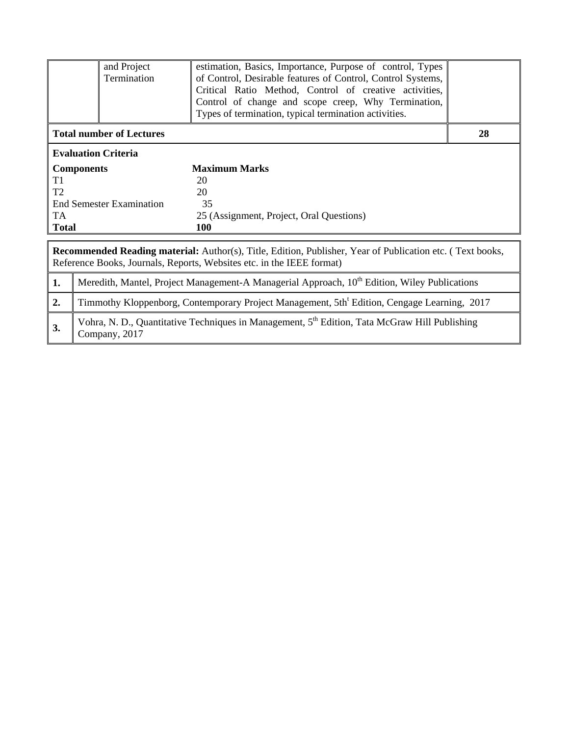|                                                                                                                                                                                           | and Project<br>Termination                                                                                                 | estimation, Basics, Importance, Purpose of control, Types<br>of Control, Desirable features of Control, Control Systems,<br>Critical Ratio Method, Control of creative activities,<br>Control of change and scope creep, Why Termination,<br>Types of termination, typical termination activities. |  |  |  |  |
|-------------------------------------------------------------------------------------------------------------------------------------------------------------------------------------------|----------------------------------------------------------------------------------------------------------------------------|----------------------------------------------------------------------------------------------------------------------------------------------------------------------------------------------------------------------------------------------------------------------------------------------------|--|--|--|--|
| <b>Total number of Lectures</b>                                                                                                                                                           |                                                                                                                            |                                                                                                                                                                                                                                                                                                    |  |  |  |  |
|                                                                                                                                                                                           | <b>Evaluation Criteria</b>                                                                                                 |                                                                                                                                                                                                                                                                                                    |  |  |  |  |
|                                                                                                                                                                                           | <b>Components</b>                                                                                                          | <b>Maximum Marks</b>                                                                                                                                                                                                                                                                               |  |  |  |  |
| T1                                                                                                                                                                                        |                                                                                                                            | 20                                                                                                                                                                                                                                                                                                 |  |  |  |  |
| T <sub>2</sub>                                                                                                                                                                            |                                                                                                                            | 20                                                                                                                                                                                                                                                                                                 |  |  |  |  |
|                                                                                                                                                                                           | <b>End Semester Examination</b>                                                                                            | 35                                                                                                                                                                                                                                                                                                 |  |  |  |  |
| TA                                                                                                                                                                                        |                                                                                                                            | 25 (Assignment, Project, Oral Questions)                                                                                                                                                                                                                                                           |  |  |  |  |
| <b>Total</b>                                                                                                                                                                              |                                                                                                                            | 100                                                                                                                                                                                                                                                                                                |  |  |  |  |
|                                                                                                                                                                                           |                                                                                                                            |                                                                                                                                                                                                                                                                                                    |  |  |  |  |
| <b>Recommended Reading material:</b> Author(s), Title, Edition, Publisher, Year of Publication etc. (Text books,<br>Reference Books, Journals, Reports, Websites etc. in the IEEE format) |                                                                                                                            |                                                                                                                                                                                                                                                                                                    |  |  |  |  |
| 1.                                                                                                                                                                                        | Meredith, Mantel, Project Management-A Managerial Approach, 10 <sup>th</sup> Edition, Wiley Publications                   |                                                                                                                                                                                                                                                                                                    |  |  |  |  |
| 2.                                                                                                                                                                                        | Timmothy Kloppenborg, Contemporary Project Management, 5th <sup>t</sup> Edition, Cengage Learning, 2017                    |                                                                                                                                                                                                                                                                                                    |  |  |  |  |
| 3.                                                                                                                                                                                        | Vohra, N. D., Quantitative Techniques in Management, 5 <sup>th</sup> Edition, Tata McGraw Hill Publishing<br>Company, 2017 |                                                                                                                                                                                                                                                                                                    |  |  |  |  |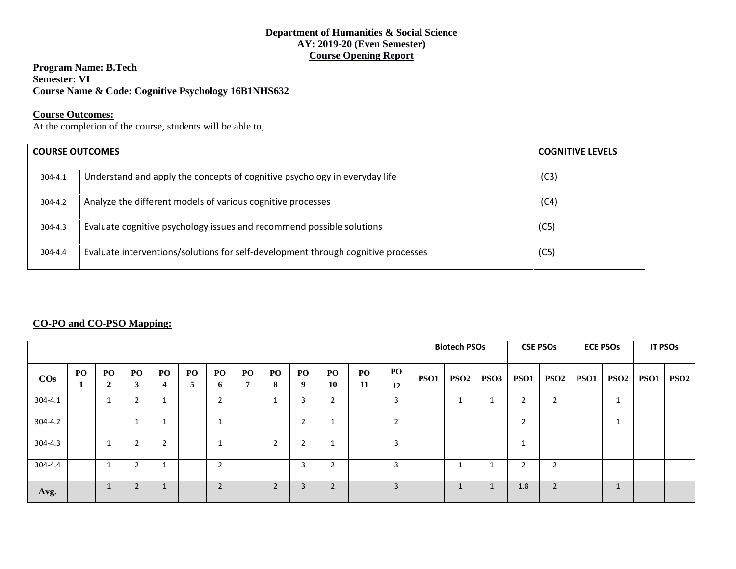#### **Department of Humanities & Social Science AY: 2019-20 (Even Semester) Course Opening Report**

## **Program Name: B.Tech Semester: VI Course Name & Code: Cognitive Psychology 16B1NHS632**

#### **Course Outcomes:**

At the completion of the course, students will be able to,

| <b>COURSE OUTCOMES</b> | <b>COGNITIVE LEVELS</b>                                                           |      |
|------------------------|-----------------------------------------------------------------------------------|------|
| 304-4.1                | Understand and apply the concepts of cognitive psychology in everyday life        | (C3) |
| 304-4.2                | Analyze the different models of various cognitive processes                       | (C4) |
| 304-4.3                | Evaluate cognitive psychology issues and recommend possible solutions             | (C5) |
| 304-4.4                | Evaluate interventions/solutions for self-development through cognitive processes | (C5) |

## **CO-PO and CO-PSO Mapping:**

|         |    |                    |         |                               |         |                   | <b>Biotech PSOs</b>  |         | <b>CSE PSOS</b> |                | <b>ECE PSOS</b> |                   | <b>IT PSOs</b> |                  |      |                |                  |      |                  |      |                  |
|---------|----|--------------------|---------|-------------------------------|---------|-------------------|----------------------|---------|-----------------|----------------|-----------------|-------------------|----------------|------------------|------|----------------|------------------|------|------------------|------|------------------|
| $\cos$  | PO | PO<br>$\mathbf{2}$ | PO<br>3 | PO<br>$\overline{\mathbf{4}}$ | PO<br>5 | PO<br>$\mathbf b$ | PO<br>$\overline{7}$ | PO<br>8 | PO<br>9         | PO<br>10       | PO<br><b>11</b> | PO<br>12          | PSO1           | PSO <sub>2</sub> | PSO3 | PSO1           | PSO <sub>2</sub> | PSO1 | PSO <sub>2</sub> | PSO1 | PSO <sub>2</sub> |
| 304-4.1 |    |                    |         |                               |         |                   |                      |         | 3               | ∍<br>∠         |                 | 3                 |                |                  |      | ٠              | ີ                |      |                  |      |                  |
| 304-4.2 |    |                    |         |                               |         |                   |                      |         | 2               |                |                 | $\mathbf{r}$<br>∠ |                |                  |      | $\overline{2}$ |                  |      |                  |      |                  |
| 304-4.3 |    |                    |         | $\overline{2}$                |         |                   |                      |         |                 |                |                 | 3                 |                |                  |      |                |                  |      |                  |      |                  |
| 304-4.4 |    |                    |         |                               |         | ∠                 |                      |         | 3               | $\overline{2}$ |                 | ີ<br>-5           |                | L.               |      | $\overline{2}$ |                  |      |                  |      |                  |
| Avg.    |    |                    |         |                               |         |                   |                      |         | 3               | h<br>∠         |                 | 3                 |                | J.               |      | 1.8            | $\overline{2}$   |      |                  |      |                  |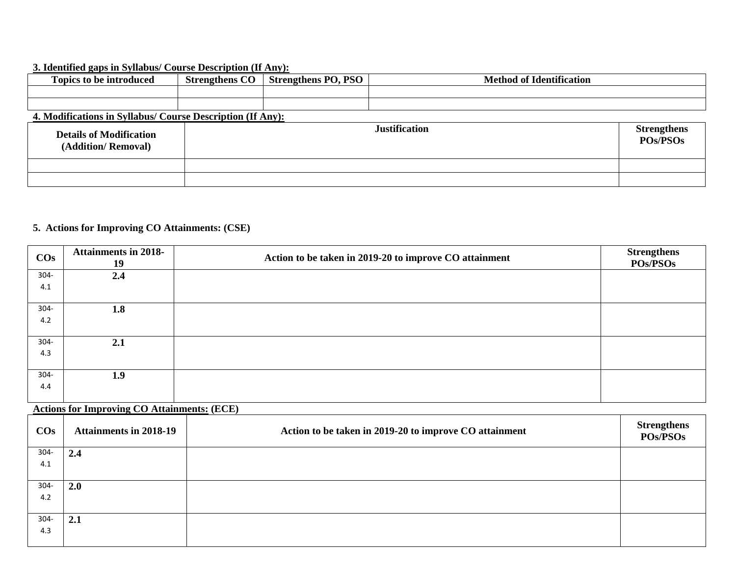## **3. Identified gaps in Syllabus/ Course Description (If Any):**

| $\bullet$ . The statistics of the statistics of $\bullet$ is the statistic of $\bullet$ . The statistic of $\bullet$<br>Topics to be introduced | <b>Strengthens CO</b> | <b>Strengthens PO, PSO</b> | <b>Method of Identification</b> |                                       |
|-------------------------------------------------------------------------------------------------------------------------------------------------|-----------------------|----------------------------|---------------------------------|---------------------------------------|
|                                                                                                                                                 |                       |                            |                                 |                                       |
|                                                                                                                                                 |                       |                            |                                 |                                       |
| 4. Modifications in Syllabus/ Course Description (If Any):                                                                                      |                       |                            |                                 |                                       |
| <b>Details of Modification</b><br>(Addition/Removal)                                                                                            |                       |                            | <b>Justification</b>            | <b>Strengthens</b><br><b>POs/PSOs</b> |
|                                                                                                                                                 |                       |                            |                                 |                                       |
|                                                                                                                                                 |                       |                            |                                 |                                       |

# **5. Actions for Improving CO Attainments: (CSE)**

| $\cos$  | <b>Attainments in 2018-</b><br>19                  | Action to be taken in 2019-20 to improve CO attainment | <b>Strengthens</b><br><b>POs/PSOs</b> |
|---------|----------------------------------------------------|--------------------------------------------------------|---------------------------------------|
| $304 -$ | 2.4                                                |                                                        |                                       |
| 4.1     |                                                    |                                                        |                                       |
| $304 -$ | 1.8                                                |                                                        |                                       |
| 4.2     |                                                    |                                                        |                                       |
| $304 -$ | 2.1                                                |                                                        |                                       |
| 4.3     |                                                    |                                                        |                                       |
| $304 -$ | 1.9                                                |                                                        |                                       |
| 4.4     |                                                    |                                                        |                                       |
|         | <b>Actions for Improving CO Attainments: (ECE)</b> |                                                        |                                       |
| $\cos$  | <b>Attainments in 2018-19</b>                      | Action to be taken in 2019-20 to improve CO attainment | <b>Strengthens</b><br><b>POs/PSOs</b> |
| $304 -$ | 2.4                                                |                                                        |                                       |
| 4.1     |                                                    |                                                        |                                       |
| $304 -$ | 2.0                                                |                                                        |                                       |
| 4.2     |                                                    |                                                        |                                       |
| $304 -$ | 2.1                                                |                                                        |                                       |
| 4.3     |                                                    |                                                        |                                       |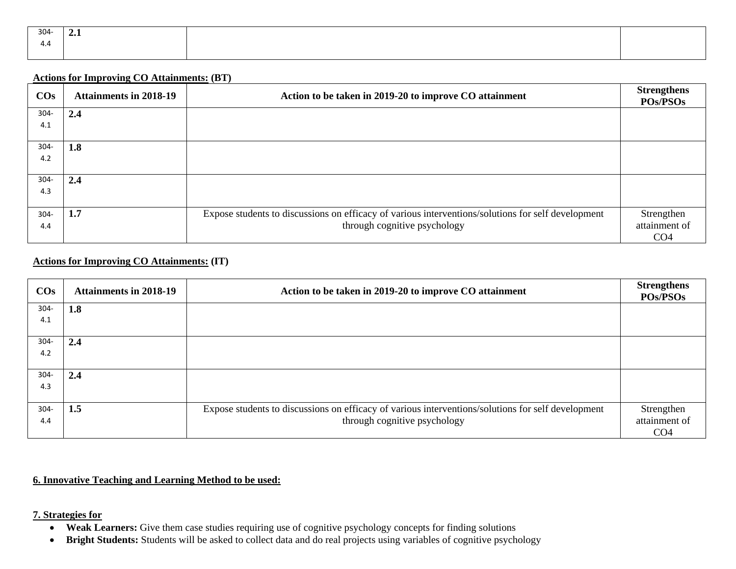| 304- | Z.L |  |
|------|-----|--|
| 4.4  |     |  |
|      |     |  |

#### **Actions for Improving CO Attainments: (BT)**

| $\cos$  | <b>Attainments in 2018-19</b> | Action to be taken in 2019-20 to improve CO attainment                                             | <b>Strengthens</b><br><b>POs/PSOs</b> |
|---------|-------------------------------|----------------------------------------------------------------------------------------------------|---------------------------------------|
| 304-    | 2.4                           |                                                                                                    |                                       |
| 4.1     |                               |                                                                                                    |                                       |
|         |                               |                                                                                                    |                                       |
| 304-    | 1.8                           |                                                                                                    |                                       |
| 4.2     |                               |                                                                                                    |                                       |
|         |                               |                                                                                                    |                                       |
| $304 -$ | 2.4                           |                                                                                                    |                                       |
| 4.3     |                               |                                                                                                    |                                       |
|         |                               |                                                                                                    |                                       |
| $304 -$ | 1.7                           | Expose students to discussions on efficacy of various interventions/solutions for self development | Strengthen                            |
| 4.4     |                               | through cognitive psychology                                                                       | attainment of                         |
|         |                               |                                                                                                    | CO <sub>4</sub>                       |

# **Actions for Improving CO Attainments: (IT)**

| $\cos$  | <b>Attainments in 2018-19</b> | Action to be taken in 2019-20 to improve CO attainment                                             | <b>Strengthens</b><br><b>POs/PSOs</b> |
|---------|-------------------------------|----------------------------------------------------------------------------------------------------|---------------------------------------|
| $304 -$ | 1.8                           |                                                                                                    |                                       |
| 4.1     |                               |                                                                                                    |                                       |
|         |                               |                                                                                                    |                                       |
| $304 -$ | 2.4                           |                                                                                                    |                                       |
| 4.2     |                               |                                                                                                    |                                       |
|         |                               |                                                                                                    |                                       |
| $304 -$ | 2.4                           |                                                                                                    |                                       |
| 4.3     |                               |                                                                                                    |                                       |
|         |                               |                                                                                                    |                                       |
| $304 -$ | 1.5                           | Expose students to discussions on efficacy of various interventions/solutions for self development | Strengthen                            |
| 4.4     |                               | through cognitive psychology                                                                       | attainment of                         |
|         |                               |                                                                                                    | CO <sub>4</sub>                       |

## **6. Innovative Teaching and Learning Method to be used:**

#### **7. Strategies for**

- **Weak Learners:** Give them case studies requiring use of cognitive psychology concepts for finding solutions
- **Bright Students:** Students will be asked to collect data and do real projects using variables of cognitive psychology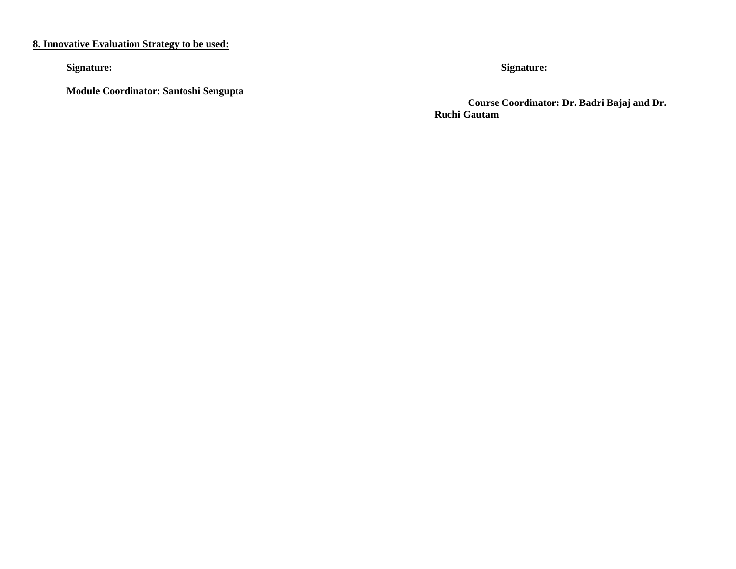## **8. Innovative Evaluation Strategy to be used:**

**Module Coordinator: Santoshi Sengupta** 

**Signature: Signature:** 

 **Course Coordinator: Dr. Badri Bajaj and Dr. Ruchi Gautam**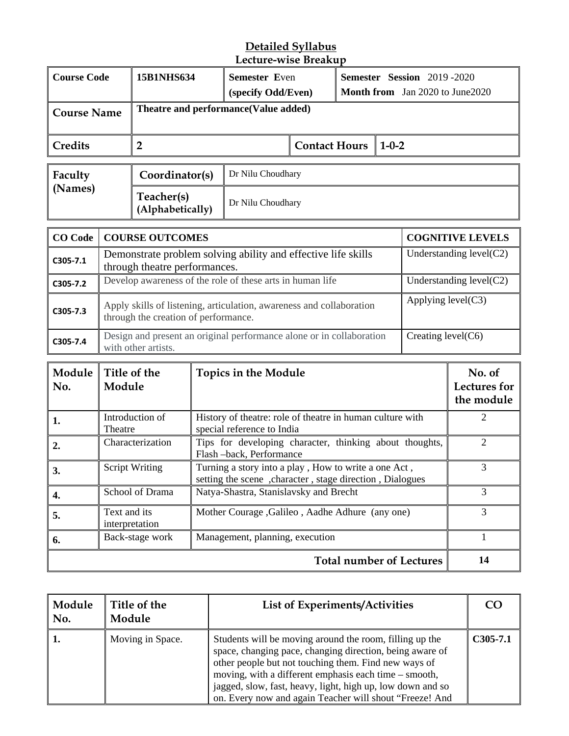| <b>Course Code</b>                                          | <b>15B1NHS634</b> | <b>Semester Even</b><br>(specify Odd/Even) |                       |  | Semester Session 2019-2020<br><b>Month from</b> Jan 2020 to June 2020 |  |
|-------------------------------------------------------------|-------------------|--------------------------------------------|-----------------------|--|-----------------------------------------------------------------------|--|
| Theatre and performance (Value added)<br><b>Course Name</b> |                   |                                            |                       |  |                                                                       |  |
| Credits                                                     |                   |                                            | Contact Hours   1-0-2 |  |                                                                       |  |

| Faculty | <b>Coordinator(s)</b> $\parallel$ Dr Nilu Choudhary |                   |
|---------|-----------------------------------------------------|-------------------|
| (Names) | Teacher(s)<br>(Alphabetically)                      | Dr Nilu Choudhary |

| <b>CO</b> Code | <b>COURSE OUTCOMES</b>                                                                                       | <b>COGNITIVE LEVELS</b>   |
|----------------|--------------------------------------------------------------------------------------------------------------|---------------------------|
| C305-7.1       | Demonstrate problem solving ability and effective life skills<br>through theatre performances.               | Understanding $level(C2)$ |
| C305-7.2       | Develop awareness of the role of these arts in human life                                                    | Understanding $level(C2)$ |
| C305-7.3       | Apply skills of listening, articulation, awareness and collaboration<br>through the creation of performance. | Applying $level(C3)$      |
| C305-7.4       | Design and present an original performance alone or in collaboration<br>with other artists.                  | Creating $level(C6)$      |

| Module<br>No. | Title of the<br>Module         | <b>Topics in the Module</b>                                                                                      | No. of<br>Lectures for<br>the module |
|---------------|--------------------------------|------------------------------------------------------------------------------------------------------------------|--------------------------------------|
|               | Introduction of<br>Theatre     | History of theatre: role of theatre in human culture with<br>special reference to India                          |                                      |
|               | Characterization               | Tips for developing character, thinking about thoughts,<br>Flash -back, Performance                              |                                      |
| 3.            | <b>Script Writing</b>          | Turning a story into a play, How to write a one Act,<br>setting the scene, character, stage direction, Dialogues |                                      |
| 4.            | School of Drama                | Natya-Shastra, Stanislavsky and Brecht                                                                           | 3                                    |
| 5.            | Text and its<br>interpretation | Mother Courage, Galileo, Aadhe Adhure (any one)                                                                  | 3                                    |
| 6.            | Back-stage work                | Management, planning, execution                                                                                  |                                      |
|               |                                | <b>Total number of Lectures</b>                                                                                  | 14                                   |

| Module<br>No. | Title of the<br>Module | List of Experiments/Activities                                                                                                                                                                                                                                                                                                                                | C C        |
|---------------|------------------------|---------------------------------------------------------------------------------------------------------------------------------------------------------------------------------------------------------------------------------------------------------------------------------------------------------------------------------------------------------------|------------|
| ı.            | Moving in Space.       | Students will be moving around the room, filling up the<br>space, changing pace, changing direction, being aware of<br>other people but not touching them. Find new ways of<br>moving, with a different emphasis each time – smooth,<br>jagged, slow, fast, heavy, light, high up, low down and so<br>on. Every now and again Teacher will shout "Freeze! And | $C305-7.1$ |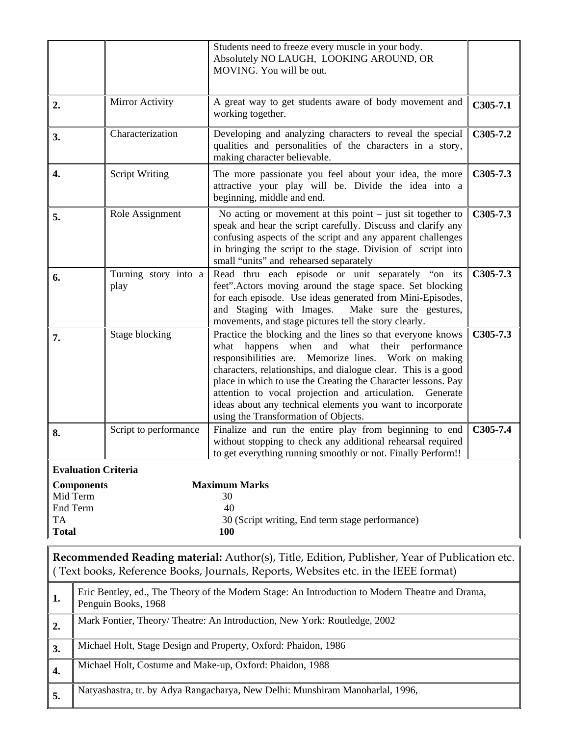|                            |                              | Students need to freeze every muscle in your body.<br>Absolutely NO LAUGH, LOOKING AROUND, OR<br>MOVING. You will be out.                                                                                                                                                                                                                                                                                                                                                    |            |  |  |
|----------------------------|------------------------------|------------------------------------------------------------------------------------------------------------------------------------------------------------------------------------------------------------------------------------------------------------------------------------------------------------------------------------------------------------------------------------------------------------------------------------------------------------------------------|------------|--|--|
| 2.                         | Mirror Activity              | A great way to get students aware of body movement and<br>working together.                                                                                                                                                                                                                                                                                                                                                                                                  | $C305-7.1$ |  |  |
| 3.                         | Characterization             | Developing and analyzing characters to reveal the special<br>qualities and personalities of the characters in a story,<br>making character believable.                                                                                                                                                                                                                                                                                                                       | $C305-7.2$ |  |  |
| 4.                         | <b>Script Writing</b>        | The more passionate you feel about your idea, the more<br>attractive your play will be. Divide the idea into a<br>beginning, middle and end.                                                                                                                                                                                                                                                                                                                                 | $C305-7.3$ |  |  |
| 5.                         | Role Assignment              | No acting or movement at this point $-$ just sit together to<br>speak and hear the script carefully. Discuss and clarify any<br>confusing aspects of the script and any apparent challenges<br>in bringing the script to the stage. Division of script into<br>small "units" and rehearsed separately                                                                                                                                                                        | $C305-7.3$ |  |  |
| 6.                         | Turning story into a<br>play | Read thru each episode or unit separately "on its<br>feet".Actors moving around the stage space. Set blocking<br>for each episode. Use ideas generated from Mini-Episodes,<br>and Staging with Images.<br>Make sure the gestures,<br>movements, and stage pictures tell the story clearly.                                                                                                                                                                                   | $C305-7.3$ |  |  |
| 7.                         | Stage blocking               | Practice the blocking and the lines so that everyone knows<br>when and what their performance<br>what happens<br>responsibilities are. Memorize lines. Work on making<br>characters, relationships, and dialogue clear. This is a good<br>place in which to use the Creating the Character lessons. Pay<br>attention to vocal projection and articulation.<br>Generate<br>ideas about any technical elements you want to incorporate<br>using the Transformation of Objects. | C305-7.3   |  |  |
| 8.                         | Script to performance        | Finalize and run the entire play from beginning to end<br>without stopping to check any additional rehearsal required<br>to get everything running smoothly or not. Finally Perform!!                                                                                                                                                                                                                                                                                        | C305-7.4   |  |  |
| <b>Evaluation Criteria</b> |                              |                                                                                                                                                                                                                                                                                                                                                                                                                                                                              |            |  |  |
| <b>Components</b>          |                              | <b>Maximum Marks</b>                                                                                                                                                                                                                                                                                                                                                                                                                                                         |            |  |  |
| Mid Term<br>End Term       |                              | 30<br>40                                                                                                                                                                                                                                                                                                                                                                                                                                                                     |            |  |  |
| TA<br><b>Total</b>         |                              | 30 (Script writing, End term stage performance)<br><b>100</b>                                                                                                                                                                                                                                                                                                                                                                                                                |            |  |  |
|                            |                              |                                                                                                                                                                                                                                                                                                                                                                                                                                                                              |            |  |  |
|                            |                              | Recommended Reading material: Author(s), Title, Edition, Publisher, Year of Publication etc.<br>Text books, Reference Books, Journals, Reports, Websites etc. in the IEEE format)                                                                                                                                                                                                                                                                                            |            |  |  |
|                            |                              |                                                                                                                                                                                                                                                                                                                                                                                                                                                                              |            |  |  |

| 1.               | Eric Bentley, ed., The Theory of the Modern Stage: An Introduction to Modern Theatre and Drama,<br>Penguin Books, 1968 |
|------------------|------------------------------------------------------------------------------------------------------------------------|
| $\overline{2}$ . | Mark Fontier, Theory/ Theatre: An Introduction, New York: Routledge, 2002                                              |
| 3.               | Michael Holt, Stage Design and Property, Oxford: Phaidon, 1986                                                         |
| $\overline{4}$ . | Michael Holt, Costume and Make-up, Oxford: Phaidon, 1988                                                               |
|                  | Natyashastra, tr. by Adya Rangacharya, New Delhi: Munshiram Manoharlal, 1996,                                          |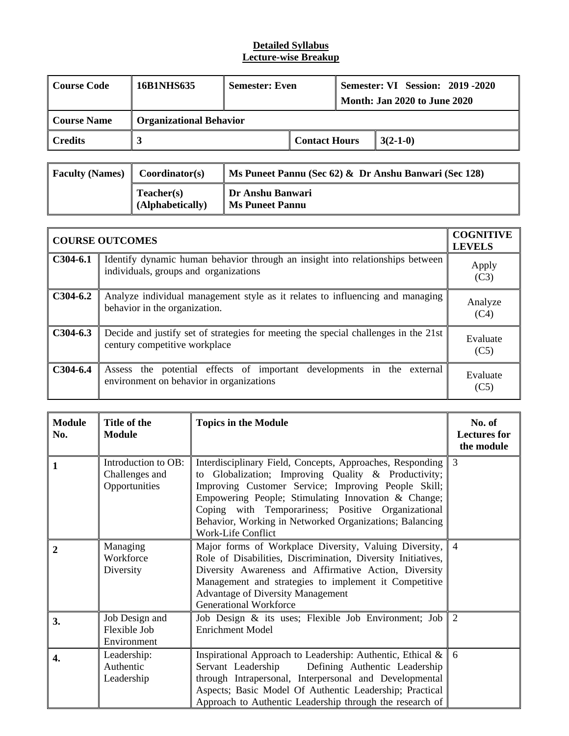| Course Code    | 16B1NHS635                     | <b>Semester: Even</b> |  | <b>Semester: VI Session: 2019 -2020</b><br><b>Month: Jan 2020 to June 2020</b> |  |  |
|----------------|--------------------------------|-----------------------|--|--------------------------------------------------------------------------------|--|--|
| Course Name    | <b>Organizational Behavior</b> |                       |  |                                                                                |  |  |
| <b>Credits</b> |                                | <b>Contact Hours</b>  |  | $3(2-1-0)$                                                                     |  |  |

| <b>Faculty (Names)</b> | Coordinator(s)                 | $\parallel$ Ms Puneet Pannu (Sec 62) & Dr Anshu Banwari (Sec 128) |
|------------------------|--------------------------------|-------------------------------------------------------------------|
|                        | Teacher(s)<br>(Alphabetically) | Dr Anshu Banwari<br><b>Ms Puneet Pannu</b>                        |

| <b>COURSE OUTCOMES</b> | <b>COGNITIVE</b><br><b>LEVELS</b>                                                                                      |                  |
|------------------------|------------------------------------------------------------------------------------------------------------------------|------------------|
| $C304-6.1$             | Identify dynamic human behavior through an insight into relationships between<br>individuals, groups and organizations | Apply<br>(C3)    |
| $C304-6.2$             | Analyze individual management style as it relates to influencing and managing<br>behavior in the organization.         | Analyze<br>(C4)  |
| $C304-6.3$             | Decide and justify set of strategies for meeting the special challenges in the 21st<br>century competitive workplace   | Evaluate<br>(C5) |
| $C304-6.4$             | Assess the potential effects of important developments in the external<br>environment on behavior in organizations     | Evaluate<br>(C5) |

| <b>Module</b><br>No. | Title of the<br><b>Module</b>                                                                                                         | <b>Topics in the Module</b>                                                                                                                                                                                                                                                                                                                                           | No. of<br><b>Lectures for</b><br>the module |  |
|----------------------|---------------------------------------------------------------------------------------------------------------------------------------|-----------------------------------------------------------------------------------------------------------------------------------------------------------------------------------------------------------------------------------------------------------------------------------------------------------------------------------------------------------------------|---------------------------------------------|--|
| 1                    | Introduction to OB:<br>Challenges and<br>Opportunities                                                                                | Interdisciplinary Field, Concepts, Approaches, Responding<br>to Globalization; Improving Quality & Productivity;<br>Improving Customer Service; Improving People Skill;<br>Empowering People; Stimulating Innovation & Change;<br>Coping with Temporariness; Positive Organizational<br>Behavior, Working in Networked Organizations; Balancing<br>Work-Life Conflict | 3                                           |  |
| $\mathbf{2}$         | Managing<br>Workforce<br>Diversity                                                                                                    | Major forms of Workplace Diversity, Valuing Diversity,<br>Role of Disabilities, Discrimination, Diversity Initiatives,<br>Diversity Awareness and Affirmative Action, Diversity<br>Management and strategies to implement it Competitive<br><b>Advantage of Diversity Management</b><br><b>Generational Workforce</b>                                                 | $\overline{4}$                              |  |
| 3.                   | Job Design and<br>Job Design & its uses; Flexible Job Environment; Job<br>2<br><b>Enrichment Model</b><br>Flexible Job<br>Environment |                                                                                                                                                                                                                                                                                                                                                                       |                                             |  |
| 4.                   | Leadership:<br>Authentic<br>Leadership                                                                                                | Inspirational Approach to Leadership: Authentic, Ethical $\& \parallel 6$<br>Servant Leadership<br>Defining Authentic Leadership<br>through Intrapersonal, Interpersonal and Developmental<br>Aspects; Basic Model Of Authentic Leadership; Practical<br>Approach to Authentic Leadership through the research of                                                     |                                             |  |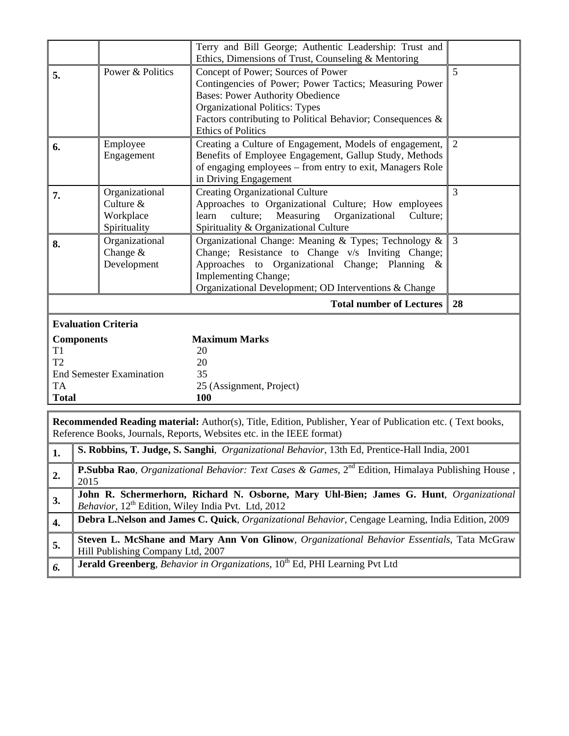|                                                                                                           |                                                                                                                                                                                                                                   | Terry and Bill George; Authentic Leadership: Trust and<br>Ethics, Dimensions of Trust, Counseling & Mentoring                                                                                                                                                               |                |  |
|-----------------------------------------------------------------------------------------------------------|-----------------------------------------------------------------------------------------------------------------------------------------------------------------------------------------------------------------------------------|-----------------------------------------------------------------------------------------------------------------------------------------------------------------------------------------------------------------------------------------------------------------------------|----------------|--|
| 5.                                                                                                        | Power & Politics                                                                                                                                                                                                                  | Concept of Power; Sources of Power<br>Contingencies of Power; Power Tactics; Measuring Power<br><b>Bases: Power Authority Obedience</b><br><b>Organizational Politics: Types</b><br>Factors contributing to Political Behavior; Consequences &<br><b>Ethics of Politics</b> | 5              |  |
| 6.                                                                                                        | Employee<br>Creating a Culture of Engagement, Models of engagement,<br>Benefits of Employee Engagement, Gallup Study, Methods<br>Engagement<br>of engaging employees – from entry to exit, Managers Role<br>in Driving Engagement |                                                                                                                                                                                                                                                                             |                |  |
| 7.                                                                                                        | Organizational<br>Culture $\&$<br>Workplace<br>Spirituality                                                                                                                                                                       | <b>Creating Organizational Culture</b><br>Approaches to Organizational Culture; How employees<br>Measuring Organizational<br>culture;<br>learn<br>Culture;<br>Spirituality & Organizational Culture                                                                         | $\overline{3}$ |  |
| 8.                                                                                                        | Organizational<br>Change $&$<br>Development                                                                                                                                                                                       | Organizational Change: Meaning & Types; Technology &<br>Change; Resistance to Change v/s Inviting Change;<br>Approaches to Organizational Change; Planning &<br>Implementing Change;<br>Organizational Development; OD Interventions & Change                               | 3              |  |
|                                                                                                           |                                                                                                                                                                                                                                   | <b>Total number of Lectures</b>                                                                                                                                                                                                                                             | <b>28</b>      |  |
| <b>Evaluation Criteria</b>                                                                                |                                                                                                                                                                                                                                   |                                                                                                                                                                                                                                                                             |                |  |
| <b>Components</b><br>T1<br>T <sub>2</sub><br><b>End Semester Examination</b><br><b>TA</b><br><b>Total</b> |                                                                                                                                                                                                                                   | <b>Maximum Marks</b><br>20<br>20<br>35<br>25 (Assignment, Project)<br>100                                                                                                                                                                                                   |                |  |

**Recommended Reading material:** Author(s), Title, Edition, Publisher, Year of Publication etc. ( Text books, Reference Books, Journals, Reports, Websites etc. in the IEEE format)

|     | S. Robbins, T. Judge, S. Sanghi, Organizational Behavior, 13th Ed, Prentice-Hall India, 2001                                                             |
|-----|----------------------------------------------------------------------------------------------------------------------------------------------------------|
|     | <b>P.Subba Rao</b> , <i>Organizational Behavior: Text Cases &amp; Games</i> , 2 <sup>nd</sup> Edition, Himalaya Publishing House,<br>2015                |
| 3.  | John R. Schermerhorn, Richard N. Osborne, Mary Uhl-Bien; James G. Hunt, Organizational<br>Behavior, 12 <sup>th</sup> Edition, Wiley India Pvt. Ltd, 2012 |
| 4.  | Debra L.Nelson and James C. Quick, Organizational Behavior, Cengage Learning, India Edition, 2009                                                        |
| 5.  | Steven L. McShane and Mary Ann Von Glinow, Organizational Behavior Essentials, Tata McGraw<br>Hill Publishing Company Ltd, 2007                          |
| -6. | Jerald Greenberg, Behavior in Organizations, 10th Ed, PHI Learning Pvt Ltd                                                                               |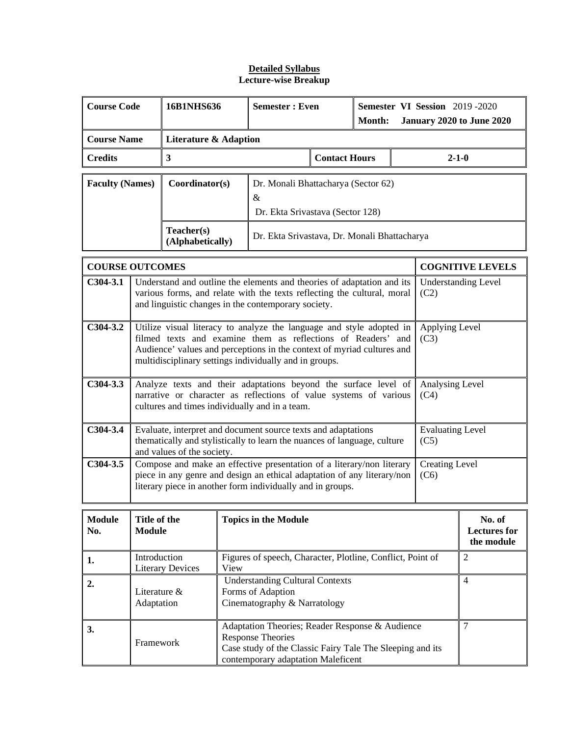| <b>Course Code</b>     |                                                                                                                                                                                                                                                                                                    | 16B1NHS636                       |                                                                    | <b>Semester: Even</b>                                                                                                                                                                                          |                      | Month:                     | Semester VI Session 2019-2020<br>January 2020 to June 2020 |                                 |                                             |
|------------------------|----------------------------------------------------------------------------------------------------------------------------------------------------------------------------------------------------------------------------------------------------------------------------------------------------|----------------------------------|--------------------------------------------------------------------|----------------------------------------------------------------------------------------------------------------------------------------------------------------------------------------------------------------|----------------------|----------------------------|------------------------------------------------------------|---------------------------------|---------------------------------------------|
| <b>Course Name</b>     |                                                                                                                                                                                                                                                                                                    | <b>Literature &amp; Adaption</b> |                                                                    |                                                                                                                                                                                                                |                      |                            |                                                            |                                 |                                             |
| <b>Credits</b>         | 3                                                                                                                                                                                                                                                                                                  |                                  |                                                                    |                                                                                                                                                                                                                | <b>Contact Hours</b> |                            |                                                            |                                 | $2 - 1 - 0$                                 |
| <b>Faculty (Names)</b> |                                                                                                                                                                                                                                                                                                    | Coordinator(s)                   |                                                                    | Dr. Monali Bhattacharya (Sector 62)<br>&<br>Dr. Ekta Srivastava (Sector 128)                                                                                                                                   |                      |                            |                                                            |                                 |                                             |
|                        |                                                                                                                                                                                                                                                                                                    | Teacher(s)<br>(Alphabetically)   |                                                                    | Dr. Ekta Srivastava, Dr. Monali Bhattacharya                                                                                                                                                                   |                      |                            |                                                            |                                 |                                             |
| <b>COURSE OUTCOMES</b> |                                                                                                                                                                                                                                                                                                    |                                  |                                                                    |                                                                                                                                                                                                                |                      |                            |                                                            |                                 | <b>COGNITIVE LEVELS</b>                     |
| $C304-3.1$             | Understand and outline the elements and theories of adaptation and its<br>various forms, and relate with the texts reflecting the cultural, moral<br>and linguistic changes in the contemporary society.                                                                                           |                                  |                                                                    |                                                                                                                                                                                                                | (C2)                 | <b>Understanding Level</b> |                                                            |                                 |                                             |
| $C304-3.2$             | Applying Level<br>Utilize visual literacy to analyze the language and style adopted in<br>filmed texts and examine them as reflections of Readers' and<br>(C3)<br>Audience' values and perceptions in the context of myriad cultures and<br>multidisciplinary settings individually and in groups. |                                  |                                                                    |                                                                                                                                                                                                                |                      |                            |                                                            |                                 |                                             |
| $C304-3.3$             | Analyze texts and their adaptations beyond the surface level of<br>Analysing Level<br>narrative or character as reflections of value systems of various<br>(C4)<br>cultures and times individually and in a team.                                                                                  |                                  |                                                                    |                                                                                                                                                                                                                |                      |                            |                                                            |                                 |                                             |
| $C304-3.4$             |                                                                                                                                                                                                                                                                                                    | and values of the society.       |                                                                    | Evaluate, interpret and document source texts and adaptations<br>thematically and stylistically to learn the nuances of language, culture                                                                      |                      |                            |                                                            | <b>Evaluating Level</b><br>(C5) |                                             |
| $C304-3.5$             |                                                                                                                                                                                                                                                                                                    |                                  |                                                                    | Compose and make an effective presentation of a literary/non literary<br>piece in any genre and design an ethical adaptation of any literary/non<br>literary piece in another form individually and in groups. |                      |                            |                                                            | Creating Level<br>(C6)          |                                             |
| <b>Module</b><br>No.   | Title of the<br><b>Module</b>                                                                                                                                                                                                                                                                      |                                  |                                                                    | <b>Topics in the Module</b>                                                                                                                                                                                    |                      |                            |                                                            |                                 | No. of<br><b>Lectures</b> for<br>the module |
| 1.                     | Introduction                                                                                                                                                                                                                                                                                       | <b>Literary Devices</b>          | Figures of speech, Character, Plotline, Conflict, Point of<br>View |                                                                                                                                                                                                                |                      | $\overline{2}$             |                                                            |                                 |                                             |
| 2.                     | <b>Understanding Cultural Contexts</b><br>Literature &<br>Forms of Adaption<br>Adaptation<br>Cinematography & Narratology                                                                                                                                                                          |                                  |                                                                    |                                                                                                                                                                                                                | $\overline{4}$       |                            |                                                            |                                 |                                             |
| 3.                     | Adaptation Theories; Reader Response & Audience<br><b>Response Theories</b><br>Framework<br>Case study of the Classic Fairy Tale The Sleeping and its<br>contemporary adaptation Maleficent                                                                                                        |                                  |                                                                    |                                                                                                                                                                                                                |                      | $7\phantom{.0}$            |                                                            |                                 |                                             |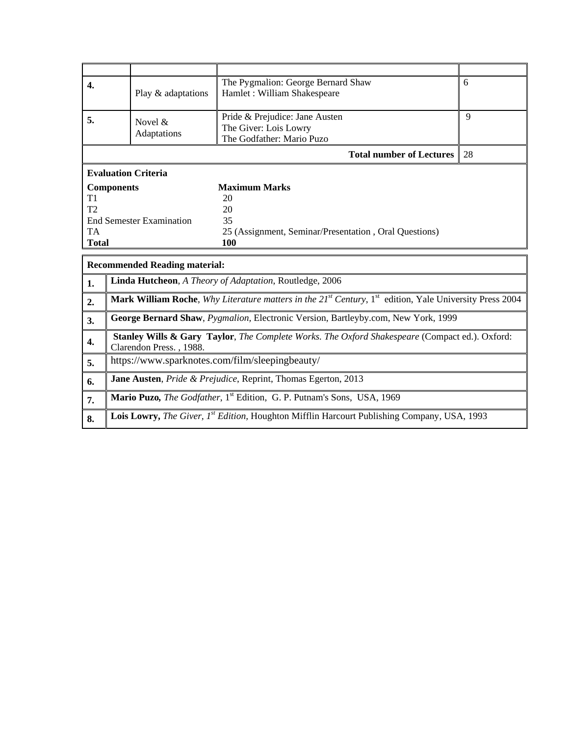| 4.                 |                                                                                                                           | The Pygmalion: George Bernard Shaw                                                                           | 6  |  |  |  |
|--------------------|---------------------------------------------------------------------------------------------------------------------------|--------------------------------------------------------------------------------------------------------------|----|--|--|--|
| Play & adaptations |                                                                                                                           | Hamlet: William Shakespeare                                                                                  |    |  |  |  |
|                    |                                                                                                                           |                                                                                                              |    |  |  |  |
| 5.                 | Novel &                                                                                                                   | Pride & Prejudice: Jane Austen                                                                               | 9  |  |  |  |
|                    | Adaptations                                                                                                               | The Giver: Lois Lowry                                                                                        |    |  |  |  |
|                    |                                                                                                                           | The Godfather: Mario Puzo                                                                                    |    |  |  |  |
|                    |                                                                                                                           | <b>Total number of Lectures</b>                                                                              | 28 |  |  |  |
|                    | <b>Evaluation Criteria</b>                                                                                                |                                                                                                              |    |  |  |  |
|                    | <b>Components</b>                                                                                                         | <b>Maximum Marks</b>                                                                                         |    |  |  |  |
| T1                 |                                                                                                                           | 20                                                                                                           |    |  |  |  |
| T <sub>2</sub>     |                                                                                                                           | 20                                                                                                           |    |  |  |  |
|                    | <b>End Semester Examination</b>                                                                                           | 35                                                                                                           |    |  |  |  |
| TA                 |                                                                                                                           | 25 (Assignment, Seminar/Presentation, Oral Questions)                                                        |    |  |  |  |
| <b>Total</b>       |                                                                                                                           | 100                                                                                                          |    |  |  |  |
|                    | <b>Recommended Reading material:</b>                                                                                      |                                                                                                              |    |  |  |  |
| 1.                 |                                                                                                                           | Linda Hutcheon, A Theory of Adaptation, Routledge, 2006                                                      |    |  |  |  |
| 2.                 |                                                                                                                           | Mark William Roche, Why Literature matters in the $21^{st}$ Century, 1st edition, Yale University Press 2004 |    |  |  |  |
| 3.                 | George Bernard Shaw, <i>Pygmalion</i> , Electronic Version, Bartleyby.com, New York, 1999                                 |                                                                                                              |    |  |  |  |
| 4.                 | Stanley Wills & Gary Taylor, The Complete Works. The Oxford Shakespeare (Compact ed.). Oxford:<br>Clarendon Press., 1988. |                                                                                                              |    |  |  |  |
| 5.                 | https://www.sparknotes.com/film/sleepingbeauty/                                                                           |                                                                                                              |    |  |  |  |
| 6.                 | Jane Austen, Pride & Prejudice, Reprint, Thomas Egerton, 2013                                                             |                                                                                                              |    |  |  |  |
| 7.                 | Mario Puzo, The Godfather, 1 <sup>st</sup> Edition, G. P. Putnam's Sons, USA, 1969                                        |                                                                                                              |    |  |  |  |

8. Lois Lowry, *The Giver, 1<sup>st</sup> Edition*, Houghton Mifflin Harcourt Publishing Company, USA, 1993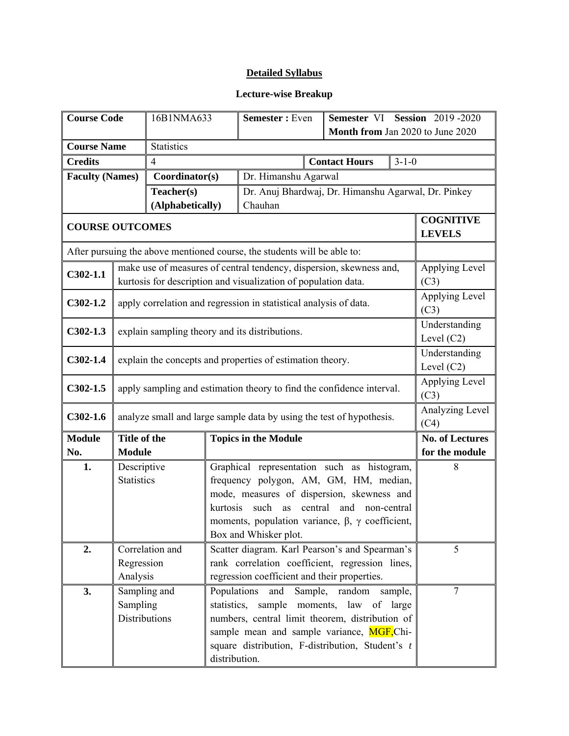# **Detailed Syllabus**

# **Lecture-wise Breakup**

| <b>Course Code</b>                       |                                                                       | 16B1NMA633                                      |                                                                                      | Semester: Even<br>Semester VI Session 2019-2020<br>Month from Jan 2020 to June 2020                                                   |                      |                               |                                          |  |
|------------------------------------------|-----------------------------------------------------------------------|-------------------------------------------------|--------------------------------------------------------------------------------------|---------------------------------------------------------------------------------------------------------------------------------------|----------------------|-------------------------------|------------------------------------------|--|
| <b>Course Name</b>                       |                                                                       | <b>Statistics</b>                               |                                                                                      |                                                                                                                                       |                      |                               |                                          |  |
| <b>Credits</b>                           |                                                                       | 4                                               |                                                                                      |                                                                                                                                       | <b>Contact Hours</b> | $3 - 1 - 0$                   |                                          |  |
| <b>Faculty (Names)</b><br>Coordinator(s) |                                                                       |                                                 |                                                                                      | Dr. Himanshu Agarwal                                                                                                                  |                      |                               |                                          |  |
|                                          |                                                                       | Teacher(s)                                      |                                                                                      | Dr. Anuj Bhardwaj, Dr. Himanshu Agarwal, Dr. Pinkey                                                                                   |                      |                               |                                          |  |
| (Alphabetically)                         |                                                                       |                                                 |                                                                                      | Chauhan                                                                                                                               |                      |                               |                                          |  |
| <b>COURSE OUTCOMES</b>                   |                                                                       |                                                 |                                                                                      |                                                                                                                                       |                      |                               | <b>COGNITIVE</b><br><b>LEVELS</b>        |  |
|                                          |                                                                       |                                                 |                                                                                      | After pursuing the above mentioned course, the students will be able to:                                                              |                      |                               |                                          |  |
| $C302-1.1$                               |                                                                       |                                                 |                                                                                      | make use of measures of central tendency, dispersion, skewness and,<br>kurtosis for description and visualization of population data. |                      |                               | Applying Level<br>(C3)                   |  |
| $C302-1.2$                               |                                                                       |                                                 |                                                                                      | apply correlation and regression in statistical analysis of data.                                                                     |                      |                               | Applying Level<br>(C3)                   |  |
| $C302-1.3$                               |                                                                       |                                                 |                                                                                      | explain sampling theory and its distributions.                                                                                        |                      |                               | Understanding<br>Level $(C2)$            |  |
| $C302-1.4$                               |                                                                       |                                                 |                                                                                      | explain the concepts and properties of estimation theory.                                                                             |                      |                               | Understanding<br>Level $(C2)$            |  |
| $C302-1.5$                               | apply sampling and estimation theory to find the confidence interval. |                                                 |                                                                                      |                                                                                                                                       |                      | <b>Applying Level</b><br>(C3) |                                          |  |
| $C302-1.6$                               |                                                                       |                                                 |                                                                                      | analyze small and large sample data by using the test of hypothesis.                                                                  |                      | Analyzing Level<br>(C4)       |                                          |  |
| <b>Module</b><br>No.                     | Title of the<br><b>Module</b>                                         |                                                 |                                                                                      | <b>Topics in the Module</b>                                                                                                           |                      |                               | <b>No. of Lectures</b><br>for the module |  |
| 1.                                       | Descriptive<br><b>Statistics</b>                                      |                                                 |                                                                                      | Graphical representation such as histogram,                                                                                           |                      |                               | 8                                        |  |
|                                          |                                                                       |                                                 | frequency polygon, AM, GM, HM, median,<br>mode, measures of dispersion, skewness and |                                                                                                                                       |                      |                               |                                          |  |
|                                          |                                                                       |                                                 | kurtosis                                                                             | central<br>such<br>as                                                                                                                 | and                  | non-central                   |                                          |  |
|                                          |                                                                       |                                                 |                                                                                      | moments, population variance, $\beta$ , $\gamma$ coefficient,                                                                         |                      |                               |                                          |  |
|                                          |                                                                       |                                                 | Box and Whisker plot.                                                                |                                                                                                                                       |                      |                               |                                          |  |
| 2.                                       |                                                                       | Correlation and                                 | Scatter diagram. Karl Pearson's and Spearman's                                       |                                                                                                                                       |                      |                               | 5                                        |  |
| Regression                               |                                                                       | rank correlation coefficient, regression lines, |                                                                                      |                                                                                                                                       |                      |                               |                                          |  |
|                                          | Analysis                                                              |                                                 |                                                                                      | regression coefficient and their properties.                                                                                          | random               |                               | $\overline{7}$                           |  |
| 3.                                       |                                                                       | Sampling and                                    | Populations<br>statistics,                                                           | and<br>Sample,<br>sample moments, law                                                                                                 |                      | sample,<br>of large           |                                          |  |
| Sampling<br><b>Distributions</b>         |                                                                       |                                                 |                                                                                      | numbers, central limit theorem, distribution of                                                                                       |                      |                               |                                          |  |
|                                          |                                                                       |                                                 |                                                                                      | sample mean and sample variance, MGF, Chi-                                                                                            |                      |                               |                                          |  |
|                                          |                                                                       |                                                 | distribution.                                                                        | square distribution, F-distribution, Student's t                                                                                      |                      |                               |                                          |  |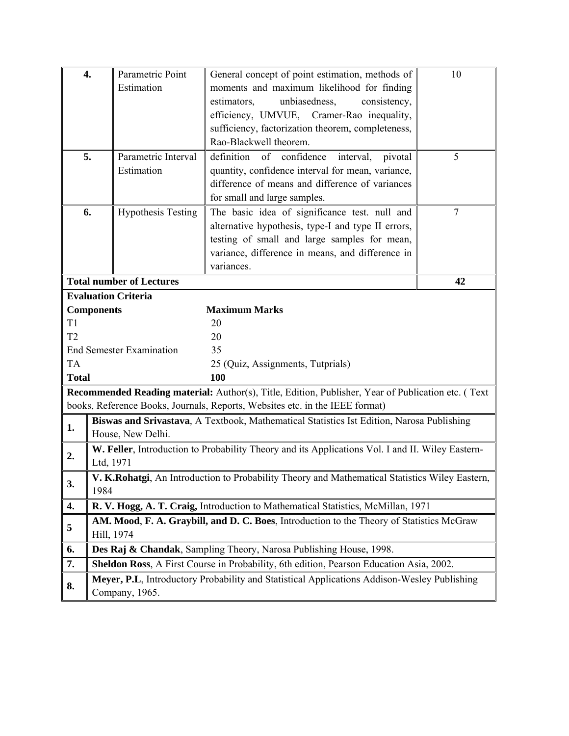|                | 4.                                                                                                 | Parametric Point                | General concept of point estimation, methods of                                             | 10             |  |  |  |
|----------------|----------------------------------------------------------------------------------------------------|---------------------------------|---------------------------------------------------------------------------------------------|----------------|--|--|--|
|                |                                                                                                    | Estimation                      | moments and maximum likelihood for finding                                                  |                |  |  |  |
|                |                                                                                                    |                                 | unbiasedness,<br>estimators,<br>consistency,                                                |                |  |  |  |
|                |                                                                                                    |                                 | efficiency, UMVUE, Cramer-Rao inequality,                                                   |                |  |  |  |
|                |                                                                                                    |                                 | sufficiency, factorization theorem, completeness,                                           |                |  |  |  |
|                |                                                                                                    |                                 | Rao-Blackwell theorem.                                                                      |                |  |  |  |
|                | 5.                                                                                                 | Parametric Interval             | definition<br>of<br>confidence<br>interval,<br>pivotal                                      | 5              |  |  |  |
|                |                                                                                                    | Estimation                      | quantity, confidence interval for mean, variance,                                           |                |  |  |  |
|                |                                                                                                    |                                 | difference of means and difference of variances                                             |                |  |  |  |
|                |                                                                                                    |                                 | for small and large samples.                                                                |                |  |  |  |
|                | 6.                                                                                                 | <b>Hypothesis Testing</b>       | The basic idea of significance test. null and                                               | $\overline{7}$ |  |  |  |
|                |                                                                                                    |                                 | alternative hypothesis, type-I and type II errors,                                          |                |  |  |  |
|                |                                                                                                    |                                 | testing of small and large samples for mean,                                                |                |  |  |  |
|                |                                                                                                    |                                 | variance, difference in means, and difference in                                            |                |  |  |  |
|                |                                                                                                    |                                 | variances.                                                                                  |                |  |  |  |
|                |                                                                                                    | <b>Total number of Lectures</b> |                                                                                             | 42             |  |  |  |
|                |                                                                                                    | <b>Evaluation Criteria</b>      |                                                                                             |                |  |  |  |
| T <sub>1</sub> | <b>Components</b>                                                                                  |                                 | <b>Maximum Marks</b><br>20                                                                  |                |  |  |  |
| T <sub>2</sub> |                                                                                                    |                                 | 20                                                                                          |                |  |  |  |
|                |                                                                                                    | <b>End Semester Examination</b> | 35                                                                                          |                |  |  |  |
| <b>TA</b>      |                                                                                                    |                                 | 25 (Quiz, Assignments, Tutprials)                                                           |                |  |  |  |
| <b>Total</b>   | 100                                                                                                |                                 |                                                                                             |                |  |  |  |
|                | Recommended Reading material: Author(s), Title, Edition, Publisher, Year of Publication etc. (Text |                                 |                                                                                             |                |  |  |  |
|                |                                                                                                    |                                 | books, Reference Books, Journals, Reports, Websites etc. in the IEEE format)                |                |  |  |  |
|                |                                                                                                    |                                 | Biswas and Srivastava, A Textbook, Mathematical Statistics Ist Edition, Narosa Publishing   |                |  |  |  |
| 1.             |                                                                                                    | House, New Delhi.               |                                                                                             |                |  |  |  |
| 2.             | W. Feller, Introduction to Probability Theory and its Applications Vol. I and II. Wiley Eastern-   |                                 |                                                                                             |                |  |  |  |
|                | Ltd, 1971                                                                                          |                                 |                                                                                             |                |  |  |  |
| 3.             | V. K.Rohatgi, An Introduction to Probability Theory and Mathematical Statistics Wiley Eastern,     |                                 |                                                                                             |                |  |  |  |
|                | 1984                                                                                               |                                 |                                                                                             |                |  |  |  |
| 4.             | R. V. Hogg, A. T. Craig, Introduction to Mathematical Statistics, McMillan, 1971                   |                                 |                                                                                             |                |  |  |  |
| $\sqrt{5}$     | AM. Mood, F. A. Graybill, and D. C. Boes, Introduction to the Theory of Statistics McGraw          |                                 |                                                                                             |                |  |  |  |
|                | Hill, 1974                                                                                         |                                 |                                                                                             |                |  |  |  |
| 6.             | Des Raj & Chandak, Sampling Theory, Narosa Publishing House, 1998.                                 |                                 |                                                                                             |                |  |  |  |
| 7.             |                                                                                                    |                                 | Sheldon Ross, A First Course in Probability, 6th edition, Pearson Education Asia, 2002.     |                |  |  |  |
| 8.             |                                                                                                    |                                 | Meyer, P.L. Introductory Probability and Statistical Applications Addison-Wesley Publishing |                |  |  |  |
|                |                                                                                                    | Company, 1965.                  |                                                                                             |                |  |  |  |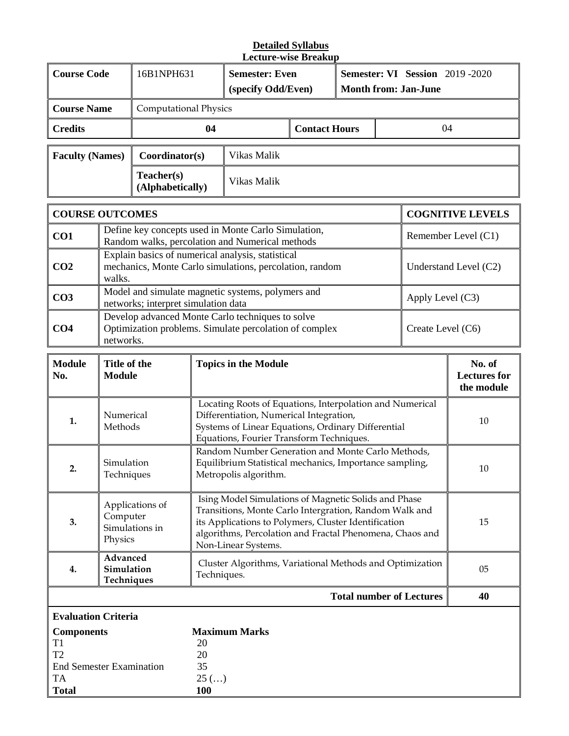| <b>Course Code</b>                                                                                                                      |                               | 16B1NPH631                                                                                                                                                                                                                                                      |                                                                                                                                       | Semester: VI Session 2019 -2020<br><b>Semester: Even</b><br>(specify Odd/Even)<br><b>Month from: Jan-June</b> |                      |                   |                                 |                  |                                             |
|-----------------------------------------------------------------------------------------------------------------------------------------|-------------------------------|-----------------------------------------------------------------------------------------------------------------------------------------------------------------------------------------------------------------------------------------------------------------|---------------------------------------------------------------------------------------------------------------------------------------|---------------------------------------------------------------------------------------------------------------|----------------------|-------------------|---------------------------------|------------------|---------------------------------------------|
| <b>Course Name</b>                                                                                                                      |                               | <b>Computational Physics</b>                                                                                                                                                                                                                                    |                                                                                                                                       |                                                                                                               |                      |                   |                                 |                  |                                             |
| <b>Credits</b>                                                                                                                          |                               |                                                                                                                                                                                                                                                                 | 04                                                                                                                                    |                                                                                                               | <b>Contact Hours</b> |                   |                                 | 04               |                                             |
| <b>Faculty (Names)</b>                                                                                                                  |                               | Coordinator(s)                                                                                                                                                                                                                                                  |                                                                                                                                       | Vikas Malik                                                                                                   |                      |                   |                                 |                  |                                             |
|                                                                                                                                         |                               | Teacher(s)<br>(Alphabetically)                                                                                                                                                                                                                                  |                                                                                                                                       | Vikas Malik                                                                                                   |                      |                   |                                 |                  |                                             |
| <b>COURSE OUTCOMES</b>                                                                                                                  |                               |                                                                                                                                                                                                                                                                 |                                                                                                                                       |                                                                                                               |                      |                   |                                 |                  | <b>COGNITIVE LEVELS</b>                     |
| CO <sub>1</sub>                                                                                                                         |                               |                                                                                                                                                                                                                                                                 |                                                                                                                                       | Define key concepts used in Monte Carlo Simulation,<br>Random walks, percolation and Numerical methods        |                      |                   |                                 |                  | Remember Level (C1)                         |
| CO <sub>2</sub>                                                                                                                         | walks.                        |                                                                                                                                                                                                                                                                 |                                                                                                                                       | Explain basics of numerical analysis, statistical<br>mechanics, Monte Carlo simulations, percolation, random  |                      |                   |                                 |                  | Understand Level (C2)                       |
| CO <sub>3</sub>                                                                                                                         |                               | networks; interpret simulation data                                                                                                                                                                                                                             |                                                                                                                                       | Model and simulate magnetic systems, polymers and                                                             |                      |                   |                                 | Apply Level (C3) |                                             |
| CO <sub>4</sub><br>networks.                                                                                                            |                               |                                                                                                                                                                                                                                                                 | Develop advanced Monte Carlo techniques to solve<br>Optimization problems. Simulate percolation of complex                            |                                                                                                               |                      | Create Level (C6) |                                 |                  |                                             |
| <b>Module</b><br>No.                                                                                                                    | Title of the<br><b>Module</b> |                                                                                                                                                                                                                                                                 |                                                                                                                                       | <b>Topics in the Module</b>                                                                                   |                      |                   |                                 |                  | No. of<br><b>Lectures for</b><br>the module |
| 1.                                                                                                                                      |                               | Locating Roots of Equations, Interpolation and Numerical<br>Numerical<br>Differentiation, Numerical Integration,<br>Systems of Linear Equations, Ordinary Differential<br>Methods<br>Equations, Fourier Transform Techniques.                                   |                                                                                                                                       | 10                                                                                                            |                      |                   |                                 |                  |                                             |
| 2.                                                                                                                                      | Simulation<br>Techniques      |                                                                                                                                                                                                                                                                 | Random Number Generation and Monte Carlo Methods,<br>Equilibrium Statistical mechanics, Importance sampling,<br>Metropolis algorithm. |                                                                                                               | 10                   |                   |                                 |                  |                                             |
| Applications of<br>Computer<br>3.<br>Simulations in<br>Physics                                                                          |                               | Ising Model Simulations of Magnetic Solids and Phase<br>Transitions, Monte Carlo Intergration, Random Walk and<br>its Applications to Polymers, Cluster Identification<br>15<br>algorithms, Percolation and Fractal Phenomena, Chaos and<br>Non-Linear Systems. |                                                                                                                                       |                                                                                                               |                      |                   |                                 |                  |                                             |
| Advanced<br>Simulation<br>4.<br>Techniques                                                                                              |                               |                                                                                                                                                                                                                                                                 | Cluster Algorithms, Variational Methods and Optimization<br>Techniques.                                                               |                                                                                                               |                      | 05                |                                 |                  |                                             |
|                                                                                                                                         |                               |                                                                                                                                                                                                                                                                 |                                                                                                                                       |                                                                                                               |                      |                   | <b>Total number of Lectures</b> | 40               |                                             |
| <b>Evaluation Criteria</b><br><b>Components</b><br>T <sub>1</sub><br>T2<br><b>End Semester Examination</b><br><b>TA</b><br><b>Total</b> |                               | 20<br>20<br>35<br>$25$ ()<br><b>100</b>                                                                                                                                                                                                                         | <b>Maximum Marks</b>                                                                                                                  |                                                                                                               |                      |                   |                                 |                  |                                             |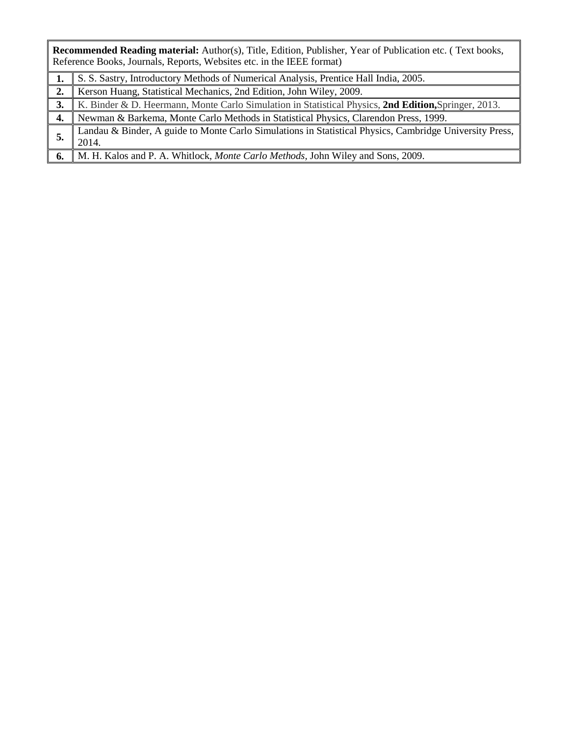|                  | <b>Recommended Reading material:</b> Author(s), Title, Edition, Publisher, Year of Publication etc. (Text books,<br>Reference Books, Journals, Reports, Websites etc. in the IEEE format) |  |  |  |  |  |
|------------------|-------------------------------------------------------------------------------------------------------------------------------------------------------------------------------------------|--|--|--|--|--|
|                  | S. S. Sastry, Introductory Methods of Numerical Analysis, Prentice Hall India, 2005.                                                                                                      |  |  |  |  |  |
| $\overline{2}$ . | Kerson Huang, Statistical Mechanics, 2nd Edition, John Wiley, 2009.                                                                                                                       |  |  |  |  |  |
| 3.               | K. Binder & D. Heermann, Monte Carlo Simulation in Statistical Physics, 2nd Edition, Springer, 2013.                                                                                      |  |  |  |  |  |
| 4.               | Newman & Barkema, Monte Carlo Methods in Statistical Physics, Clarendon Press, 1999.                                                                                                      |  |  |  |  |  |
| 5.               | Landau & Binder, A guide to Monte Carlo Simulations in Statistical Physics, Cambridge University Press,<br>2014.                                                                          |  |  |  |  |  |
| 6.               | M. H. Kalos and P. A. Whitlock, <i>Monte Carlo Methods</i> , John Wiley and Sons, 2009.                                                                                                   |  |  |  |  |  |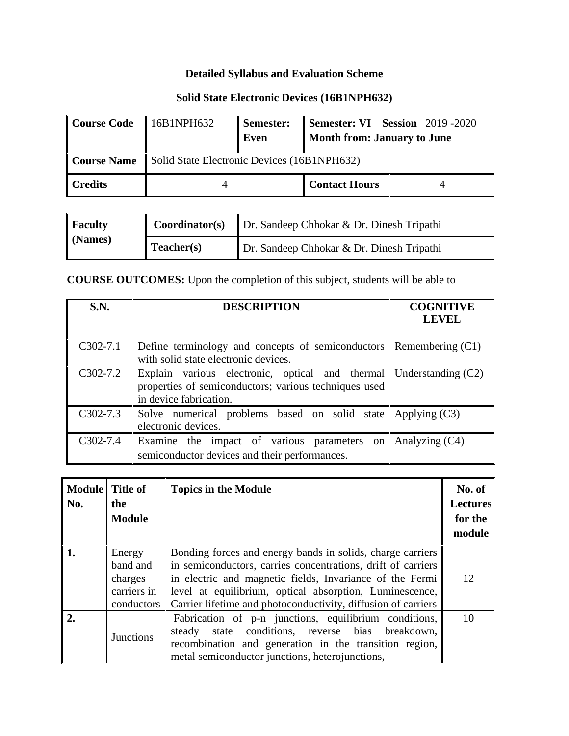# **Detailed Syllabus and Evaluation Scheme**

# **Solid State Electronic Devices (16B1NPH632)**

| <b>Course Code</b> | 16B1NPH632                                  | Semester:<br>Even | <b>Month from: January to June</b> | <b>Semester: VI</b> Session 2019 - 2020 |
|--------------------|---------------------------------------------|-------------------|------------------------------------|-----------------------------------------|
| <b>Course Name</b> | Solid State Electronic Devices (16B1NPH632) |                   |                                    |                                         |
| <b>Credits</b>     |                                             |                   | <b>Contact Hours</b>               |                                         |

| <b>Faculty</b> | Coordinator(s) | Dr. Sandeep Chhokar & Dr. Dinesh Tripathi |
|----------------|----------------|-------------------------------------------|
| (Names)        | Teacher(s)     | Dr. Sandeep Chhokar & Dr. Dinesh Tripathi |

**COURSE OUTCOMES:** Upon the completion of this subject, students will be able to

| <b>S.N.</b> | <b>DESCRIPTION</b>                                                                                                                                      | <b>COGNITIVE</b><br><b>LEVEL</b> |
|-------------|---------------------------------------------------------------------------------------------------------------------------------------------------------|----------------------------------|
| $C302-7.1$  | Define terminology and concepts of semiconductors Remembering $(C1)$<br>with solid state electronic devices.                                            |                                  |
| $C302-7.2$  | Explain various electronic, optical and thermal Understanding $(C2)$<br>properties of semiconductors; various techniques used<br>in device fabrication. |                                  |
| $C302-7.3$  | Solve numerical problems based on solid state Applying $(C3)$<br>electronic devices.                                                                    |                                  |
| $C302-7.4$  | Examine the impact of various parameters on<br>semiconductor devices and their performances.                                                            | Analyzing $(C4)$                 |

| No.            | Module Title of<br>the<br><b>Module</b>                    | <b>Topics in the Module</b>                                                                                                                                                                                                                                                                                        | No. of<br><b>Lectures</b><br>for the<br>module |
|----------------|------------------------------------------------------------|--------------------------------------------------------------------------------------------------------------------------------------------------------------------------------------------------------------------------------------------------------------------------------------------------------------------|------------------------------------------------|
|                | Energy<br>band and<br>charges<br>carriers in<br>conductors | Bonding forces and energy bands in solids, charge carriers<br>in semiconductors, carries concentrations, drift of carriers<br>in electric and magnetic fields, Invariance of the Fermi<br>level at equilibrium, optical absorption, Luminescence,<br>Carrier lifetime and photoconductivity, diffusion of carriers | 12                                             |
| $\mathfrak{D}$ | <b>Junctions</b>                                           | Fabrication of p-n junctions, equilibrium conditions,<br>steady state conditions, reverse bias breakdown,<br>recombination and generation in the transition region,<br>metal semiconductor junctions, heterojunctions,                                                                                             | 10                                             |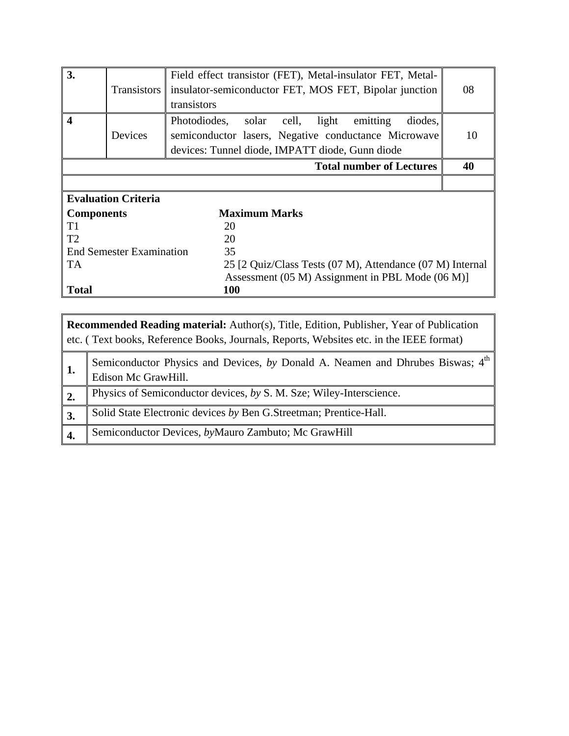| 3.                              | Transistors                     | Field effect transistor (FET), Metal-insulator FET, Metal-<br>insulator-semiconductor FET, MOS FET, Bipolar junction<br>transistors                                       | 08 |  |  |  |
|---------------------------------|---------------------------------|---------------------------------------------------------------------------------------------------------------------------------------------------------------------------|----|--|--|--|
| 4                               | Devices                         | light<br>Photodiodes,<br>emitting<br>diodes,<br>cell,<br>solar<br>semiconductor lasers, Negative conductance Microwave<br>devices: Tunnel diode, IMPATT diode, Gunn diode | 10 |  |  |  |
| <b>Total number of Lectures</b> |                                 |                                                                                                                                                                           |    |  |  |  |
|                                 |                                 |                                                                                                                                                                           |    |  |  |  |
|                                 | <b>Evaluation Criteria</b>      |                                                                                                                                                                           |    |  |  |  |
| <b>Components</b>               |                                 | <b>Maximum Marks</b>                                                                                                                                                      |    |  |  |  |
| T1                              |                                 | 20                                                                                                                                                                        |    |  |  |  |
| T <sub>2</sub>                  |                                 | 20                                                                                                                                                                        |    |  |  |  |
|                                 | <b>End Semester Examination</b> | 35                                                                                                                                                                        |    |  |  |  |
| <b>TA</b>                       |                                 | 25 [2 Quiz/Class Tests (07 M), Attendance (07 M) Internal                                                                                                                 |    |  |  |  |
|                                 |                                 | Assessment (05 M) Assignment in PBL Mode (06 M)]                                                                                                                          |    |  |  |  |
| <b>Total</b>                    |                                 | <b>100</b>                                                                                                                                                                |    |  |  |  |

|                  | <b>Recommended Reading material:</b> Author(s), Title, Edition, Publisher, Year of Publication<br>etc. (Text books, Reference Books, Journals, Reports, Websites etc. in the IEEE format) |  |  |  |  |  |  |
|------------------|-------------------------------------------------------------------------------------------------------------------------------------------------------------------------------------------|--|--|--|--|--|--|
| 1.               | Semiconductor Physics and Devices, by Donald A. Neamen and Dhrubes Biswas; 4th<br>Edison Mc GrawHill.                                                                                     |  |  |  |  |  |  |
| 2.               | Physics of Semiconductor devices, by S. M. Sze; Wiley-Interscience.                                                                                                                       |  |  |  |  |  |  |
| 3.               | Solid State Electronic devices by Ben G.Streetman; Prentice-Hall.                                                                                                                         |  |  |  |  |  |  |
| $\overline{4}$ . | Semiconductor Devices, byMauro Zambuto; Mc GrawHill                                                                                                                                       |  |  |  |  |  |  |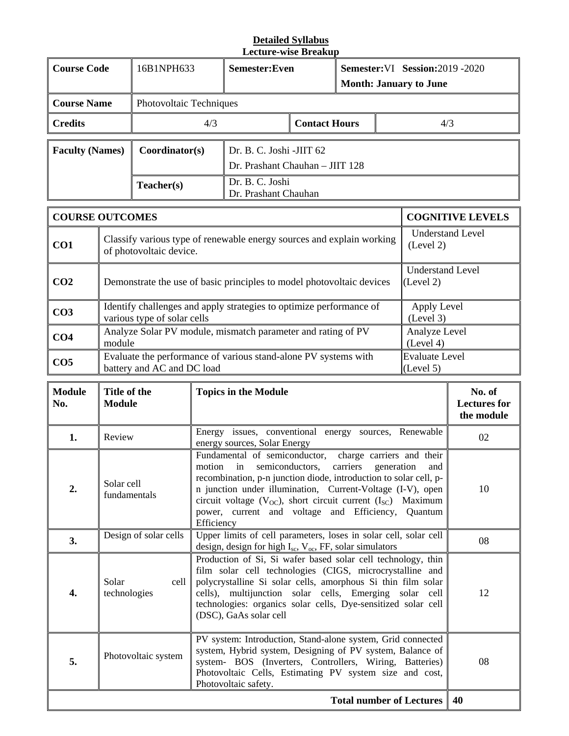| <b>Course Code</b>     | 16B1NPH633              | <b>Semester: Even</b>                   |  | <b>Semester: VI</b> Session: 2019 - 2020<br><b>Month: January to June</b> |     |
|------------------------|-------------------------|-----------------------------------------|--|---------------------------------------------------------------------------|-----|
|                        |                         |                                         |  |                                                                           |     |
| <b>Course Name</b>     | Photovoltaic Techniques |                                         |  |                                                                           |     |
| <b>Credits</b>         | 4/3                     | <b>Contact Hours</b>                    |  |                                                                           | 4/3 |
|                        |                         |                                         |  |                                                                           |     |
| <b>Faculty (Names)</b> | Coordinator(s)          | Dr. B. C. Joshi - JIIT $62$             |  |                                                                           |     |
|                        |                         | Dr. Prashant Chauhan - JIIT 128         |  |                                                                           |     |
|                        | Teacher(s)              | Dr. B. C. Joshi<br>Dr. Prashant Chauhan |  |                                                                           |     |

|                 | <b>COURSE OUTCOMES</b>                                                                             | <b>COGNITIVE LEVELS</b>              |
|-----------------|----------------------------------------------------------------------------------------------------|--------------------------------------|
| CO <sub>1</sub> | Classify various type of renewable energy sources and explain working<br>of photovoltaic device.   | <b>Understand Level</b><br>(Level 2) |
| CO <sub>2</sub> | Demonstrate the use of basic principles to model photovoltaic devices                              | <b>Understand Level</b><br>(Level 2) |
| CO <sub>3</sub> | Identify challenges and apply strategies to optimize performance of<br>various type of solar cells | Apply Level<br>(Level 3)             |
| CO <sub>4</sub> | Analyze Solar PV module, mismatch parameter and rating of PV<br>module                             | Analyze Level<br>(Level 4)           |
| CO <sub>5</sub> | Evaluate the performance of various stand-alone PV systems with<br>battery and AC and DC load      | <b>Evaluate Level</b><br>(Level 5)   |

| <b>Module</b><br>No. | Title of the<br><b>Module</b> | <b>Topics in the Module</b>                                                                                                                                                                                                                                                                                                                                                                           | No. of<br><b>Lectures for</b><br>the module |
|----------------------|-------------------------------|-------------------------------------------------------------------------------------------------------------------------------------------------------------------------------------------------------------------------------------------------------------------------------------------------------------------------------------------------------------------------------------------------------|---------------------------------------------|
| 1.                   | Review                        | Energy issues, conventional energy sources, Renewable<br>energy sources, Solar Energy                                                                                                                                                                                                                                                                                                                 | 02                                          |
| 2.                   | Solar cell<br>fundamentals    | Fundamental of semiconductor, charge carriers and their<br>motion in semiconductors, carriers<br>generation<br>and<br>recombination, p-n junction diode, introduction to solar cell, p-<br>n junction under illumination, Current-Voltage (I-V), open<br>circuit voltage ( $V_{OC}$ ), short circuit current ( $I_{SC}$ ) Maximum<br>power, current and voltage and Efficiency, Quantum<br>Efficiency | 10                                          |
| 3.                   | Design of solar cells         | Upper limits of cell parameters, loses in solar cell, solar cell<br>design, design for high $I_{\text{sc}}$ , $V_{\text{oc}}$ , FF, solar simulators                                                                                                                                                                                                                                                  | 08                                          |
| 4.                   | Solar<br>cell<br>technologies | Production of Si, Si wafer based solar cell technology, thin<br>film solar cell technologies (CIGS, microcrystalline and<br>polycrystalline Si solar cells, amorphous Si thin film solar<br>cells), multijunction solar cells, Emerging solar cell<br>technologies: organics solar cells, Dye-sensitized solar cell<br>(DSC), GaAs solar cell                                                         | 12                                          |
| 5.                   | Photovoltaic system           | PV system: Introduction, Stand-alone system, Grid connected<br>system, Hybrid system, Designing of PV system, Balance of<br>system- BOS (Inverters, Controllers, Wiring, Batteries)<br>Photovoltaic Cells, Estimating PV system size and cost,<br>Photovoltaic safety.                                                                                                                                | 08                                          |
|                      | 40                            |                                                                                                                                                                                                                                                                                                                                                                                                       |                                             |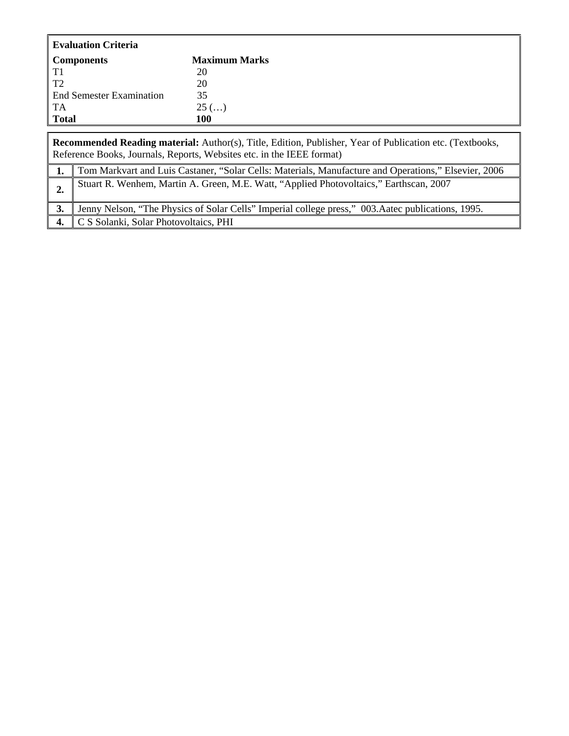| <b>Evaluation Criteria</b>      |                      |  |
|---------------------------------|----------------------|--|
| <b>Components</b>               | <b>Maximum Marks</b> |  |
| T1                              | 20                   |  |
| T <sub>2</sub>                  | 20                   |  |
| <b>End Semester Examination</b> | 35                   |  |
| TA                              | $25$ ()              |  |
| <b>Total</b>                    | 100                  |  |

**Recommended Reading material:** Author(s), Title, Edition, Publisher, Year of Publication etc. (Textbooks, Reference Books, Journals, Reports, Websites etc. in the IEEE format)

|    | Tom Markvart and Luis Castaner, "Solar Cells: Materials, Manufacture and Operations," Elsevier, 2006 |
|----|------------------------------------------------------------------------------------------------------|
|    | Stuart R. Wenhem, Martin A. Green, M.E. Watt, "Applied Photovoltaics," Earthscan, 2007               |
| 3. | Jenny Nelson, "The Physics of Solar Cells" Imperial college press," 003. Aatec publications, 1995.   |
|    | C S Solanki, Solar Photovoltaics, PHI                                                                |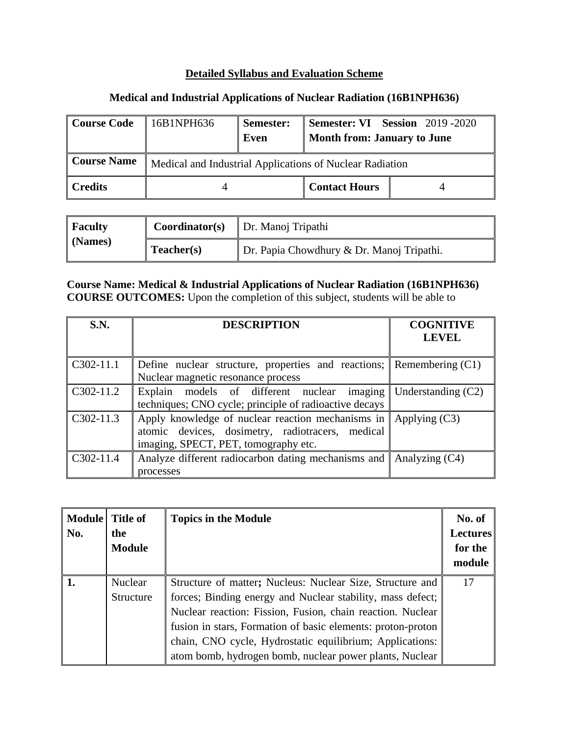# **Detailed Syllabus and Evaluation Scheme**

# **Medical and Industrial Applications of Nuclear Radiation (16B1NPH636)**

| <b>Course Code</b> | 16B1NPH636                                               | Semester:<br>Even | Month from: January to June | Semester: VI Session 2019 - 2020 |
|--------------------|----------------------------------------------------------|-------------------|-----------------------------|----------------------------------|
| <b>Course Name</b> | Medical and Industrial Applications of Nuclear Radiation |                   |                             |                                  |
| <b>Credits</b>     |                                                          |                   | <b>Contact Hours</b>        |                                  |

| <b>Faculty</b> |            | <b>Coordinator(s)</b> Dr. Manoj Tripathi  |
|----------------|------------|-------------------------------------------|
| (Names)        | Teacher(s) | Dr. Papia Chowdhury & Dr. Manoj Tripathi. |

**Course Name: Medical & Industrial Applications of Nuclear Radiation (16B1NPH636) COURSE OUTCOMES:** Upon the completion of this subject, students will be able to

| S.N.        | <b>DESCRIPTION</b>                                                                                                                            | <b>COGNITIVE</b><br><b>LEVEL</b> |
|-------------|-----------------------------------------------------------------------------------------------------------------------------------------------|----------------------------------|
| $C302-11.1$ | Define nuclear structure, properties and reactions; Remembering (C1)<br>Nuclear magnetic resonance process                                    |                                  |
| $C302-11.2$ | imaging<br>models of different nuclear<br>Explain<br>techniques; CNO cycle; principle of radioactive decays                                   | Understanding $(C2)$             |
| $C302-11.3$ | Apply knowledge of nuclear reaction mechanisms in<br>atomic devices, dosimetry, radiotracers, medical<br>imaging, SPECT, PET, tomography etc. | Applying $(C3)$                  |
| C302-11.4   | Analyze different radiocarbon dating mechanisms and<br>processes                                                                              | Analyzing $(C4)$                 |

| No. | Module Title of<br>the<br><b>Module</b> | <b>Topics in the Module</b>                                 | No. of<br><b>Lectures</b><br>for the<br>module |
|-----|-----------------------------------------|-------------------------------------------------------------|------------------------------------------------|
|     | Nuclear                                 | Structure of matter; Nucleus: Nuclear Size, Structure and   | 17                                             |
|     | Structure                               | forces; Binding energy and Nuclear stability, mass defect;  |                                                |
|     |                                         | Nuclear reaction: Fission, Fusion, chain reaction. Nuclear  |                                                |
|     |                                         | fusion in stars, Formation of basic elements: proton-proton |                                                |
|     |                                         | chain, CNO cycle, Hydrostatic equilibrium; Applications:    |                                                |
|     |                                         | atom bomb, hydrogen bomb, nuclear power plants, Nuclear     |                                                |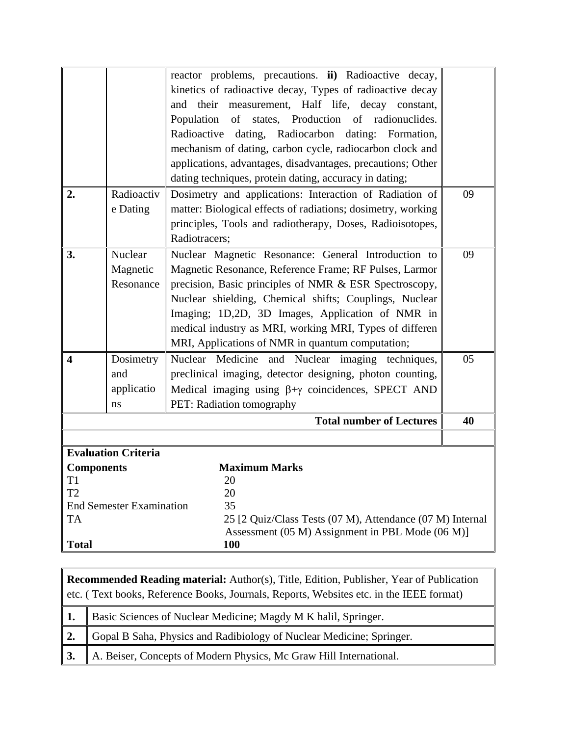|                                                                                                                                                                                                                                                                                    |                                      | reactor problems, precautions. ii) Radioactive decay,<br>kinetics of radioactive decay, Types of radioactive decay<br>measurement, Half life, decay constant,<br>and their<br>Population<br>of<br>states, Production of radionuclides.<br>Radioactive<br>dating, Radiocarbon dating: Formation,<br>mechanism of dating, carbon cycle, radiocarbon clock and<br>applications, advantages, disadvantages, precautions; Other<br>dating techniques, protein dating, accuracy in dating; |    |
|------------------------------------------------------------------------------------------------------------------------------------------------------------------------------------------------------------------------------------------------------------------------------------|--------------------------------------|--------------------------------------------------------------------------------------------------------------------------------------------------------------------------------------------------------------------------------------------------------------------------------------------------------------------------------------------------------------------------------------------------------------------------------------------------------------------------------------|----|
| 2.                                                                                                                                                                                                                                                                                 | Radioactiv<br>e Dating               | Dosimetry and applications: Interaction of Radiation of<br>matter: Biological effects of radiations; dosimetry, working<br>principles, Tools and radiotherapy, Doses, Radioisotopes,<br>Radiotracers;                                                                                                                                                                                                                                                                                | 09 |
| 3.                                                                                                                                                                                                                                                                                 | Nuclear<br>Magnetic<br>Resonance     | Nuclear Magnetic Resonance: General Introduction to<br>Magnetic Resonance, Reference Frame; RF Pulses, Larmor<br>precision, Basic principles of NMR & ESR Spectroscopy,<br>Nuclear shielding, Chemical shifts; Couplings, Nuclear<br>Imaging; 1D,2D, 3D Images, Application of NMR in<br>medical industry as MRI, working MRI, Types of differen<br>MRI, Applications of NMR in quantum computation;                                                                                 | 09 |
| $\boldsymbol{4}$                                                                                                                                                                                                                                                                   | Dosimetry<br>and<br>applicatio<br>ns | Nuclear Medicine and Nuclear imaging techniques,<br>preclinical imaging, detector designing, photon counting,<br>Medical imaging using $\beta + \gamma$ coincidences, SPECT AND<br>PET: Radiation tomography                                                                                                                                                                                                                                                                         | 05 |
|                                                                                                                                                                                                                                                                                    |                                      | <b>Total number of Lectures</b>                                                                                                                                                                                                                                                                                                                                                                                                                                                      | 40 |
|                                                                                                                                                                                                                                                                                    | <b>Evaluation Criteria</b>           |                                                                                                                                                                                                                                                                                                                                                                                                                                                                                      |    |
| <b>Maximum Marks</b><br><b>Components</b><br>T <sub>1</sub><br>20<br>T2<br>20<br><b>End Semester Examination</b><br>35<br><b>TA</b><br>25 [2 Quiz/Class Tests (07 M), Attendance (07 M) Internal<br>Assessment (05 M) Assignment in PBL Mode (06 M)]<br><b>Total</b><br><b>100</b> |                                      |                                                                                                                                                                                                                                                                                                                                                                                                                                                                                      |    |

| <b>Total</b> | <b>100</b>                                                                                                                                                                                |
|--------------|-------------------------------------------------------------------------------------------------------------------------------------------------------------------------------------------|
|              |                                                                                                                                                                                           |
|              | <b>Recommended Reading material:</b> Author(s), Title, Edition, Publisher, Year of Publication<br>etc. (Text books, Reference Books, Journals, Reports, Websites etc. in the IEEE format) |
| 1.           | Basic Sciences of Nuclear Medicine; Magdy M K halil, Springer.                                                                                                                            |
| 2.           | Gopal B Saha, Physics and Radibiology of Nuclear Medicine; Springer.                                                                                                                      |
| 3.           | A. Beiser, Concepts of Modern Physics, Mc Graw Hill International.                                                                                                                        |
|              |                                                                                                                                                                                           |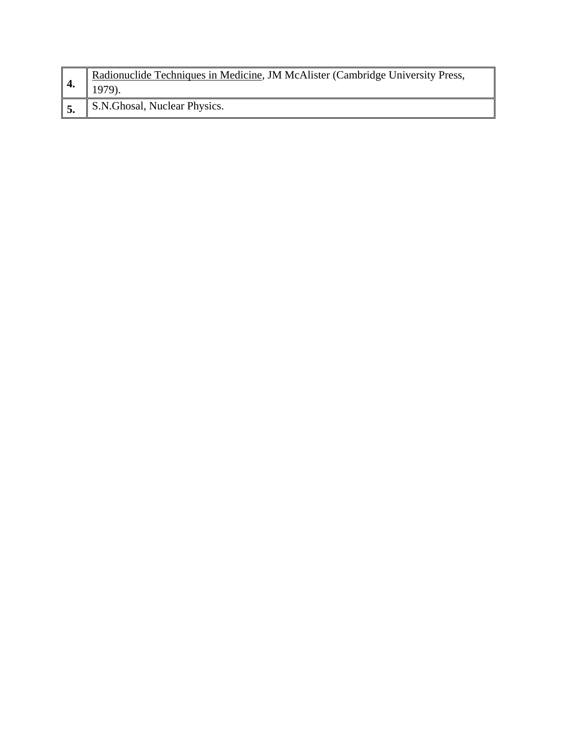| - 4. | Radionuclide Techniques in Medicine, JM McAlister (Cambridge University Press,<br>979). |
|------|-----------------------------------------------------------------------------------------|
|      | S.N.Ghosal, Nuclear Physics.                                                            |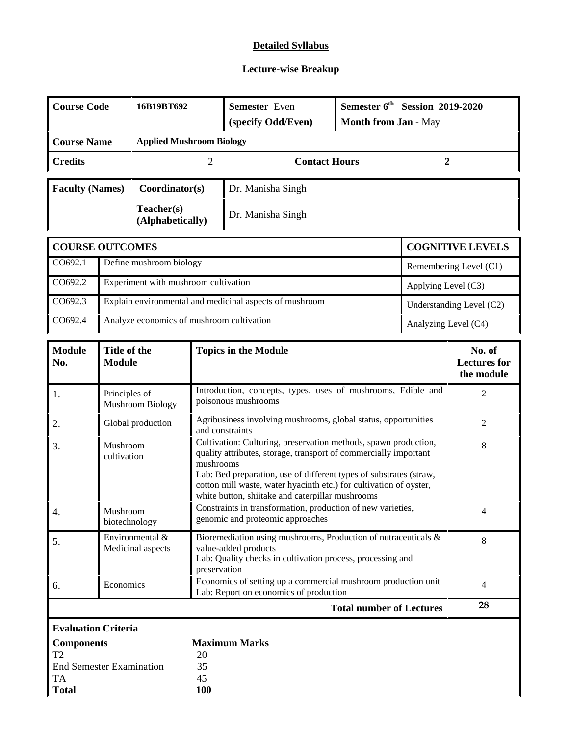| <b>Course Code</b>                                                                                                         |                           | 16B19BT692                                                                                                                                                                                                                                                                                                                                                                  |                                 | <b>Semester</b> Even<br>(specify Odd/Even)                                                              |                      | Semester 6 <sup>th</sup> Session 2019-2020<br>Month from Jan - May |                                             |                                 |                          |
|----------------------------------------------------------------------------------------------------------------------------|---------------------------|-----------------------------------------------------------------------------------------------------------------------------------------------------------------------------------------------------------------------------------------------------------------------------------------------------------------------------------------------------------------------------|---------------------------------|---------------------------------------------------------------------------------------------------------|----------------------|--------------------------------------------------------------------|---------------------------------------------|---------------------------------|--------------------------|
| <b>Course Name</b>                                                                                                         |                           |                                                                                                                                                                                                                                                                                                                                                                             | <b>Applied Mushroom Biology</b> |                                                                                                         |                      |                                                                    |                                             |                                 |                          |
| <b>Credits</b>                                                                                                             |                           |                                                                                                                                                                                                                                                                                                                                                                             | $\overline{2}$                  |                                                                                                         | <b>Contact Hours</b> |                                                                    |                                             | $\overline{2}$                  |                          |
| <b>Faculty (Names)</b>                                                                                                     |                           | Coordinator(s)                                                                                                                                                                                                                                                                                                                                                              |                                 | Dr. Manisha Singh                                                                                       |                      |                                                                    |                                             |                                 |                          |
|                                                                                                                            |                           | Teacher(s)<br>(Alphabetically)                                                                                                                                                                                                                                                                                                                                              |                                 | Dr. Manisha Singh                                                                                       |                      |                                                                    |                                             |                                 |                          |
| <b>COURSE OUTCOMES</b>                                                                                                     |                           |                                                                                                                                                                                                                                                                                                                                                                             |                                 |                                                                                                         |                      |                                                                    |                                             |                                 | <b>COGNITIVE LEVELS</b>  |
| CO692.1                                                                                                                    |                           | Define mushroom biology                                                                                                                                                                                                                                                                                                                                                     |                                 |                                                                                                         |                      |                                                                    |                                             |                                 | Remembering Level (C1)   |
| CO692.2                                                                                                                    |                           | Experiment with mushroom cultivation                                                                                                                                                                                                                                                                                                                                        |                                 |                                                                                                         |                      |                                                                    |                                             | Applying Level (C3)             |                          |
| CO692.3                                                                                                                    |                           |                                                                                                                                                                                                                                                                                                                                                                             |                                 | Explain environmental and medicinal aspects of mushroom                                                 |                      |                                                                    |                                             |                                 | Understanding Level (C2) |
| CO692.4                                                                                                                    |                           | Analyze economics of mushroom cultivation                                                                                                                                                                                                                                                                                                                                   |                                 |                                                                                                         |                      |                                                                    |                                             | Analyzing Level (C4)            |                          |
| <b>Module</b><br>No.                                                                                                       | <b>Module</b>             | Title of the<br><b>Topics in the Module</b>                                                                                                                                                                                                                                                                                                                                 |                                 |                                                                                                         |                      |                                                                    | No. of<br><b>Lectures</b> for<br>the module |                                 |                          |
| 1.                                                                                                                         |                           | Introduction, concepts, types, uses of mushrooms, Edible and<br>Principles of<br>poisonous mushrooms<br><b>Mushroom Biology</b>                                                                                                                                                                                                                                             |                                 |                                                                                                         |                      | $\overline{c}$                                                     |                                             |                                 |                          |
| 2.                                                                                                                         |                           | Global production                                                                                                                                                                                                                                                                                                                                                           | and constraints                 | Agribusiness involving mushrooms, global status, opportunities                                          |                      |                                                                    |                                             |                                 | $\overline{2}$           |
| 3.                                                                                                                         |                           | Cultivation: Culturing, preservation methods, spawn production,<br>Mushroom<br>quality attributes, storage, transport of commercially important<br>cultivation<br>mushrooms<br>Lab: Bed preparation, use of different types of substrates (straw,<br>cotton mill waste, water hyacinth etc.) for cultivation of oyster,<br>white button, shiitake and caterpillar mushrooms |                                 |                                                                                                         |                      |                                                                    | 8                                           |                                 |                          |
| 4.                                                                                                                         | Mushroom<br>biotechnology |                                                                                                                                                                                                                                                                                                                                                                             |                                 | Constraints in transformation, production of new varieties,<br>genomic and proteomic approaches         |                      |                                                                    |                                             |                                 | 4                        |
| 5.                                                                                                                         |                           | Bioremediation using mushrooms, Production of nutraceuticals &<br>Environmental &<br>Medicinal aspects<br>value-added products<br>Lab: Quality checks in cultivation process, processing and<br>preservation                                                                                                                                                                |                                 |                                                                                                         |                      |                                                                    | 8                                           |                                 |                          |
| 6.                                                                                                                         | Economics                 |                                                                                                                                                                                                                                                                                                                                                                             |                                 | Economics of setting up a commercial mushroom production unit<br>Lab: Report on economics of production |                      |                                                                    |                                             |                                 | $\overline{4}$           |
|                                                                                                                            |                           |                                                                                                                                                                                                                                                                                                                                                                             |                                 |                                                                                                         |                      |                                                                    |                                             | <b>Total number of Lectures</b> | 28                       |
| <b>Evaluation Criteria</b><br><b>Components</b><br>T <sub>2</sub><br><b>End Semester Examination</b><br>TA<br><b>Total</b> |                           |                                                                                                                                                                                                                                                                                                                                                                             | 20<br>35<br>45<br>100           | <b>Maximum Marks</b>                                                                                    |                      |                                                                    |                                             |                                 |                          |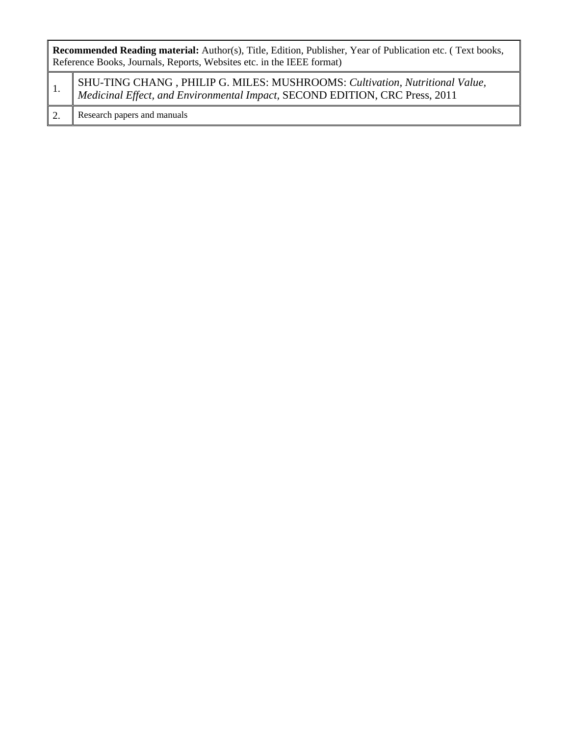| <b>Recommended Reading material:</b> Author(s), Title, Edition, Publisher, Year of Publication etc. (Text books,<br>Reference Books, Journals, Reports, Websites etc. in the IEEE format) |  |  |  |  |  |  |
|-------------------------------------------------------------------------------------------------------------------------------------------------------------------------------------------|--|--|--|--|--|--|
| SHU-TING CHANG, PHILIP G. MILES: MUSHROOMS: Cultivation, Nutritional Value,<br>Medicinal Effect, and Environmental Impact, SECOND EDITION, CRC Press, 2011                                |  |  |  |  |  |  |
| Research papers and manuals                                                                                                                                                               |  |  |  |  |  |  |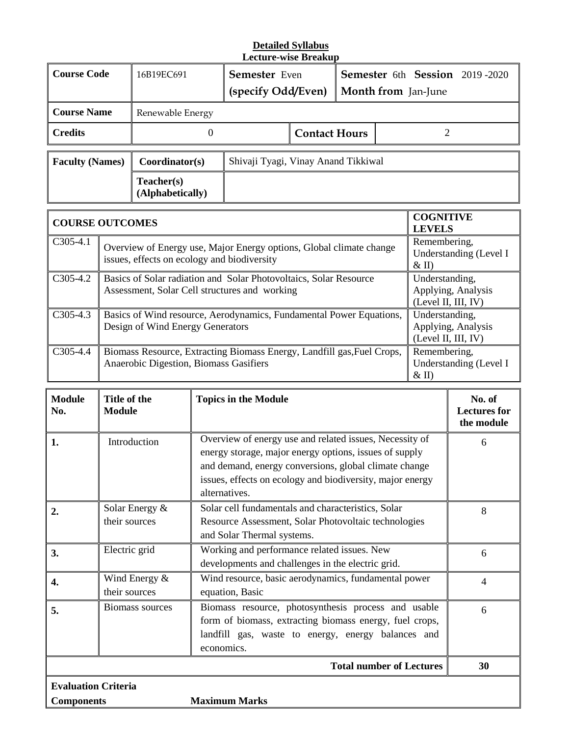| <b>Course Code</b>     | 16B19EC691       | <b>Semester</b> Even<br>(specify Odd/Even) |                      | Semester 6th Session 2019-2020<br><b>Month from</b> Jan-June |  |  |  |
|------------------------|------------------|--------------------------------------------|----------------------|--------------------------------------------------------------|--|--|--|
| <b>Course Name</b>     | Renewable Energy |                                            |                      |                                                              |  |  |  |
| <b>Credits</b>         |                  |                                            | <b>Contact Hours</b> |                                                              |  |  |  |
| <b>Faculty (Names)</b> | Coordinator(s)   | Shivaji Tyagi, Vinay Anand Tikkiwal        |                      |                                                              |  |  |  |
|                        | Teacher(s)       |                                            |                      |                                                              |  |  |  |

**(Alphabetically)**

|            | <b>COURSE OUTCOMES</b>                                                                                             | <b>COGNITIVE</b><br><b>LEVELS</b>                           |  |  |
|------------|--------------------------------------------------------------------------------------------------------------------|-------------------------------------------------------------|--|--|
| $C305-4.1$ | Overview of Energy use, Major Energy options, Global climate change<br>issues, effects on ecology and biodiversity | Remembering,<br>Understanding (Level I<br>$&$ II)           |  |  |
| $C305-4.2$ | Basics of Solar radiation and Solar Photovoltaics, Solar Resource<br>Assessment, Solar Cell structures and working | Understanding,<br>Applying, Analysis<br>(Level II, III, IV) |  |  |
| $C305-4.3$ | Basics of Wind resource, Aerodynamics, Fundamental Power Equations,<br>Design of Wind Energy Generators            | Understanding,<br>Applying, Analysis<br>(Level II, III, IV) |  |  |
| C305-4.4   | Biomass Resource, Extracting Biomass Energy, Landfill gas, Fuel Crops,<br>Anaerobic Digestion, Biomass Gasifiers   | Remembering,<br>Understanding (Level I<br>$&$ II)           |  |  |

| <b>Module</b><br>No.       | Title of the<br><b>Module</b>   | <b>Topics in the Module</b>                                                                                                                                                                                                                              | No. of<br><b>Lectures for</b><br>the module |
|----------------------------|---------------------------------|----------------------------------------------------------------------------------------------------------------------------------------------------------------------------------------------------------------------------------------------------------|---------------------------------------------|
| 1.                         | Introduction                    | Overview of energy use and related issues, Necessity of<br>energy storage, major energy options, issues of supply<br>and demand, energy conversions, global climate change<br>issues, effects on ecology and biodiversity, major energy<br>alternatives. | 6                                           |
| $\overline{2}$ .           | Solar Energy &<br>their sources | Solar cell fundamentals and characteristics, Solar<br>Resource Assessment, Solar Photovoltaic technologies<br>and Solar Thermal systems.                                                                                                                 | 8                                           |
| 3.                         | Electric grid                   | Working and performance related issues. New<br>developments and challenges in the electric grid.                                                                                                                                                         | 6                                           |
| 4.                         | Wind Energy &<br>their sources  | Wind resource, basic aerodynamics, fundamental power<br>equation, Basic                                                                                                                                                                                  | 4                                           |
| 5.                         | Biomass sources                 | Biomass resource, photosynthesis process and usable<br>form of biomass, extracting biomass energy, fuel crops,<br>landfill gas, waste to energy, energy balances and<br>economics.                                                                       | 6                                           |
|                            |                                 | <b>Total number of Lectures</b>                                                                                                                                                                                                                          | 30                                          |
| <b>Evaluation Criteria</b> |                                 |                                                                                                                                                                                                                                                          |                                             |

**Components Maximum Marks**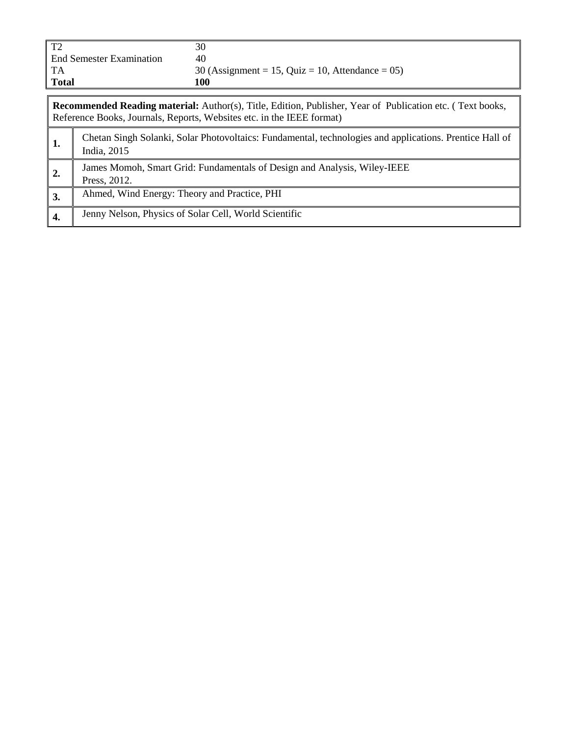| $T^{\prime}$                    | 30                                               |
|---------------------------------|--------------------------------------------------|
| <b>End Semester Examination</b> | 40                                               |
| TA                              | 30 (Assignment = 15, Quiz = 10, Attendance = 05) |
| <b>Total</b>                    | 100                                              |

**Recommended Reading material:** Author(s), Title, Edition, Publisher, Year of Publication etc. ( Text books, Reference Books, Journals, Reports, Websites etc. in the IEEE format) 1. Chetan Singh Solanki, Solar Photovoltaics: Fundamental, technologies and applications. Prentice Hall of India, 2015 **2.** James Momoh, Smart Grid: Fundamentals of Design and Analysis, Wiley-IEEE Press, 2012. **3.** Ahmed, Wind Energy: Theory and Practice, PHI **4.** Jenny Nelson, Physics of Solar Cell, World Scientific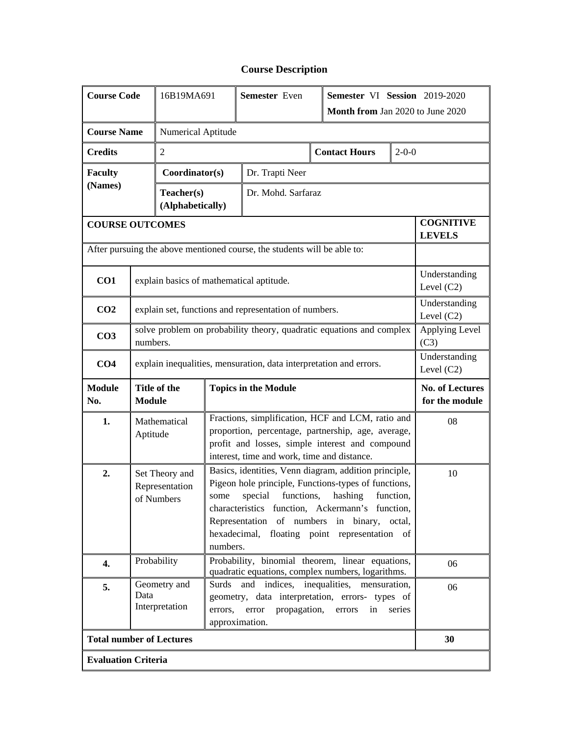# **Course Description**

| <b>Course Code</b>              |               | 16B19MA691                                     |                         | Semester Even<br>Semester VI Session 2019-2020<br>Month from Jan 2020 to June 2020                                                                                                                                                                                                        |                                                                    |                      |    |             |                                          |  |  |
|---------------------------------|---------------|------------------------------------------------|-------------------------|-------------------------------------------------------------------------------------------------------------------------------------------------------------------------------------------------------------------------------------------------------------------------------------------|--------------------------------------------------------------------|----------------------|----|-------------|------------------------------------------|--|--|
| <b>Course Name</b>              |               | Numerical Aptitude                             |                         |                                                                                                                                                                                                                                                                                           |                                                                    |                      |    |             |                                          |  |  |
| <b>Credits</b>                  |               | 2                                              |                         |                                                                                                                                                                                                                                                                                           |                                                                    | <b>Contact Hours</b> |    | $2 - 0 - 0$ |                                          |  |  |
| <b>Faculty</b>                  |               | Coordinator(s)                                 |                         | Dr. Trapti Neer                                                                                                                                                                                                                                                                           |                                                                    |                      |    |             |                                          |  |  |
| (Names)                         |               | Teacher(s)<br>(Alphabetically)                 |                         | Dr. Mohd. Sarfaraz                                                                                                                                                                                                                                                                        |                                                                    |                      |    |             |                                          |  |  |
| <b>COURSE OUTCOMES</b>          |               |                                                |                         |                                                                                                                                                                                                                                                                                           |                                                                    |                      |    |             | <b>COGNITIVE</b><br><b>LEVELS</b>        |  |  |
|                                 |               |                                                |                         | After pursuing the above mentioned course, the students will be able to:                                                                                                                                                                                                                  |                                                                    |                      |    |             |                                          |  |  |
| CO1                             |               |                                                |                         | explain basics of mathematical aptitude.                                                                                                                                                                                                                                                  |                                                                    |                      |    |             | Understanding<br>Level $(C2)$            |  |  |
| CO <sub>2</sub>                 |               |                                                |                         | explain set, functions and representation of numbers.                                                                                                                                                                                                                                     |                                                                    |                      |    |             | Understanding<br>Level $(C2)$            |  |  |
| CO <sub>3</sub>                 | numbers.      |                                                |                         | solve problem on probability theory, quadratic equations and complex                                                                                                                                                                                                                      |                                                                    |                      |    |             | Applying Level<br>(C3)                   |  |  |
| CO <sub>4</sub>                 |               |                                                |                         |                                                                                                                                                                                                                                                                                           | explain inequalities, mensuration, data interpretation and errors. |                      |    |             |                                          |  |  |
|                                 |               | <b>Topics in the Module</b>                    |                         |                                                                                                                                                                                                                                                                                           |                                                                    |                      |    |             |                                          |  |  |
| <b>Module</b><br>No.            | <b>Module</b> | Title of the                                   |                         |                                                                                                                                                                                                                                                                                           |                                                                    |                      |    |             | <b>No. of Lectures</b><br>for the module |  |  |
| 1.                              | Aptitude      | Mathematical                                   |                         | Fractions, simplification, HCF and LCM, ratio and<br>proportion, percentage, partnership, age, average,<br>profit and losses, simple interest and compound<br>interest, time and work, time and distance.                                                                                 |                                                                    |                      |    |             | 08                                       |  |  |
| 2.                              |               | Set Theory and<br>Representation<br>of Numbers | some<br>numbers.        | Basics, identities, Venn diagram, addition principle,<br>Pigeon hole principle, Functions-types of functions,<br>special<br>functions,<br>characteristics function, Ackermann's function,<br>Representation of numbers in binary, octal,<br>hexadecimal, floating point representation of |                                                                    | hashing              |    | function.   | 10                                       |  |  |
| 4.                              |               | Probability                                    |                         | Probability, binomial theorem, linear equations,<br>quadratic equations, complex numbers, logarithms.                                                                                                                                                                                     |                                                                    |                      |    |             | 06                                       |  |  |
| 5.                              | Data          | Geometry and<br>Interpretation                 | Surds<br>approximation. | and indices, inequalities, mensuration,<br>geometry, data interpretation, errors- types of<br>errors, error propagation, errors                                                                                                                                                           |                                                                    |                      | in | series      | 06                                       |  |  |
| <b>Total number of Lectures</b> |               |                                                |                         |                                                                                                                                                                                                                                                                                           |                                                                    |                      |    |             | 30                                       |  |  |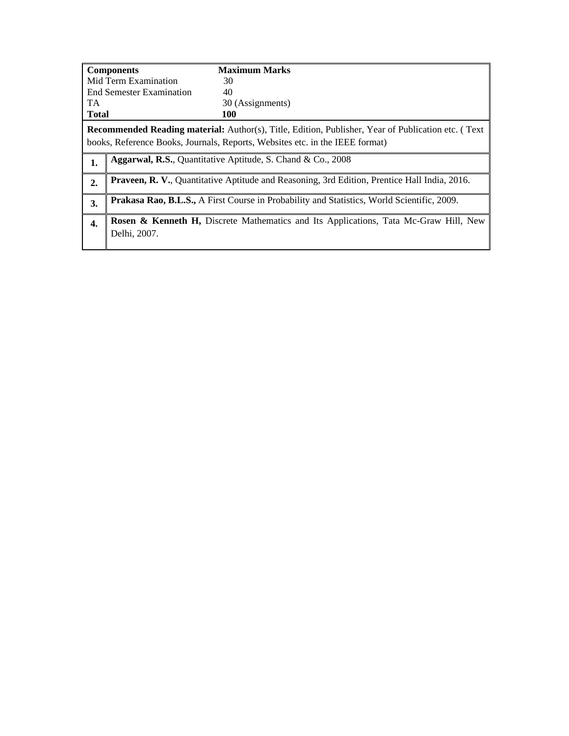|              | <b>Components</b>                                                                                                                                                                         | <b>Maximum Marks</b>                                                                            |  |  |  |  |
|--------------|-------------------------------------------------------------------------------------------------------------------------------------------------------------------------------------------|-------------------------------------------------------------------------------------------------|--|--|--|--|
|              | Mid Term Examination                                                                                                                                                                      | 30                                                                                              |  |  |  |  |
|              | <b>End Semester Examination</b>                                                                                                                                                           | 40                                                                                              |  |  |  |  |
| TA.          |                                                                                                                                                                                           | 30 (Assignments)                                                                                |  |  |  |  |
| <b>Total</b> |                                                                                                                                                                                           | <b>100</b>                                                                                      |  |  |  |  |
|              | <b>Recommended Reading material:</b> Author(s), Title, Edition, Publisher, Year of Publication etc. (Text<br>books, Reference Books, Journals, Reports, Websites etc. in the IEEE format) |                                                                                                 |  |  |  |  |
| 1.           |                                                                                                                                                                                           | <b>Aggarwal, R.S., Quantitative Aptitude, S. Chand &amp; Co., 2008</b>                          |  |  |  |  |
| 2.           | <b>Praveen, R. V., Quantitative Aptitude and Reasoning, 3rd Edition, Prentice Hall India, 2016.</b>                                                                                       |                                                                                                 |  |  |  |  |
| 3.           | <b>Prakasa Rao, B.L.S., A First Course in Probability and Statistics, World Scientific, 2009.</b>                                                                                         |                                                                                                 |  |  |  |  |
| 4.           |                                                                                                                                                                                           | <b>Rosen &amp; Kenneth H, Discrete Mathematics and Its Applications, Tata Mc-Graw Hill, New</b> |  |  |  |  |
|              | Delhi, 2007.                                                                                                                                                                              |                                                                                                 |  |  |  |  |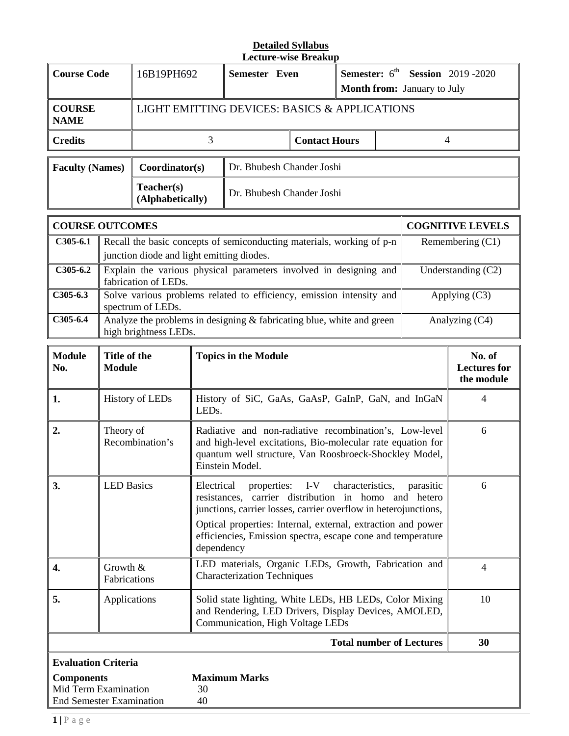| <b>Course Code</b>                                                                                         |                                                                                                                                                                                                                                                                                                                                                       | 16B19PH692                                                                                                                                                                                                                         |                                               | <b>Semester Even</b>                                                                       |                      |   | Semester: 6 <sup>th</sup> Session 2019 -2020<br>Month from: January to July |                                 |                                             |
|------------------------------------------------------------------------------------------------------------|-------------------------------------------------------------------------------------------------------------------------------------------------------------------------------------------------------------------------------------------------------------------------------------------------------------------------------------------------------|------------------------------------------------------------------------------------------------------------------------------------------------------------------------------------------------------------------------------------|-----------------------------------------------|--------------------------------------------------------------------------------------------|----------------------|---|-----------------------------------------------------------------------------|---------------------------------|---------------------------------------------|
| <b>COURSE</b><br><b>NAME</b>                                                                               |                                                                                                                                                                                                                                                                                                                                                       |                                                                                                                                                                                                                                    | LIGHT EMITTING DEVICES: BASICS & APPLICATIONS |                                                                                            |                      |   |                                                                             |                                 |                                             |
| <b>Credits</b>                                                                                             |                                                                                                                                                                                                                                                                                                                                                       |                                                                                                                                                                                                                                    | 3                                             |                                                                                            | <b>Contact Hours</b> |   |                                                                             | $\overline{4}$                  |                                             |
| <b>Faculty (Names)</b>                                                                                     |                                                                                                                                                                                                                                                                                                                                                       | Coordinator(s)                                                                                                                                                                                                                     |                                               | Dr. Bhubesh Chander Joshi                                                                  |                      |   |                                                                             |                                 |                                             |
|                                                                                                            |                                                                                                                                                                                                                                                                                                                                                       | Teacher(s)<br>(Alphabetically)                                                                                                                                                                                                     |                                               | Dr. Bhubesh Chander Joshi                                                                  |                      |   |                                                                             |                                 |                                             |
| <b>COURSE OUTCOMES</b>                                                                                     |                                                                                                                                                                                                                                                                                                                                                       |                                                                                                                                                                                                                                    |                                               |                                                                                            |                      |   |                                                                             |                                 | <b>COGNITIVE LEVELS</b>                     |
| $C305-6.1$                                                                                                 |                                                                                                                                                                                                                                                                                                                                                       | junction diode and light emitting diodes.                                                                                                                                                                                          |                                               | Recall the basic concepts of semiconducting materials, working of p-n                      |                      |   |                                                                             |                                 | Remembering $(C1)$                          |
| $C305-6.2$                                                                                                 |                                                                                                                                                                                                                                                                                                                                                       | fabrication of LEDs.                                                                                                                                                                                                               |                                               | Explain the various physical parameters involved in designing and                          |                      |   |                                                                             |                                 | Understanding (C2)                          |
| $C305-6.3$                                                                                                 |                                                                                                                                                                                                                                                                                                                                                       | spectrum of LEDs.                                                                                                                                                                                                                  |                                               | Solve various problems related to efficiency, emission intensity and                       |                      |   |                                                                             |                                 | Applying (C3)                               |
| $C305-6.4$                                                                                                 |                                                                                                                                                                                                                                                                                                                                                       | high brightness LEDs.                                                                                                                                                                                                              |                                               | Analyze the problems in designing & fabricating blue, white and green                      |                      |   |                                                                             |                                 | Analyzing (C4)                              |
| <b>Module</b><br>No.                                                                                       | Title of the<br><b>Module</b>                                                                                                                                                                                                                                                                                                                         |                                                                                                                                                                                                                                    |                                               | <b>Topics in the Module</b>                                                                |                      |   |                                                                             |                                 | No. of<br><b>Lectures</b> for<br>the module |
| 1.                                                                                                         |                                                                                                                                                                                                                                                                                                                                                       | <b>History of LEDs</b>                                                                                                                                                                                                             | LED <sub>s</sub> .                            | History of SiC, GaAs, GaAsP, GaInP, GaN, and InGaN                                         |                      |   |                                                                             |                                 | $\overline{4}$                              |
| 2.                                                                                                         |                                                                                                                                                                                                                                                                                                                                                       | Theory of<br>Radiative and non-radiative recombination's, Low-level<br>Recombination's<br>and high-level excitations, Bio-molecular rate equation for<br>quantum well structure, Van Roosbroeck-Shockley Model,<br>Einstein Model. |                                               |                                                                                            |                      |   | 6                                                                           |                                 |                                             |
| 3.                                                                                                         | <b>LED Basics</b><br>parasitic<br>Electrical properties: I-V characteristics,<br>resistances, carrier distribution in homo and hetero<br>junctions, carrier losses, carrier overflow in heterojunctions,<br>Optical properties: Internal, external, extraction and power<br>efficiencies, Emission spectra, escape cone and temperature<br>dependency |                                                                                                                                                                                                                                    |                                               |                                                                                            |                      | 6 |                                                                             |                                 |                                             |
| 4.                                                                                                         | Growth &<br>Fabrications                                                                                                                                                                                                                                                                                                                              |                                                                                                                                                                                                                                    |                                               | LED materials, Organic LEDs, Growth, Fabrication and<br><b>Characterization Techniques</b> |                      |   |                                                                             |                                 | $\overline{4}$                              |
| 5.                                                                                                         | Solid state lighting, White LEDs, HB LEDs, Color Mixing<br>Applications<br>and Rendering, LED Drivers, Display Devices, AMOLED,<br>Communication, High Voltage LEDs                                                                                                                                                                                   |                                                                                                                                                                                                                                    |                                               |                                                                                            |                      |   | 10                                                                          |                                 |                                             |
|                                                                                                            |                                                                                                                                                                                                                                                                                                                                                       |                                                                                                                                                                                                                                    |                                               |                                                                                            |                      |   |                                                                             | <b>Total number of Lectures</b> | 30                                          |
| <b>Evaluation Criteria</b><br><b>Components</b><br>Mid Term Examination<br><b>End Semester Examination</b> |                                                                                                                                                                                                                                                                                                                                                       |                                                                                                                                                                                                                                    | 30<br>40                                      | <b>Maximum Marks</b>                                                                       |                      |   |                                                                             |                                 |                                             |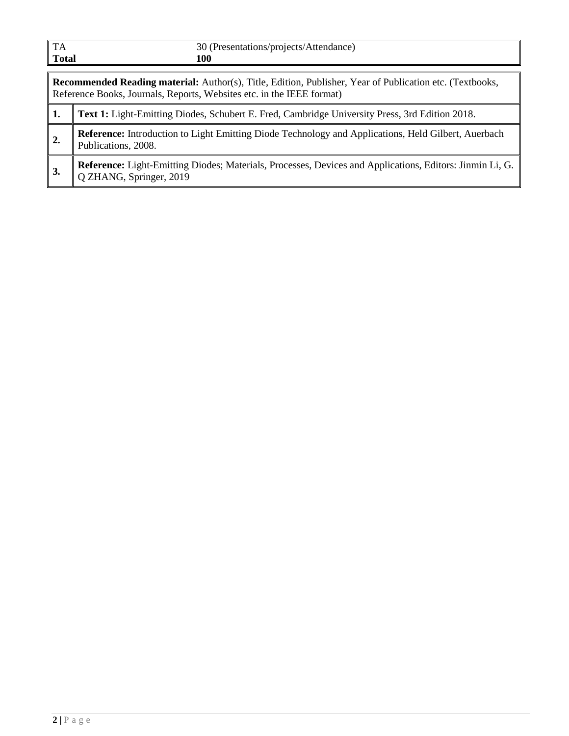| $T_A$        | 30 (Presentations/projects/Attendance) |
|--------------|----------------------------------------|
| <b>Total</b> | 100                                    |

|            | <b>Recommended Reading material:</b> Author(s), Title, Edition, Publisher, Year of Publication etc. (Textbooks,<br>Reference Books, Journals, Reports, Websites etc. in the IEEE format) |  |  |  |  |  |  |
|------------|------------------------------------------------------------------------------------------------------------------------------------------------------------------------------------------|--|--|--|--|--|--|
|            | Text 1: Light-Emitting Diodes, Schubert E. Fred, Cambridge University Press, 3rd Edition 2018.                                                                                           |  |  |  |  |  |  |
|            | Reference: Introduction to Light Emitting Diode Technology and Applications, Held Gilbert, Auerbach<br>Publications, 2008.                                                               |  |  |  |  |  |  |
| $\vert 3.$ | <b>Reference:</b> Light-Emitting Diodes; Materials, Processes, Devices and Applications, Editors: Jinmin Li, G.<br>Q ZHANG, Springer, 2019                                               |  |  |  |  |  |  |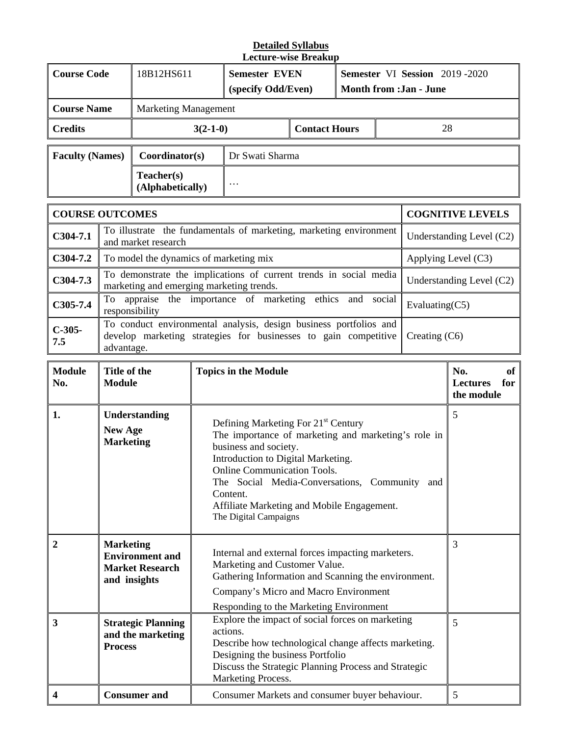| <b>Course Code</b>                                |                                                                                                                                                                                                                                                                                                                       | 18B12HS611                                                                                                                                                                                                                                                                                                                                                            | <b>Semester EVEN</b><br>(specify Odd/Even) |                                                                                                                                                                                                                                        | <b>Month from :Jan - June</b> |                                                   | Semester VI Session 2019-2020 |                   |                          |  |
|---------------------------------------------------|-----------------------------------------------------------------------------------------------------------------------------------------------------------------------------------------------------------------------------------------------------------------------------------------------------------------------|-----------------------------------------------------------------------------------------------------------------------------------------------------------------------------------------------------------------------------------------------------------------------------------------------------------------------------------------------------------------------|--------------------------------------------|----------------------------------------------------------------------------------------------------------------------------------------------------------------------------------------------------------------------------------------|-------------------------------|---------------------------------------------------|-------------------------------|-------------------|--------------------------|--|
| <b>Course Name</b><br><b>Marketing Management</b> |                                                                                                                                                                                                                                                                                                                       |                                                                                                                                                                                                                                                                                                                                                                       |                                            |                                                                                                                                                                                                                                        |                               |                                                   |                               |                   |                          |  |
| <b>Credits</b>                                    |                                                                                                                                                                                                                                                                                                                       |                                                                                                                                                                                                                                                                                                                                                                       | $3(2-1-0)$                                 |                                                                                                                                                                                                                                        | <b>Contact Hours</b>          |                                                   |                               |                   | 28                       |  |
| <b>Faculty (Names)</b>                            |                                                                                                                                                                                                                                                                                                                       | Coordinator(s)                                                                                                                                                                                                                                                                                                                                                        |                                            | Dr Swati Sharma                                                                                                                                                                                                                        |                               |                                                   |                               |                   |                          |  |
|                                                   |                                                                                                                                                                                                                                                                                                                       | Teacher(s)<br>(Alphabetically)                                                                                                                                                                                                                                                                                                                                        |                                            | $\ddots$                                                                                                                                                                                                                               |                               |                                                   |                               |                   |                          |  |
| <b>COURSE OUTCOMES</b>                            |                                                                                                                                                                                                                                                                                                                       |                                                                                                                                                                                                                                                                                                                                                                       |                                            |                                                                                                                                                                                                                                        |                               |                                                   |                               |                   | <b>COGNITIVE LEVELS</b>  |  |
| $C304-7.1$                                        |                                                                                                                                                                                                                                                                                                                       | and market research                                                                                                                                                                                                                                                                                                                                                   |                                            | To illustrate the fundamentals of marketing, marketing environment                                                                                                                                                                     |                               |                                                   |                               |                   | Understanding Level (C2) |  |
| $C304-7.2$                                        |                                                                                                                                                                                                                                                                                                                       | To model the dynamics of marketing mix                                                                                                                                                                                                                                                                                                                                |                                            |                                                                                                                                                                                                                                        |                               |                                                   |                               |                   | Applying Level (C3)      |  |
| $C304-7.3$                                        |                                                                                                                                                                                                                                                                                                                       | marketing and emerging marketing trends.                                                                                                                                                                                                                                                                                                                              |                                            | To demonstrate the implications of current trends in social media                                                                                                                                                                      |                               |                                                   |                               |                   | Understanding Level (C2) |  |
| C305-7.4                                          | To<br>responsibility                                                                                                                                                                                                                                                                                                  |                                                                                                                                                                                                                                                                                                                                                                       |                                            | appraise the importance of marketing ethics and social                                                                                                                                                                                 |                               |                                                   |                               | Evaluating $(C5)$ |                          |  |
| $C-305-$<br>7.5                                   | advantage.                                                                                                                                                                                                                                                                                                            |                                                                                                                                                                                                                                                                                                                                                                       |                                            | To conduct environmental analysis, design business portfolios and<br>develop marketing strategies for businesses to gain competitive                                                                                                   |                               |                                                   |                               | Creating (C6)     |                          |  |
| <b>Module</b><br>No.                              | Title of the<br><b>Topics in the Module</b><br><b>Module</b>                                                                                                                                                                                                                                                          |                                                                                                                                                                                                                                                                                                                                                                       |                                            |                                                                                                                                                                                                                                        |                               | No.<br>of<br><b>Lectures</b><br>for<br>the module |                               |                   |                          |  |
| 1.                                                | <b>New Age</b><br><b>Marketing</b>                                                                                                                                                                                                                                                                                    | Understanding<br>5<br>Defining Marketing For 21 <sup>st</sup> Century<br>The importance of marketing and marketing's role in<br>business and society.<br>Introduction to Digital Marketing.<br><b>Online Communication Tools.</b><br>The Social Media-Conversations, Community and<br>Content.<br>Affiliate Marketing and Mobile Engagement.<br>The Digital Campaigns |                                            |                                                                                                                                                                                                                                        |                               |                                                   |                               |                   |                          |  |
| 2                                                 | <b>Marketing</b><br>Internal and external forces impacting marketers.<br><b>Environment</b> and<br>Marketing and Customer Value.<br><b>Market Research</b><br>Gathering Information and Scanning the environment.<br>and insights<br>Company's Micro and Macro Environment<br>Responding to the Marketing Environment |                                                                                                                                                                                                                                                                                                                                                                       |                                            |                                                                                                                                                                                                                                        |                               | 3                                                 |                               |                   |                          |  |
| 3                                                 | <b>Process</b>                                                                                                                                                                                                                                                                                                        | <b>Strategic Planning</b><br>and the marketing                                                                                                                                                                                                                                                                                                                        |                                            | Explore the impact of social forces on marketing<br>actions.<br>Describe how technological change affects marketing.<br>Designing the business Portfolio<br>Discuss the Strategic Planning Process and Strategic<br>Marketing Process. |                               |                                                   |                               |                   | 5                        |  |
| 4                                                 |                                                                                                                                                                                                                                                                                                                       | <b>Consumer and</b>                                                                                                                                                                                                                                                                                                                                                   |                                            | Consumer Markets and consumer buyer behaviour.                                                                                                                                                                                         |                               |                                                   |                               |                   | 5                        |  |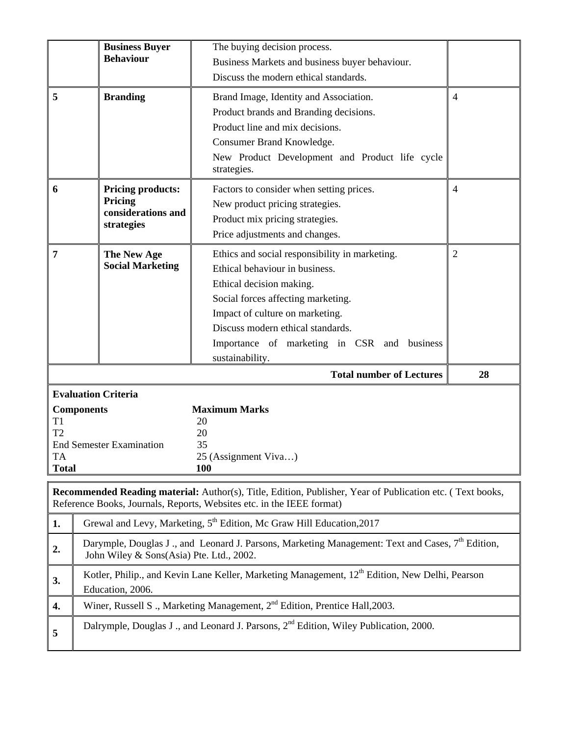|                                            | <b>Business Buyer</b><br><b>Behaviour</b>                                                                                                                                             | The buying decision process.<br>Business Markets and business buyer behaviour.<br>Discuss the modern ethical standards.                                                                                                                                                                      |                |  |  |  |  |  |
|--------------------------------------------|---------------------------------------------------------------------------------------------------------------------------------------------------------------------------------------|----------------------------------------------------------------------------------------------------------------------------------------------------------------------------------------------------------------------------------------------------------------------------------------------|----------------|--|--|--|--|--|
| 5                                          | <b>Branding</b>                                                                                                                                                                       | Brand Image, Identity and Association.<br>Product brands and Branding decisions.<br>Product line and mix decisions.<br>Consumer Brand Knowledge.<br>New Product Development and Product life cycle<br>strategies.                                                                            | $\overline{4}$ |  |  |  |  |  |
| 6                                          | <b>Pricing products:</b><br>Pricing<br>considerations and<br>strategies                                                                                                               | Factors to consider when setting prices.<br>New product pricing strategies.<br>Product mix pricing strategies.<br>Price adjustments and changes.                                                                                                                                             | $\overline{4}$ |  |  |  |  |  |
| $\overline{7}$                             | The New Age<br><b>Social Marketing</b>                                                                                                                                                | Ethics and social responsibility in marketing.<br>Ethical behaviour in business.<br>Ethical decision making.<br>Social forces affecting marketing.<br>Impact of culture on marketing.<br>Discuss modern ethical standards.<br>Importance of marketing in CSR and business<br>sustainability. | $\overline{2}$ |  |  |  |  |  |
|                                            |                                                                                                                                                                                       | <b>Total number of Lectures</b>                                                                                                                                                                                                                                                              | 28             |  |  |  |  |  |
| T1<br>T <sub>2</sub><br>ТA<br><b>Total</b> | <b>Evaluation Criteria</b><br><b>Components</b><br><b>End Semester Examination</b>                                                                                                    | <b>Maximum Marks</b><br>20<br>20<br>35<br>25 (Assignment Viva)<br><b>100</b>                                                                                                                                                                                                                 |                |  |  |  |  |  |
|                                            |                                                                                                                                                                                       | Recommended Reading material: Author(s), Title, Edition, Publisher, Year of Publication etc. (Text books,<br>Reference Books, Journals, Reports, Websites etc. in the IEEE format)                                                                                                           |                |  |  |  |  |  |
| 1.                                         | Grewal and Levy, Marketing, 5 <sup>th</sup> Edition, Mc Graw Hill Education, 2017                                                                                                     |                                                                                                                                                                                                                                                                                              |                |  |  |  |  |  |
| 2.                                         | Darymple, Douglas J., and Leonard J. Parsons, Marketing Management: Text and Cases, 7 <sup>th</sup> Edition,<br>John Wiley & Sons(Asia) Pte. Ltd., 2002.                              |                                                                                                                                                                                                                                                                                              |                |  |  |  |  |  |
| 3.                                         | Education, 2006.                                                                                                                                                                      | Kotler, Philip., and Kevin Lane Keller, Marketing Management, 12 <sup>th</sup> Edition, New Delhi, Pearson                                                                                                                                                                                   |                |  |  |  |  |  |
| 4.                                         |                                                                                                                                                                                       |                                                                                                                                                                                                                                                                                              |                |  |  |  |  |  |
|                                            | Winer, Russell S., Marketing Management, $2nd$ Edition, Prentice Hall, 2003.<br>Dalrymple, Douglas J., and Leonard J. Parsons, 2 <sup>nd</sup> Edition, Wiley Publication, 2000.<br>5 |                                                                                                                                                                                                                                                                                              |                |  |  |  |  |  |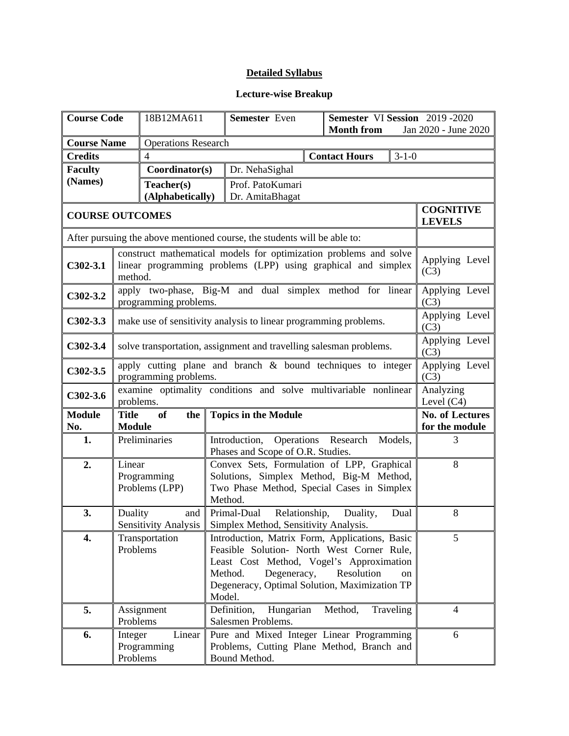| <b>Course Code</b>               |                                                                                                                                                                                                                                                                                 | 18B12MA611                     | Semester VI Session 2019-2020<br>Semester Even<br><b>Month from</b><br>Jan 2020 - June 2020 |                                                                                                                                                 |   |                           |                        |                                          |
|----------------------------------|---------------------------------------------------------------------------------------------------------------------------------------------------------------------------------------------------------------------------------------------------------------------------------|--------------------------------|---------------------------------------------------------------------------------------------|-------------------------------------------------------------------------------------------------------------------------------------------------|---|---------------------------|------------------------|------------------------------------------|
| <b>Course Name</b>               |                                                                                                                                                                                                                                                                                 | <b>Operations Research</b>     |                                                                                             |                                                                                                                                                 |   |                           |                        |                                          |
| <b>Credits</b>                   |                                                                                                                                                                                                                                                                                 | $\overline{4}$                 |                                                                                             |                                                                                                                                                 |   | <b>Contact Hours</b>      | $3 - 1 - 0$            |                                          |
| <b>Faculty</b><br>Coordinator(s) |                                                                                                                                                                                                                                                                                 |                                |                                                                                             | Dr. NehaSighal                                                                                                                                  |   |                           |                        |                                          |
| (Names)                          |                                                                                                                                                                                                                                                                                 | Teacher(s)<br>(Alphabetically) |                                                                                             | Prof. PatoKumari<br>Dr. AmitaBhagat                                                                                                             |   |                           |                        |                                          |
| <b>COURSE OUTCOMES</b>           |                                                                                                                                                                                                                                                                                 |                                |                                                                                             |                                                                                                                                                 |   |                           |                        | <b>COGNITIVE</b><br><b>LEVELS</b>        |
|                                  |                                                                                                                                                                                                                                                                                 |                                |                                                                                             | After pursuing the above mentioned course, the students will be able to:                                                                        |   |                           |                        |                                          |
| $C302-3.1$                       | method.                                                                                                                                                                                                                                                                         |                                |                                                                                             | construct mathematical models for optimization problems and solve<br>linear programming problems (LPP) using graphical and simplex              |   |                           |                        | Applying Level<br>(C3)                   |
| $C302-3.2$                       |                                                                                                                                                                                                                                                                                 | programming problems.          |                                                                                             | apply two-phase, Big-M and dual simplex method for linear                                                                                       |   |                           |                        | Applying Level<br>(C3)                   |
| $C302-3.3$                       |                                                                                                                                                                                                                                                                                 |                                |                                                                                             | make use of sensitivity analysis to linear programming problems.                                                                                |   |                           |                        | Applying Level<br>(C3)                   |
| $C302-3.4$                       |                                                                                                                                                                                                                                                                                 |                                |                                                                                             | solve transportation, assignment and travelling salesman problems.                                                                              |   |                           |                        | Applying Level<br>(C3)                   |
| $C302-3.5$                       | apply cutting plane and branch & bound techniques to integer<br>programming problems.                                                                                                                                                                                           |                                |                                                                                             |                                                                                                                                                 |   |                           | Applying Level<br>(C3) |                                          |
| $C302-3.6$                       | examine optimality conditions and solve multivariable nonlinear<br>problems.                                                                                                                                                                                                    |                                |                                                                                             |                                                                                                                                                 |   | Analyzing<br>Level $(C4)$ |                        |                                          |
| <b>Module</b><br>No.             | <b>Title</b><br><b>Module</b>                                                                                                                                                                                                                                                   | <b>of</b><br>the               |                                                                                             | <b>Topics in the Module</b>                                                                                                                     |   |                           |                        | <b>No. of Lectures</b><br>for the module |
| 1.                               |                                                                                                                                                                                                                                                                                 | Preliminaries                  |                                                                                             | Introduction, Operations Research<br>Phases and Scope of O.R. Studies.                                                                          |   |                           | Models,                | 3                                        |
| 2.                               | Linear                                                                                                                                                                                                                                                                          | Programming<br>Problems (LPP)  |                                                                                             | Convex Sets, Formulation of LPP, Graphical<br>Solutions, Simplex Method, Big-M Method,<br>Two Phase Method, Special Cases in Simplex<br>Method. |   |                           |                        | 8                                        |
| 3.                               | Duality                                                                                                                                                                                                                                                                         | and                            |                                                                                             | Primal-Dual<br>Relationship,<br>Sensitivity Analysis   Simplex Method, Sensitivity Analysis.                                                    |   | Duality,                  | Dual                   | 8                                        |
| 4.                               | Transportation<br>Introduction, Matrix Form, Applications, Basic<br>Problems<br>Feasible Solution- North West Corner Rule,<br>Least Cost Method, Vogel's Approximation<br>Method.<br>Degeneracy,<br>Resolution<br>on<br>Degeneracy, Optimal Solution, Maximization TP<br>Model. |                                |                                                                                             |                                                                                                                                                 | 5 |                           |                        |                                          |
| 5.                               | Problems                                                                                                                                                                                                                                                                        | Assignment                     |                                                                                             | Definition,<br>Hungarian<br>Salesmen Problems.                                                                                                  |   | Method,                   | Traveling              | 4                                        |
| 6.                               | Integer<br>Problems                                                                                                                                                                                                                                                             | Linear<br>Programming          |                                                                                             | Pure and Mixed Integer Linear Programming<br>Problems, Cutting Plane Method, Branch and<br>Bound Method.                                        |   |                           |                        | 6                                        |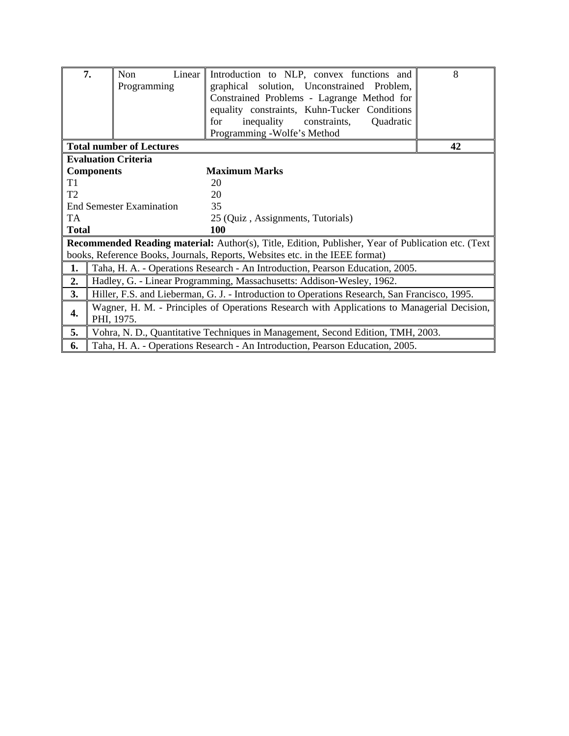|                | 7.                | Non                             | Linear | Introduction to NLP, convex functions and                                                                 | 8  |
|----------------|-------------------|---------------------------------|--------|-----------------------------------------------------------------------------------------------------------|----|
|                |                   | Programming                     |        | graphical solution, Unconstrained Problem,                                                                |    |
|                |                   |                                 |        | Constrained Problems - Lagrange Method for                                                                |    |
|                |                   |                                 |        |                                                                                                           |    |
|                |                   |                                 |        | equality constraints, Kuhn-Tucker Conditions                                                              |    |
|                |                   |                                 |        | inequality<br>Quadratic<br>for<br>constraints,                                                            |    |
|                |                   |                                 |        | Programming - Wolfe's Method                                                                              |    |
|                |                   | <b>Total number of Lectures</b> |        |                                                                                                           | 42 |
|                |                   | <b>Evaluation Criteria</b>      |        |                                                                                                           |    |
|                | <b>Components</b> |                                 |        | <b>Maximum Marks</b>                                                                                      |    |
| T <sub>1</sub> |                   |                                 |        | 20                                                                                                        |    |
| T <sub>2</sub> |                   |                                 |        | 20                                                                                                        |    |
|                |                   | <b>End Semester Examination</b> |        | 35                                                                                                        |    |
| TA             |                   |                                 |        | 25 (Quiz, Assignments, Tutorials)                                                                         |    |
| <b>Total</b>   |                   |                                 |        | <b>100</b>                                                                                                |    |
|                |                   |                                 |        | <b>Recommended Reading material:</b> Author(s), Title, Edition, Publisher, Year of Publication etc. (Text |    |
|                |                   |                                 |        | books, Reference Books, Journals, Reports, Websites etc. in the IEEE format)                              |    |
| 1.             |                   |                                 |        | Taha, H. A. - Operations Research - An Introduction, Pearson Education, 2005.                             |    |
| 2.             |                   |                                 |        | Hadley, G. - Linear Programming, Massachusetts: Addison-Wesley, 1962.                                     |    |
| 3.             |                   |                                 |        | Hiller, F.S. and Lieberman, G. J. - Introduction to Operations Research, San Francisco, 1995.             |    |
|                |                   |                                 |        | Wagner, H. M. - Principles of Operations Research with Applications to Managerial Decision,               |    |
| 4.             |                   | PHI, 1975.                      |        |                                                                                                           |    |
| 5.             |                   |                                 |        | Vohra, N. D., Quantitative Techniques in Management, Second Edition, TMH, 2003.                           |    |
| 6.             |                   |                                 |        | Taha, H. A. - Operations Research - An Introduction, Pearson Education, 2005.                             |    |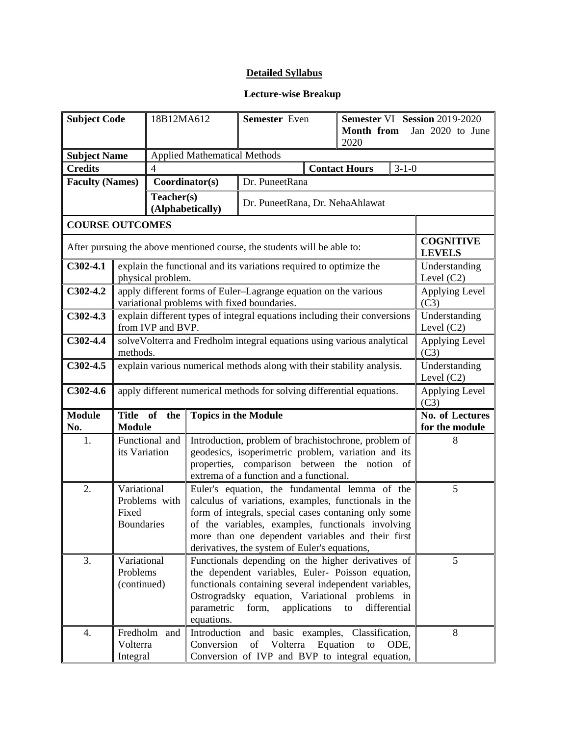| <b>Subject Code</b>    |                         | 18B12MA612                                                             |                                              | Semester Even                                                                                                  |                      |              | Semester VI Session 2019-2020     |  |
|------------------------|-------------------------|------------------------------------------------------------------------|----------------------------------------------|----------------------------------------------------------------------------------------------------------------|----------------------|--------------|-----------------------------------|--|
|                        |                         |                                                                        |                                              |                                                                                                                | Month from<br>2020   |              | Jan 2020 to June                  |  |
| <b>Subject Name</b>    |                         |                                                                        | <b>Applied Mathematical Methods</b>          |                                                                                                                |                      |              |                                   |  |
| <b>Credits</b>         |                         | 4                                                                      |                                              |                                                                                                                | <b>Contact Hours</b> | $3 - 1 - 0$  |                                   |  |
| <b>Faculty (Names)</b> |                         |                                                                        | Coordinator(s)                               | Dr. PuneetRana                                                                                                 |                      |              |                                   |  |
|                        |                         | Teacher(s)                                                             | (Alphabetically)                             | Dr. PuneetRana, Dr. NehaAhlawat                                                                                |                      |              |                                   |  |
|                        | <b>COURSE OUTCOMES</b>  |                                                                        |                                              |                                                                                                                |                      |              |                                   |  |
|                        |                         |                                                                        |                                              | After pursuing the above mentioned course, the students will be able to:                                       |                      |              | <b>COGNITIVE</b><br><b>LEVELS</b> |  |
| $C302-4.1$             |                         |                                                                        |                                              | explain the functional and its variations required to optimize the                                             |                      |              | Understanding                     |  |
|                        |                         | physical problem.                                                      |                                              |                                                                                                                |                      |              | Level $(C2)$                      |  |
| $C302-4.2$             |                         |                                                                        |                                              | apply different forms of Euler-Lagrange equation on the various<br>variational problems with fixed boundaries. |                      |              | <b>Applying Level</b><br>(C3)     |  |
| $C302-4.3$             |                         | from IVP and BVP.                                                      |                                              | explain different types of integral equations including their conversions                                      |                      |              | Understanding<br>Level $(C2)$     |  |
| $C302-4.4$             |                         |                                                                        |                                              | solveVolterra and Fredholm integral equations using various analytical                                         |                      |              | Applying Level                    |  |
|                        | methods.                |                                                                        |                                              |                                                                                                                |                      |              | (C3)                              |  |
| $C302-4.5$             |                         | explain various numerical methods along with their stability analysis. |                                              |                                                                                                                |                      |              | Understanding<br>Level $(C2)$     |  |
| $C302-4.6$             |                         |                                                                        |                                              | apply different numerical methods for solving differential equations.                                          |                      |              | Applying Level<br>(C3)            |  |
| <b>Module</b>          |                         | Title of the                                                           | <b>Topics in the Module</b>                  |                                                                                                                |                      |              | <b>No. of Lectures</b>            |  |
| No.                    | <b>Module</b>           | Functional and                                                         |                                              |                                                                                                                |                      |              | for the module<br>8               |  |
| 1.                     | its Variation           |                                                                        |                                              | Introduction, problem of brachistochrone, problem of<br>geodesics, isoperimetric problem, variation and its    |                      |              |                                   |  |
|                        |                         |                                                                        | properties, comparison between the<br>notion |                                                                                                                |                      | of           |                                   |  |
|                        |                         |                                                                        |                                              | extrema of a function and a functional.                                                                        |                      |              |                                   |  |
| 2.                     | Variational             |                                                                        |                                              | Euler's equation, the fundamental lemma of the                                                                 |                      |              | 5                                 |  |
|                        | Fixed                   | Problems with                                                          |                                              | calculus of variations, examples, functionals in the<br>form of integrals, special cases contaning only some   |                      |              |                                   |  |
|                        | <b>Boundaries</b>       |                                                                        |                                              | of the variables, examples, functionals involving                                                              |                      |              |                                   |  |
|                        |                         |                                                                        |                                              | more than one dependent variables and their first                                                              |                      |              |                                   |  |
|                        |                         |                                                                        |                                              | derivatives, the system of Euler's equations,                                                                  |                      |              |                                   |  |
| 3.                     | Variational<br>Problems |                                                                        |                                              | Functionals depending on the higher derivatives of<br>the dependent variables, Euler- Poisson equation,        |                      |              | 5                                 |  |
|                        | (continued)             |                                                                        |                                              | functionals containing several independent variables,                                                          |                      |              |                                   |  |
|                        |                         |                                                                        |                                              | Ostrogradsky equation, Variational problems in                                                                 |                      |              |                                   |  |
|                        |                         |                                                                        | parametric                                   | form,<br>applications                                                                                          | to                   | differential |                                   |  |
| 4.                     |                         | Fredholm and                                                           | equations.                                   | Introduction and basic examples, Classification,                                                               |                      |              | 8                                 |  |
|                        | Volterra                |                                                                        | Conversion                                   | of<br>Volterra                                                                                                 | Equation<br>to       | ODE,         |                                   |  |
|                        | Integral                |                                                                        |                                              | Conversion of IVP and BVP to integral equation,                                                                |                      |              |                                   |  |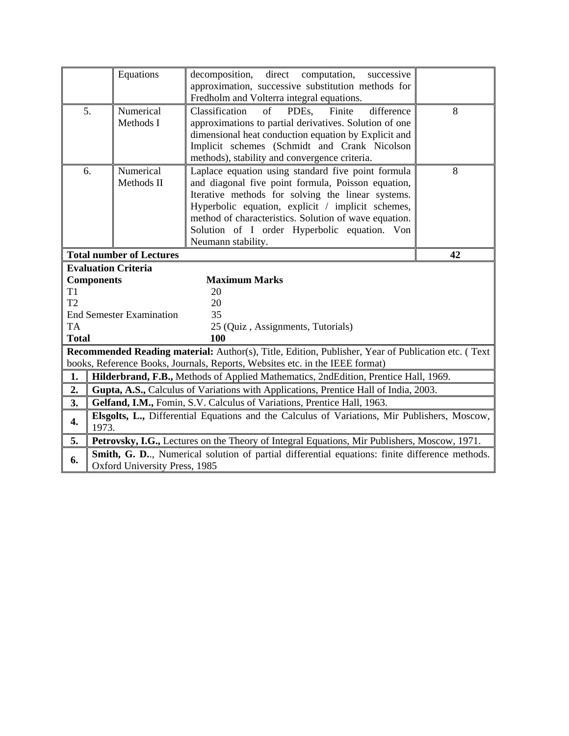|                                 | Equations                                                                                                                                                                                                                                                                                                | decomposition, direct computation,<br>successive<br>approximation, successive substitution methods for<br>Fredholm and Volterra integral equations.                                                                                                                                                                                               |   |  |  |  |
|---------------------------------|----------------------------------------------------------------------------------------------------------------------------------------------------------------------------------------------------------------------------------------------------------------------------------------------------------|---------------------------------------------------------------------------------------------------------------------------------------------------------------------------------------------------------------------------------------------------------------------------------------------------------------------------------------------------|---|--|--|--|
|                                 | 5.<br>Numerical<br>Classification<br>of<br>PDEs,<br>difference<br>Finite<br>Methods I<br>approximations to partial derivatives. Solution of one<br>dimensional heat conduction equation by Explicit and<br>Implicit schemes (Schmidt and Crank Nicolson<br>methods), stability and convergence criteria. |                                                                                                                                                                                                                                                                                                                                                   |   |  |  |  |
| 6.                              | Numerical<br>Methods II                                                                                                                                                                                                                                                                                  | Laplace equation using standard five point formula<br>and diagonal five point formula, Poisson equation,<br>Iterative methods for solving the linear systems.<br>Hyperbolic equation, explicit / implicit schemes,<br>method of characteristics. Solution of wave equation.<br>Solution of I order Hyperbolic equation. Von<br>Neumann stability. | 8 |  |  |  |
| <b>Total number of Lectures</b> | 42                                                                                                                                                                                                                                                                                                       |                                                                                                                                                                                                                                                                                                                                                   |   |  |  |  |
|                                 | <b>Evaluation Criteria</b>                                                                                                                                                                                                                                                                               |                                                                                                                                                                                                                                                                                                                                                   |   |  |  |  |
|                                 | <b>Components</b>                                                                                                                                                                                                                                                                                        | <b>Maximum Marks</b>                                                                                                                                                                                                                                                                                                                              |   |  |  |  |
| T <sub>1</sub>                  |                                                                                                                                                                                                                                                                                                          | 20                                                                                                                                                                                                                                                                                                                                                |   |  |  |  |
| T <sub>2</sub>                  |                                                                                                                                                                                                                                                                                                          | 20                                                                                                                                                                                                                                                                                                                                                |   |  |  |  |
| <b>TA</b>                       | <b>End Semester Examination</b>                                                                                                                                                                                                                                                                          | 35                                                                                                                                                                                                                                                                                                                                                |   |  |  |  |
| <b>Total</b>                    |                                                                                                                                                                                                                                                                                                          | 25 (Quiz, Assignments, Tutorials)<br>100                                                                                                                                                                                                                                                                                                          |   |  |  |  |
|                                 | Recommended Reading material: Author(s), Title, Edition, Publisher, Year of Publication etc. (Text                                                                                                                                                                                                       |                                                                                                                                                                                                                                                                                                                                                   |   |  |  |  |
|                                 |                                                                                                                                                                                                                                                                                                          | books, Reference Books, Journals, Reports, Websites etc. in the IEEE format)                                                                                                                                                                                                                                                                      |   |  |  |  |
| 1.                              |                                                                                                                                                                                                                                                                                                          | Hilderbrand, F.B., Methods of Applied Mathematics, 2ndEdition, Prentice Hall, 1969.                                                                                                                                                                                                                                                               |   |  |  |  |
| 2.                              | Gupta, A.S., Calculus of Variations with Applications, Prentice Hall of India, 2003.                                                                                                                                                                                                                     |                                                                                                                                                                                                                                                                                                                                                   |   |  |  |  |
| 3.                              | Gelfand, I.M., Fomin, S.V. Calculus of Variations, Prentice Hall, 1963.                                                                                                                                                                                                                                  |                                                                                                                                                                                                                                                                                                                                                   |   |  |  |  |
| 4.                              | Elsgolts, L., Differential Equations and the Calculus of Variations, Mir Publishers, Moscow,<br>1973.                                                                                                                                                                                                    |                                                                                                                                                                                                                                                                                                                                                   |   |  |  |  |
| 5.                              |                                                                                                                                                                                                                                                                                                          | Petrovsky, I.G., Lectures on the Theory of Integral Equations, Mir Publishers, Moscow, 1971.                                                                                                                                                                                                                                                      |   |  |  |  |
| 6.                              | Oxford University Press, 1985                                                                                                                                                                                                                                                                            | Smith, G. D, Numerical solution of partial differential equations: finite difference methods.                                                                                                                                                                                                                                                     |   |  |  |  |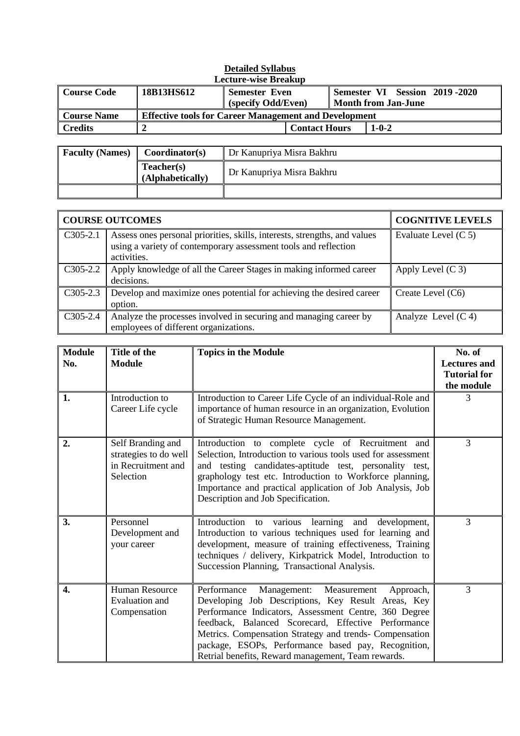| <b>Detailed Syllabus</b>    |
|-----------------------------|
| <b>Lecture-wise Breakup</b> |

| Little whit Ditained |                                                              |                      |                            |             |  |                                       |  |  |
|----------------------|--------------------------------------------------------------|----------------------|----------------------------|-------------|--|---------------------------------------|--|--|
| <b>Course Code</b>   | 18B13HS612                                                   | <b>Semester Even</b> |                            |             |  | <b>Semester VI Session 2019 -2020</b> |  |  |
|                      |                                                              | (specify Odd/Even)   | <b>Month from Jan-June</b> |             |  |                                       |  |  |
| <b>Course Name</b>   | <b>Effective tools for Career Management and Development</b> |                      |                            |             |  |                                       |  |  |
| <b>Credits</b>       |                                                              | <b>Contact Hours</b> |                            | $1 - 0 - 2$ |  |                                       |  |  |

| <b>Faculty (Names)</b> | Coordinator(s)                 | Dr Kanupriya Misra Bakhru |
|------------------------|--------------------------------|---------------------------|
|                        | Teacher(s)<br>(Alphabetically) | Dr Kanupriya Misra Bakhru |
|                        |                                |                           |

|            | <b>COURSE OUTCOMES</b>                                                                                                                                      | <b>COGNITIVE LEVELS</b> |
|------------|-------------------------------------------------------------------------------------------------------------------------------------------------------------|-------------------------|
| $C305-2.1$ | Assess ones personal priorities, skills, interests, strengths, and values<br>using a variety of contemporary assessment tools and reflection<br>activities. | Evaluate Level $(C 5)$  |
| $C305-2.2$ | Apply knowledge of all the Career Stages in making informed career<br>decisions.                                                                            | Apply Level $(C_3)$     |
| $C305-2.3$ | Develop and maximize ones potential for achieving the desired career<br>option.                                                                             | Create Level (C6)       |
| $C305-2.4$ | Analyze the processes involved in securing and managing career by<br>employees of different organizations.                                                  | Analyze Level $(C 4)$   |

| <b>Module</b><br>No. | Title of the<br><b>Module</b>                                                 | <b>Topics in the Module</b>                                                                                                                                                                                                                                                                                                                                                                       | No. of<br><b>Lectures</b> and<br><b>Tutorial for</b><br>the module |
|----------------------|-------------------------------------------------------------------------------|---------------------------------------------------------------------------------------------------------------------------------------------------------------------------------------------------------------------------------------------------------------------------------------------------------------------------------------------------------------------------------------------------|--------------------------------------------------------------------|
| 1.                   | Introduction to<br>Career Life cycle                                          | Introduction to Career Life Cycle of an individual-Role and<br>importance of human resource in an organization, Evolution<br>of Strategic Human Resource Management.                                                                                                                                                                                                                              | 3                                                                  |
| 2.                   | Self Branding and<br>strategies to do well<br>in Recruitment and<br>Selection | Introduction to complete cycle of Recruitment and<br>Selection, Introduction to various tools used for assessment<br>and testing candidates-aptitude test, personality test,<br>graphology test etc. Introduction to Workforce planning,<br>Importance and practical application of Job Analysis, Job<br>Description and Job Specification.                                                       | 3                                                                  |
| 3.                   | Personnel<br>Development and<br>your career                                   | Introduction to various<br>learning and development,<br>Introduction to various techniques used for learning and<br>development, measure of training effectiveness, Training<br>techniques / delivery, Kirkpatrick Model, Introduction to<br>Succession Planning, Transactional Analysis.                                                                                                         | 3                                                                  |
| 4.                   | <b>Human Resource</b><br><b>Evaluation and</b><br>Compensation                | Performance<br>Management: Measurement<br>Approach,<br>Developing Job Descriptions, Key Result Areas, Key<br>Performance Indicators, Assessment Centre, 360 Degree<br>feedback, Balanced Scorecard, Effective Performance<br>Metrics. Compensation Strategy and trends- Compensation<br>package, ESOPs, Performance based pay, Recognition,<br>Retrial benefits, Reward management, Team rewards. | 3                                                                  |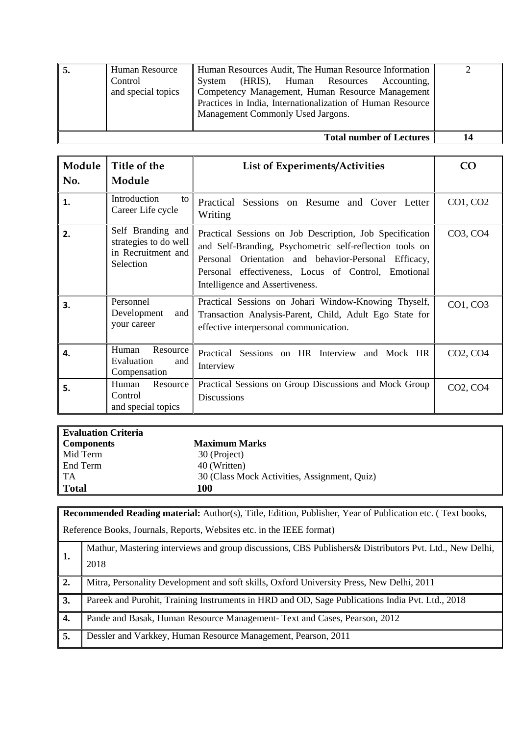| ' 5. | Human Resource<br><b>Control</b><br>and special topics | Human Resources Audit, The Human Resource Information<br>(HRIS), Human Resources Accounting,<br>System<br>Competency Management, Human Resource Management<br>Practices in India, Internationalization of Human Resource<br>Management Commonly Used Jargons.                                    |  |
|------|--------------------------------------------------------|--------------------------------------------------------------------------------------------------------------------------------------------------------------------------------------------------------------------------------------------------------------------------------------------------|--|
|      |                                                        | $\mathbf{m}$ and $\mathbf{m}$ and $\mathbf{m}$ and $\mathbf{m}$ and $\mathbf{m}$ and $\mathbf{m}$ and $\mathbf{m}$ and $\mathbf{m}$ and $\mathbf{m}$ and $\mathbf{m}$ and $\mathbf{m}$ and $\mathbf{m}$ and $\mathbf{m}$ and $\mathbf{m}$ and $\mathbf{m}$ and $\mathbf{m}$ and $\mathbf{m}$ and |  |

#### **Total number of Lectures 14**

| Module<br>No. | Title of the<br>Module                                                        | <b>List of Experiments/Activities</b>                                                                                                                                                                                                                                  |                                               |  |  |
|---------------|-------------------------------------------------------------------------------|------------------------------------------------------------------------------------------------------------------------------------------------------------------------------------------------------------------------------------------------------------------------|-----------------------------------------------|--|--|
| 1.            | Introduction<br>to<br>Career Life cycle                                       | Practical Sessions on Resume and Cover Letter<br>Writing                                                                                                                                                                                                               | CO1, CO2                                      |  |  |
| 2.            | Self Branding and<br>strategies to do well<br>in Recruitment and<br>Selection | Practical Sessions on Job Description, Job Specification<br>and Self-Branding, Psychometric self-reflection tools on<br>Personal Orientation and behavior-Personal Efficacy,<br>Personal effectiveness, Locus of Control, Emotional<br>Intelligence and Assertiveness. | CO <sub>3</sub> , C <sub>O</sub> <sub>4</sub> |  |  |
| 3.            | Personnel<br>Development<br>and<br>your career                                | Practical Sessions on Johari Window-Knowing Thyself,<br>Transaction Analysis-Parent, Child, Adult Ego State for<br>effective interpersonal communication.                                                                                                              | CO1, CO3                                      |  |  |
| 4.            | Human<br>Resource<br>Evaluation<br>and<br>Compensation                        | Practical Sessions on HR Interview and Mock HR<br>Interview                                                                                                                                                                                                            | CO <sub>2</sub> , C <sub>O</sub> <sub>4</sub> |  |  |
| 5.            | Human<br>Resource<br>Control<br>and special topics                            | Practical Sessions on Group Discussions and Mock Group<br><b>Discussions</b>                                                                                                                                                                                           | CO <sub>2</sub> , C <sub>O</sub> <sub>4</sub> |  |  |

| <b>Evaluation Criteria</b> |                                              |
|----------------------------|----------------------------------------------|
| <b>Components</b>          | <b>Maximum Marks</b>                         |
| Mid Term                   | 30 (Project)                                 |
| End Term                   | 40 (Written)                                 |
| TA                         | 30 (Class Mock Activities, Assignment, Quiz) |
| <b>Total</b>               | 100                                          |

**Recommended Reading material:** Author(s), Title, Edition, Publisher, Year of Publication etc. ( Text books, Reference Books, Journals, Reports, Websites etc. in the IEEE format)

| $\mathbf{1}$ . | Mathur, Mastering interviews and group discussions, CBS Publishers & Distributors Pvt. Ltd., New Delhi,<br>2018 |
|----------------|-----------------------------------------------------------------------------------------------------------------|
| <sup>2.</sup>  | Mitra, Personality Development and soft skills, Oxford University Press, New Delhi, 2011                        |
| 3.             | Pareek and Purohit, Training Instruments in HRD and OD, Sage Publications India Pvt. Ltd., 2018                 |
| 4.             | Pande and Basak, Human Resource Management-Text and Cases, Pearson, 2012                                        |
| 5.             | Dessler and Varkkey, Human Resource Management, Pearson, 2011                                                   |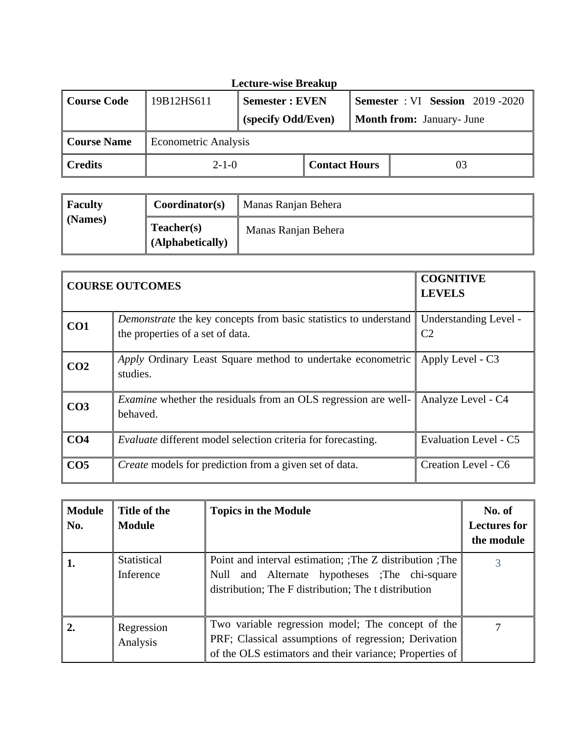| <b>Lecture-wise Breakup</b> |                                           |                       |  |                                  |                                          |
|-----------------------------|-------------------------------------------|-----------------------|--|----------------------------------|------------------------------------------|
| Course Code                 | 19B12HS611                                | <b>Semester: EVEN</b> |  |                                  | <b>Semester</b> : VI Session 2019 - 2020 |
|                             |                                           | (specify Odd/Even)    |  | <b>Month from:</b> January- June |                                          |
| Course Name                 | <b>Econometric Analysis</b>               |                       |  |                                  |                                          |
| Credits                     | $2 - 1 - 0$<br><b>Contact Hours</b><br>03 |                       |  |                                  |                                          |

| <b>Faculty</b> | Coordinator(s)                 | Manas Ranjan Behera |
|----------------|--------------------------------|---------------------|
| (Names)        | Teacher(s)<br>(Alphabetically) | Manas Ranjan Behera |

|                 | <b>COURSE OUTCOMES</b>                                                                               | <b>COGNITIVE</b><br><b>LEVELS</b>       |
|-----------------|------------------------------------------------------------------------------------------------------|-----------------------------------------|
| CO1             | Demonstrate the key concepts from basic statistics to understand<br>the properties of a set of data. | Understanding Level -<br>C <sub>2</sub> |
| CO <sub>2</sub> | <i>Apply</i> Ordinary Least Square method to undertake econometric<br>studies.                       | Apply Level - C3                        |
| CO <sub>3</sub> | <i>Examine</i> whether the residuals from an OLS regression are well-<br>behaved.                    | Analyze Level - C4                      |
| CO <sub>4</sub> | <i>Evaluate</i> different model selection criteria for forecasting.                                  | <b>Evaluation Level - C5</b>            |
| CO <sub>5</sub> | <i>Create</i> models for prediction from a given set of data.                                        | Creation Level - C6                     |

| <b>Module</b><br>No. | Title of the<br><b>Module</b> | <b>Topics in the Module</b>                                                                                                                                          | No. of<br><b>Lectures for</b><br>the module |
|----------------------|-------------------------------|----------------------------------------------------------------------------------------------------------------------------------------------------------------------|---------------------------------------------|
| -1.                  | Statistical<br>Inference      | Point and interval estimation; ;The Z distribution ;The<br>Null and Alternate hypotheses ; The chi-square<br>distribution; The F distribution; The t distribution    |                                             |
| 2.                   | Regression<br>Analysis        | Two variable regression model; The concept of the<br>PRF; Classical assumptions of regression; Derivation<br>of the OLS estimators and their variance; Properties of |                                             |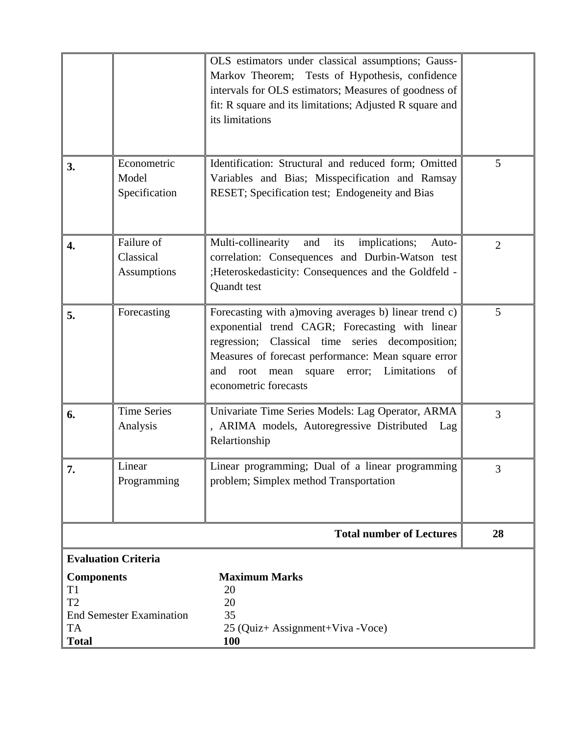|                                                                                    |                                        | OLS estimators under classical assumptions; Gauss-<br>Markov Theorem; Tests of Hypothesis, confidence<br>intervals for OLS estimators; Measures of goodness of<br>fit: R square and its limitations; Adjusted R square and<br>its limitations                                                        |                |
|------------------------------------------------------------------------------------|----------------------------------------|------------------------------------------------------------------------------------------------------------------------------------------------------------------------------------------------------------------------------------------------------------------------------------------------------|----------------|
| 3.                                                                                 | Econometric<br>Model<br>Specification  | Identification: Structural and reduced form; Omitted<br>Variables and Bias; Misspecification and Ramsay<br>RESET; Specification test; Endogeneity and Bias                                                                                                                                           | 5              |
| $\overline{4}$ .                                                                   | Failure of<br>Classical<br>Assumptions | Multi-collinearity<br>and<br>its<br>implications;<br>Auto-<br>correlation: Consequences and Durbin-Watson test<br>;Heteroskedasticity: Consequences and the Goldfeld -<br>Quandt test                                                                                                                | $\overline{2}$ |
| 5.                                                                                 | Forecasting                            | Forecasting with a) moving averages b) linear trend c)<br>exponential trend CAGR; Forecasting with linear<br>regression; Classical time series decomposition;<br>Measures of forecast performance: Mean square error<br>Limitations<br>root mean square error;<br>and<br>of<br>econometric forecasts | 5              |
| 6.                                                                                 | <b>Time Series</b><br>Analysis         | Univariate Time Series Models: Lag Operator, ARMA<br>, ARIMA models, Autoregressive Distributed<br>Lag<br>Relartionship                                                                                                                                                                              | 3              |
| 7.                                                                                 | Linear<br>Programming                  | Linear programming; Dual of a linear programming<br>problem; Simplex method Transportation                                                                                                                                                                                                           | 3              |
|                                                                                    |                                        | <b>Total number of Lectures</b>                                                                                                                                                                                                                                                                      | 28             |
|                                                                                    | <b>Evaluation Criteria</b>             |                                                                                                                                                                                                                                                                                                      |                |
| <b>Components</b><br>T <sub>1</sub><br>T <sub>2</sub><br><b>TA</b><br><b>Total</b> | <b>End Semester Examination</b>        | <b>Maximum Marks</b><br>20<br>20<br>35<br>25 (Quiz+ Assignment+Viva -Voce)<br><b>100</b>                                                                                                                                                                                                             |                |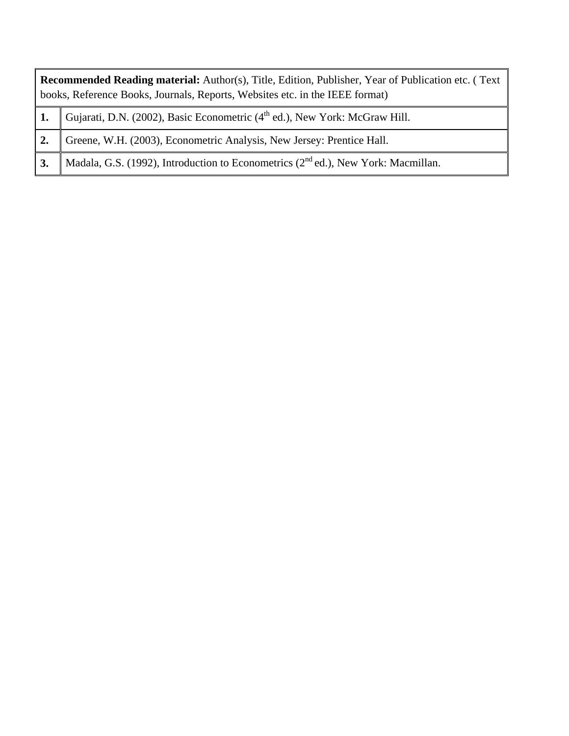|                  | Recommended Reading material: Author(s), Title, Edition, Publisher, Year of Publication etc. (Text<br>books, Reference Books, Journals, Reports, Websites etc. in the IEEE format) |  |  |  |
|------------------|------------------------------------------------------------------------------------------------------------------------------------------------------------------------------------|--|--|--|
| l 1.             | Gujarati, D.N. (2002), Basic Econometric ( $4th$ ed.), New York: McGraw Hill.                                                                                                      |  |  |  |
| $\vert 2. \vert$ | Greene, W.H. (2003), Econometric Analysis, New Jersey: Prentice Hall.                                                                                                              |  |  |  |
| $\vert 3. \vert$ | Madala, G.S. (1992), Introduction to Econometrics ( $2nd$ ed.), New York: Macmillan.                                                                                               |  |  |  |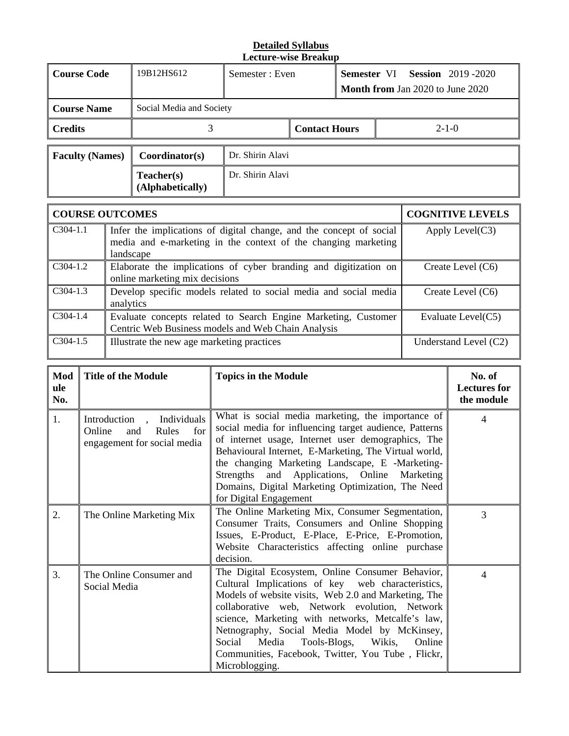| <b>Course Code</b>     | 19B12HS612               | Semester: Even       |  | Semester VI<br><b>Session</b> 2019 -2020<br><b>Month from Jan 2020 to June 2020</b> |             |
|------------------------|--------------------------|----------------------|--|-------------------------------------------------------------------------------------|-------------|
| <b>Course Name</b>     | Social Media and Society |                      |  |                                                                                     |             |
| <b>Credits</b>         |                          | <b>Contact Hours</b> |  |                                                                                     | $2 - 1 - 0$ |
| <b>Faculty (Names)</b> | Coordinator(s)           | Dr. Shirin Alavi     |  |                                                                                     |             |
|                        | Teacher(s)               | Dr. Shirin Alavi     |  |                                                                                     |             |

**(Alphabetically)** 

|             | <b>COURSE OUTCOMES</b>                                                                                                                             | <b>COGNITIVE LEVELS</b> |
|-------------|----------------------------------------------------------------------------------------------------------------------------------------------------|-------------------------|
| $C304-1.1$  | Infer the implications of digital change, and the concept of social<br>media and e-marketing in the context of the changing marketing<br>landscape | Apply Level $(C3)$      |
| $C_304-1.2$ | Elaborate the implications of cyber branding and digitization on<br>online marketing mix decisions                                                 | Create Level (C6)       |
| $C_304-1.3$ | Develop specific models related to social media and social media<br>analytics                                                                      | Create Level $(C6)$     |
| $C304-1.4$  | Evaluate concepts related to Search Engine Marketing, Customer<br>Centric Web Business models and Web Chain Analysis                               | Evaluate Level(C5)      |
| $C_304-1.5$ | Illustrate the new age marketing practices                                                                                                         | Understand Level $(C2)$ |

| Mod<br>ule<br>No. | <b>Title of the Module</b>                                                                   | <b>Topics in the Module</b>                                                                                                                                                                                                                                                                                                                                                                                                              | No. of<br><b>Lectures for</b><br>the module |
|-------------------|----------------------------------------------------------------------------------------------|------------------------------------------------------------------------------------------------------------------------------------------------------------------------------------------------------------------------------------------------------------------------------------------------------------------------------------------------------------------------------------------------------------------------------------------|---------------------------------------------|
| 1.                | Individuals<br>Introduction,<br>Rules<br>Online<br>for<br>and<br>engagement for social media | What is social media marketing, the importance of<br>social media for influencing target audience, Patterns<br>of internet usage, Internet user demographics, The<br>Behavioural Internet, E-Marketing, The Virtual world,<br>the changing Marketing Landscape, E -Marketing-<br>Strengths and Applications, Online Marketing<br>Domains, Digital Marketing Optimization, The Need<br>for Digital Engagement                             | 4                                           |
| 2.                | The Online Marketing Mix                                                                     | The Online Marketing Mix, Consumer Segmentation,<br>Consumer Traits, Consumers and Online Shopping<br>Issues, E-Product, E-Place, E-Price, E-Promotion,<br>Website Characteristics affecting online purchase<br>decision.                                                                                                                                                                                                                | 3                                           |
| 3.                | The Online Consumer and<br>Social Media                                                      | The Digital Ecosystem, Online Consumer Behavior,<br>Cultural Implications of key web characteristics,<br>Models of website visits, Web 2.0 and Marketing, The<br>collaborative web, Network evolution, Network<br>science, Marketing with networks, Metcalfe's law,<br>Netnography, Social Media Model by McKinsey,<br>Social Media Tools-Blogs, Wikis,<br>Online<br>Communities, Facebook, Twitter, You Tube, Flickr,<br>Microblogging. | 4                                           |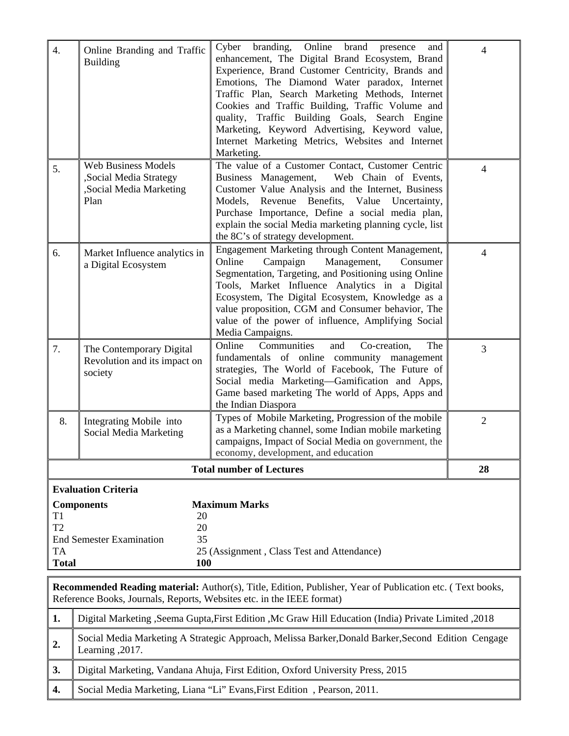| $\overline{4}$ .                                              | Online Branding and Traffic<br><b>Building</b>                                                                                                                                     | branding, Online brand<br>Cyber<br>presence<br>and<br>enhancement, The Digital Brand Ecosystem, Brand<br>Experience, Brand Customer Centricity, Brands and<br>Emotions, The Diamond Water paradox, Internet<br>Traffic Plan, Search Marketing Methods, Internet<br>Cookies and Traffic Building, Traffic Volume and<br>quality, Traffic Building Goals, Search Engine<br>Marketing, Keyword Advertising, Keyword value,<br>Internet Marketing Metrics, Websites and Internet<br>Marketing. | 4              |  |  |
|---------------------------------------------------------------|------------------------------------------------------------------------------------------------------------------------------------------------------------------------------------|--------------------------------------------------------------------------------------------------------------------------------------------------------------------------------------------------------------------------------------------------------------------------------------------------------------------------------------------------------------------------------------------------------------------------------------------------------------------------------------------|----------------|--|--|
| 5.                                                            | <b>Web Business Models</b><br>,Social Media Strategy<br>,Social Media Marketing<br>Plan                                                                                            | The value of a Customer Contact, Customer Centric<br>Business Management, Web Chain of Events,<br>Customer Value Analysis and the Internet, Business<br>Models, Revenue Benefits, Value<br>Uncertainty,<br>Purchase Importance, Define a social media plan,<br>explain the social Media marketing planning cycle, list<br>the 8C's of strategy development.                                                                                                                                | $\overline{4}$ |  |  |
| 6.                                                            | Market Influence analytics in<br>a Digital Ecosystem                                                                                                                               | Engagement Marketing through Content Management,<br>Online<br>Campaign<br>Management,<br>Consumer<br>Segmentation, Targeting, and Positioning using Online<br>Tools, Market Influence Analytics in a Digital<br>Ecosystem, The Digital Ecosystem, Knowledge as a<br>value proposition, CGM and Consumer behavior, The<br>value of the power of influence, Amplifying Social<br>Media Campaigns.                                                                                            | $\overline{4}$ |  |  |
| 7.                                                            | The Contemporary Digital<br>Revolution and its impact on<br>society                                                                                                                | Online<br>Communities<br>The<br>and<br>Co-creation,<br>fundamentals of online community management<br>strategies, The World of Facebook, The Future of<br>Social media Marketing-Gamification and Apps,<br>Game based marketing The world of Apps, Apps and<br>the Indian Diaspora                                                                                                                                                                                                         | 3              |  |  |
| 8.                                                            | Integrating Mobile into<br>Social Media Marketing                                                                                                                                  | Types of Mobile Marketing, Progression of the mobile<br>as a Marketing channel, some Indian mobile marketing<br>campaigns, Impact of Social Media on government, the<br>economy, development, and education                                                                                                                                                                                                                                                                                | $\overline{2}$ |  |  |
|                                                               |                                                                                                                                                                                    | <b>Total number of Lectures</b>                                                                                                                                                                                                                                                                                                                                                                                                                                                            | 28             |  |  |
| T <sub>1</sub><br>T <sub>2</sub><br><b>TA</b><br><b>Total</b> | <b>Evaluation Criteria</b><br><b>Components</b><br>20<br>20<br>35<br><b>End Semester Examination</b><br>100                                                                        | <b>Maximum Marks</b><br>25 (Assignment, Class Test and Attendance)                                                                                                                                                                                                                                                                                                                                                                                                                         |                |  |  |
|                                                               | Recommended Reading material: Author(s), Title, Edition, Publisher, Year of Publication etc. (Text books,<br>Reference Books, Journals, Reports, Websites etc. in the IEEE format) |                                                                                                                                                                                                                                                                                                                                                                                                                                                                                            |                |  |  |

|    | Digital Marketing , Seema Gupta, First Edition , Mc Graw Hill Education (India) Private Limited , 2018                 |
|----|------------------------------------------------------------------------------------------------------------------------|
|    | Social Media Marketing A Strategic Approach, Melissa Barker, Donald Barker, Second Edition Cengage<br>Learning , 2017. |
|    | Digital Marketing, Vandana Ahuja, First Edition, Oxford University Press, 2015                                         |
| 4. | Social Media Marketing, Liana "Li" Evans, First Edition, Pearson, 2011.                                                |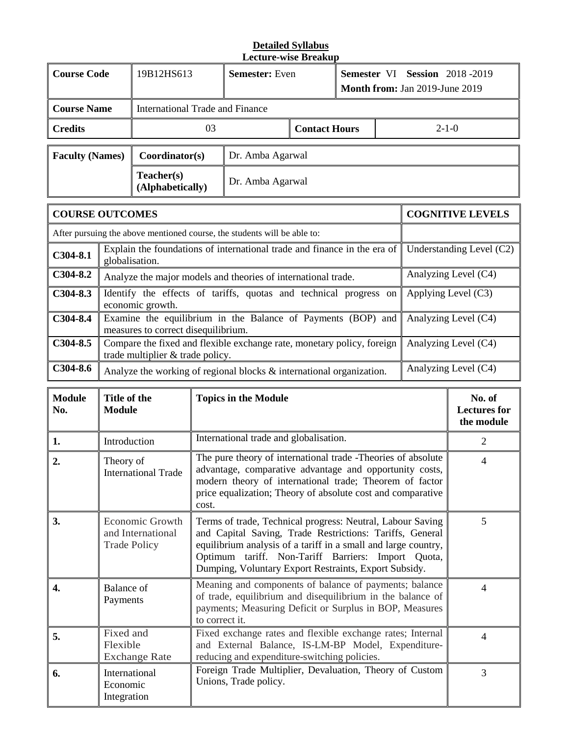| <b>Course Code</b>     |                                                              | 19B12HS613                                                  | <b>Semester:</b> Even |                                                                                                                                                                                                                                                                                                         | <b>Semester VI Session 2018-2019</b><br>Month from: Jan 2019-June 2019 |  |             |                                             |
|------------------------|--------------------------------------------------------------|-------------------------------------------------------------|-----------------------|---------------------------------------------------------------------------------------------------------------------------------------------------------------------------------------------------------------------------------------------------------------------------------------------------------|------------------------------------------------------------------------|--|-------------|---------------------------------------------|
| <b>Course Name</b>     |                                                              | <b>International Trade and Finance</b>                      |                       |                                                                                                                                                                                                                                                                                                         |                                                                        |  |             |                                             |
| <b>Credits</b>         |                                                              |                                                             | 03                    |                                                                                                                                                                                                                                                                                                         | <b>Contact Hours</b>                                                   |  | $2 - 1 - 0$ |                                             |
| <b>Faculty (Names)</b> |                                                              | Coordinator(s)                                              |                       | Dr. Amba Agarwal                                                                                                                                                                                                                                                                                        |                                                                        |  |             |                                             |
|                        |                                                              | Teacher(s)<br>(Alphabetically)                              |                       | Dr. Amba Agarwal                                                                                                                                                                                                                                                                                        |                                                                        |  |             |                                             |
| <b>COURSE OUTCOMES</b> |                                                              |                                                             |                       |                                                                                                                                                                                                                                                                                                         |                                                                        |  |             | <b>COGNITIVE LEVELS</b>                     |
|                        |                                                              |                                                             |                       | After pursuing the above mentioned course, the students will be able to:                                                                                                                                                                                                                                |                                                                        |  |             |                                             |
| $C304-8.1$             |                                                              | globalisation.                                              |                       | Explain the foundations of international trade and finance in the era of                                                                                                                                                                                                                                |                                                                        |  |             | Understanding Level (C2)                    |
| C304-8.2               |                                                              |                                                             |                       | Analyze the major models and theories of international trade.                                                                                                                                                                                                                                           |                                                                        |  |             | Analyzing Level (C4)                        |
| $C304-8.3$             |                                                              | economic growth.                                            |                       | Identify the effects of tariffs, quotas and technical progress on                                                                                                                                                                                                                                       |                                                                        |  |             | Applying Level (C3)                         |
| C304-8.4               |                                                              | measures to correct disequilibrium.                         |                       | Examine the equilibrium in the Balance of Payments (BOP) and                                                                                                                                                                                                                                            |                                                                        |  |             | Analyzing Level (C4)                        |
| $C304-8.5$             |                                                              | trade multiplier & trade policy.                            |                       | Compare the fixed and flexible exchange rate, monetary policy, foreign                                                                                                                                                                                                                                  |                                                                        |  |             | Analyzing Level (C4)                        |
| C304-8.6               |                                                              |                                                             |                       | Analyze the working of regional blocks $\&$ international organization.                                                                                                                                                                                                                                 |                                                                        |  |             | Analyzing Level (C4)                        |
|                        | Title of the<br><b>Topics in the Module</b><br><b>Module</b> |                                                             |                       |                                                                                                                                                                                                                                                                                                         |                                                                        |  |             |                                             |
| <b>Module</b><br>No.   |                                                              |                                                             |                       |                                                                                                                                                                                                                                                                                                         |                                                                        |  |             | No. of<br><b>Lectures for</b><br>the module |
| 1.                     | Introduction                                                 |                                                             |                       | International trade and globalisation.                                                                                                                                                                                                                                                                  |                                                                        |  |             | 2                                           |
| 2.                     | Theory of                                                    | <b>International Trade</b>                                  | cost.                 | The pure theory of international trade -Theories of absolute<br>advantage, comparative advantage and opportunity costs,<br>modern theory of international trade; Theorem of factor<br>price equalization; Theory of absolute cost and comparative                                                       |                                                                        |  |             | $\overline{4}$                              |
| 3.                     |                                                              | Economic Growth<br>and International<br><b>Trade Policy</b> |                       | Terms of trade, Technical progress: Neutral, Labour Saving<br>and Capital Saving, Trade Restrictions: Tariffs, General<br>equilibrium analysis of a tariff in a small and large country,<br>Optimum tariff. Non-Tariff Barriers: Import Quota,<br>Dumping, Voluntary Export Restraints, Export Subsidy. |                                                                        |  |             | 5                                           |
| 4.                     | <b>Balance</b> of<br>Payments                                |                                                             | to correct it.        | Meaning and components of balance of payments; balance<br>of trade, equilibrium and disequilibrium in the balance of<br>payments; Measuring Deficit or Surplus in BOP, Measures                                                                                                                         |                                                                        |  |             | $\overline{4}$                              |
| 5.                     | Fixed and<br>Flexible                                        | <b>Exchange Rate</b>                                        |                       | Fixed exchange rates and flexible exchange rates; Internal<br>and External Balance, IS-LM-BP Model, Expenditure-<br>reducing and expenditure-switching policies.                                                                                                                                        |                                                                        |  |             | $\overline{4}$                              |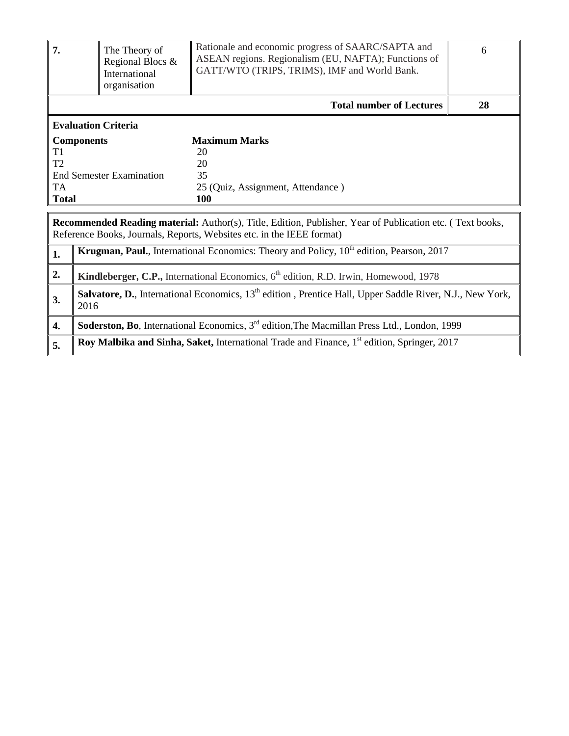| 7.             | The Theory of<br>Regional Blocs &<br>International                                                                                                                                        | Rationale and economic progress of SAARC/SAPTA and<br>ASEAN regions. Regionalism (EU, NAFTA); Functions of<br>GATT/WTO (TRIPS, TRIMS), IMF and World Bank. | 6  |  |  |  |  |
|----------------|-------------------------------------------------------------------------------------------------------------------------------------------------------------------------------------------|------------------------------------------------------------------------------------------------------------------------------------------------------------|----|--|--|--|--|
|                | organisation                                                                                                                                                                              |                                                                                                                                                            |    |  |  |  |  |
|                |                                                                                                                                                                                           | <b>Total number of Lectures</b>                                                                                                                            | 28 |  |  |  |  |
|                | <b>Evaluation Criteria</b>                                                                                                                                                                |                                                                                                                                                            |    |  |  |  |  |
|                | <b>Components</b>                                                                                                                                                                         | <b>Maximum Marks</b>                                                                                                                                       |    |  |  |  |  |
| T <sub>1</sub> |                                                                                                                                                                                           | 20                                                                                                                                                         |    |  |  |  |  |
| T <sub>2</sub> |                                                                                                                                                                                           | 20                                                                                                                                                         |    |  |  |  |  |
|                | <b>End Semester Examination</b>                                                                                                                                                           | 35                                                                                                                                                         |    |  |  |  |  |
| <b>TA</b>      |                                                                                                                                                                                           | 25 (Quiz, Assignment, Attendance)                                                                                                                          |    |  |  |  |  |
|                | <b>Total</b><br><b>100</b>                                                                                                                                                                |                                                                                                                                                            |    |  |  |  |  |
|                | <b>Recommended Reading material:</b> Author(s), Title, Edition, Publisher, Year of Publication etc. (Text books,<br>Reference Books, Journals, Reports, Websites etc. in the IEEE format) |                                                                                                                                                            |    |  |  |  |  |
| 1.             | <b>Krugman, Paul.</b> , International Economics: Theory and Policy, 10 <sup>th</sup> edition, Pearson, 2017                                                                               |                                                                                                                                                            |    |  |  |  |  |
| 2.             | <b>Kindleberger, C.P.,</b> International Economics, $6th$ edition, R.D. Irwin, Homewood, 1978                                                                                             |                                                                                                                                                            |    |  |  |  |  |
| 3.             | Salvatore, D., International Economics, 13 <sup>th</sup> edition, Prentice Hall, Upper Saddle River, N.J., New York,<br>2016                                                              |                                                                                                                                                            |    |  |  |  |  |
| 4.             |                                                                                                                                                                                           | Soderston, Bo, International Economics, 3 <sup>rd</sup> edition, The Macmillan Press Ltd., London, 1999                                                    |    |  |  |  |  |
| 5.             |                                                                                                                                                                                           | Roy Malbika and Sinha, Saket, International Trade and Finance, 1 <sup>st</sup> edition, Springer, 2017                                                     |    |  |  |  |  |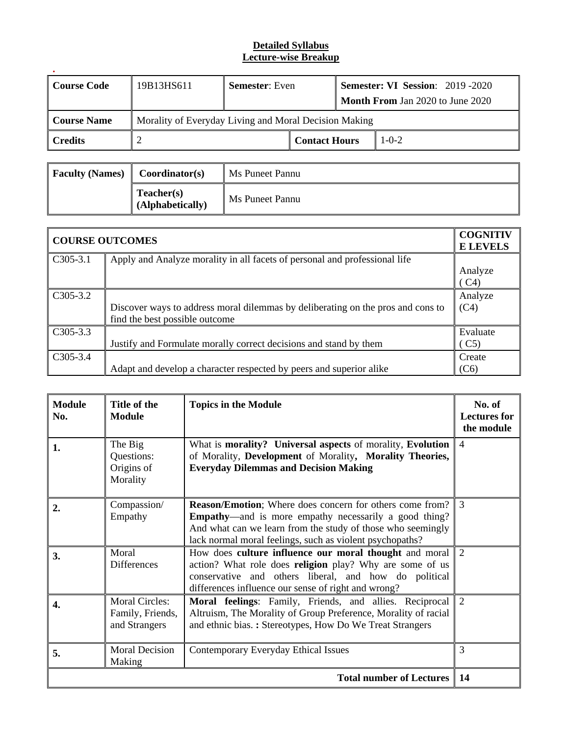| <b>Course Code</b> | 19B13HS611                                            | <b>Semester:</b> Even |                      | <b>Semester: VI Session: 2019 -2020</b><br><b>Month From Jan 2020 to June 2020</b> |             |  |
|--------------------|-------------------------------------------------------|-----------------------|----------------------|------------------------------------------------------------------------------------|-------------|--|
| <b>Course Name</b> | Morality of Everyday Living and Moral Decision Making |                       |                      |                                                                                    |             |  |
| <b>Credits</b>     |                                                       |                       | <b>Contact Hours</b> |                                                                                    | $1 - 0 - 2$ |  |

| <b>Faculty (Names)</b> | Coordinator(s)                        | Ms Puneet Pannu |
|------------------------|---------------------------------------|-----------------|
|                        | <b>Teacher(s)</b><br>(Alphabetically) | Ms Puneet Pannu |

|            | <b>COURSE OUTCOMES</b>                                                          | <b>COGNITIV</b><br><b>E LEVELS</b> |
|------------|---------------------------------------------------------------------------------|------------------------------------|
| $C305-3.1$ | Apply and Analyze morality in all facets of personal and professional life      |                                    |
|            |                                                                                 | Analyze                            |
|            |                                                                                 | (C4)                               |
| $C305-3.2$ |                                                                                 | Analyze                            |
|            | Discover ways to address moral dilemmas by deliberating on the pros and cons to | (C4)                               |
|            | find the best possible outcome                                                  |                                    |
| $C305-3.3$ |                                                                                 | Evaluate                           |
|            | Justify and Formulate morally correct decisions and stand by them               | (C5)                               |
| $C305-3.4$ |                                                                                 | Create                             |
|            | Adapt and develop a character respected by peers and superior alike             | (C6)                               |

| <b>Module</b><br>No. | Title of the<br><b>Module</b>                              | <b>Topics in the Module</b>                                                                                                                                                                                                                                 | No. of<br><b>Lectures</b> for<br>the module |
|----------------------|------------------------------------------------------------|-------------------------------------------------------------------------------------------------------------------------------------------------------------------------------------------------------------------------------------------------------------|---------------------------------------------|
| 1.                   | The Big<br>Questions:<br>Origins of<br>Morality            | What is morality? Universal aspects of morality, Evolution<br>of Morality, Development of Morality, Morality Theories,<br><b>Everyday Dilemmas and Decision Making</b>                                                                                      | $\overline{4}$                              |
| 2.                   | Compassion/<br>Empathy                                     | <b>Reason/Emotion:</b> Where does concern for others come from?<br><b>Empathy</b> —and is more empathy necessarily a good thing?<br>And what can we learn from the study of those who seemingly<br>lack normal moral feelings, such as violent psychopaths? | 3                                           |
| 3.                   | Moral<br><b>Differences</b>                                | How does culture influence our moral thought and moral<br>action? What role does religion play? Why are some of us<br>conservative and others liberal, and how do political<br>differences influence our sense of right and wrong?                          | 2                                           |
| 4.                   | <b>Moral Circles:</b><br>Family, Friends,<br>and Strangers | Moral feelings: Family, Friends, and allies. Reciprocal<br>Altruism, The Morality of Group Preference, Morality of racial<br>and ethnic bias.: Stereotypes, How Do We Treat Strangers                                                                       | 2                                           |
| 5.                   | <b>Moral Decision</b><br>Making                            | Contemporary Everyday Ethical Issues                                                                                                                                                                                                                        | 3                                           |
|                      |                                                            | <b>Total number of Lectures</b>                                                                                                                                                                                                                             | 14                                          |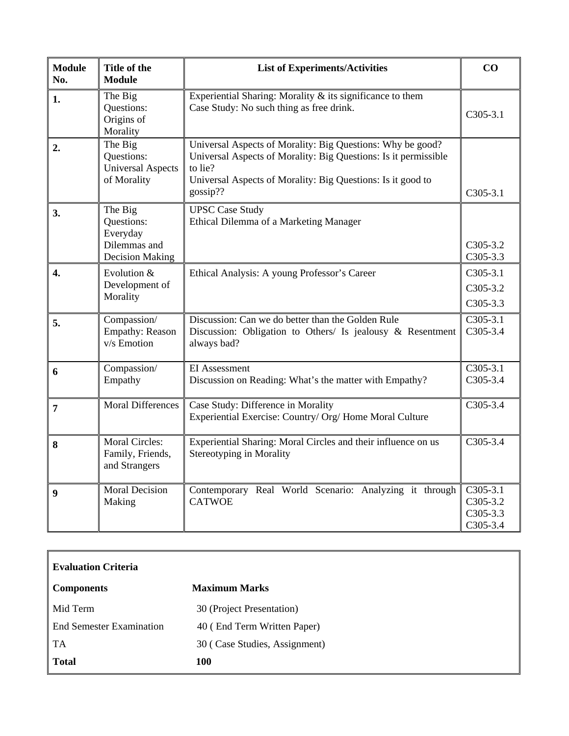| <b>Module</b><br>No.        | Title of the<br><b>Module</b>                                               | <b>List of Experiments/Activities</b>                                                                                                                                                                               | CO                                             |
|-----------------------------|-----------------------------------------------------------------------------|---------------------------------------------------------------------------------------------------------------------------------------------------------------------------------------------------------------------|------------------------------------------------|
| 1.                          | The Big<br>Questions:<br>Origins of<br>Morality                             | Experiential Sharing: Morality $\&$ its significance to them<br>Case Study: No such thing as free drink.                                                                                                            | $C305-3.1$                                     |
| 2.                          | The Big<br>Questions:<br><b>Universal Aspects</b><br>of Morality            | Universal Aspects of Morality: Big Questions: Why be good?<br>Universal Aspects of Morality: Big Questions: Is it permissible<br>to lie?<br>Universal Aspects of Morality: Big Questions: Is it good to<br>gossip?? | $C305-3.1$                                     |
| 3.                          | The Big<br>Questions:<br>Everyday<br>Dilemmas and<br><b>Decision Making</b> | <b>UPSC Case Study</b><br>Ethical Dilemma of a Marketing Manager                                                                                                                                                    | $C305-3.2$<br>C305-3.3                         |
| 4.                          | Evolution &<br>Development of<br>Morality                                   | Ethical Analysis: A young Professor's Career                                                                                                                                                                        | $C305-3.1$<br>C305-3.2<br>$C305-3.3$           |
| 5.                          | Compassion/<br><b>Empathy: Reason</b><br>v/s Emotion                        | Discussion: Can we do better than the Golden Rule<br>Discussion: Obligation to Others/ Is jealousy & Resentment<br>always bad?                                                                                      | $C305-3.1$<br>$C305-3.4$                       |
| Compassion/<br>6<br>Empathy |                                                                             | <b>EI</b> Assessment<br>Discussion on Reading: What's the matter with Empathy?                                                                                                                                      | $C305-3.1$<br>$C305-3.4$                       |
| 7                           | <b>Moral Differences</b>                                                    | Case Study: Difference in Morality<br>Experiential Exercise: Country/ Org/ Home Moral Culture                                                                                                                       | C305-3.4                                       |
| 8                           | <b>Moral Circles:</b><br>Family, Friends,<br>and Strangers                  | Experiential Sharing: Moral Circles and their influence on us<br>Stereotyping in Morality                                                                                                                           | C305-3.4                                       |
| 9                           | <b>Moral Decision</b><br>Making                                             | Contemporary Real World Scenario: Analyzing it through<br><b>CATWOE</b>                                                                                                                                             | C305-3.1<br>C305-3.2<br>C305-3.3<br>$C305-3.4$ |

| <b>Evaluation Criteria</b>      |                               |  |  |  |
|---------------------------------|-------------------------------|--|--|--|
| <b>Components</b>               | <b>Maximum Marks</b>          |  |  |  |
| Mid Term                        | 30 (Project Presentation)     |  |  |  |
| <b>End Semester Examination</b> | 40 (End Term Written Paper)   |  |  |  |
| TA                              | 30 (Case Studies, Assignment) |  |  |  |
| <b>Total</b>                    | <b>100</b>                    |  |  |  |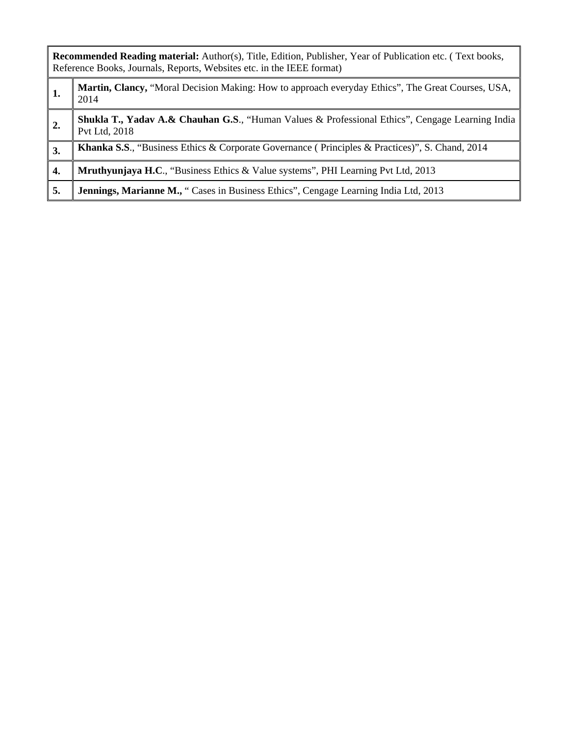|                  | Recommended Reading material: Author(s), Title, Edition, Publisher, Year of Publication etc. (Text books,<br>Reference Books, Journals, Reports, Websites etc. in the IEEE format) |  |  |  |  |
|------------------|------------------------------------------------------------------------------------------------------------------------------------------------------------------------------------|--|--|--|--|
| -1.              | Martin, Clancy, "Moral Decision Making: How to approach everyday Ethics", The Great Courses, USA,<br>2014                                                                          |  |  |  |  |
| $\overline{2}$ . | <b>Shukla T., Yadav A.&amp; Chauhan G.S., "Human Values &amp; Professional Ethics", Cengage Learning India</b><br>Pvt Ltd, 2018                                                    |  |  |  |  |
| 3.               | <b>Khanka S.S.</b> , "Business Ethics & Corporate Governance (Principles & Practices)", S. Chand, 2014                                                                             |  |  |  |  |
| 4.               | <b>Mruthyunjaya H.C., "Business Ethics &amp; Value systems", PHI Learning Pvt Ltd, 2013</b>                                                                                        |  |  |  |  |
| 5.               | <b>Jennings, Marianne M., "Cases in Business Ethics", Cengage Learning India Ltd, 2013</b>                                                                                         |  |  |  |  |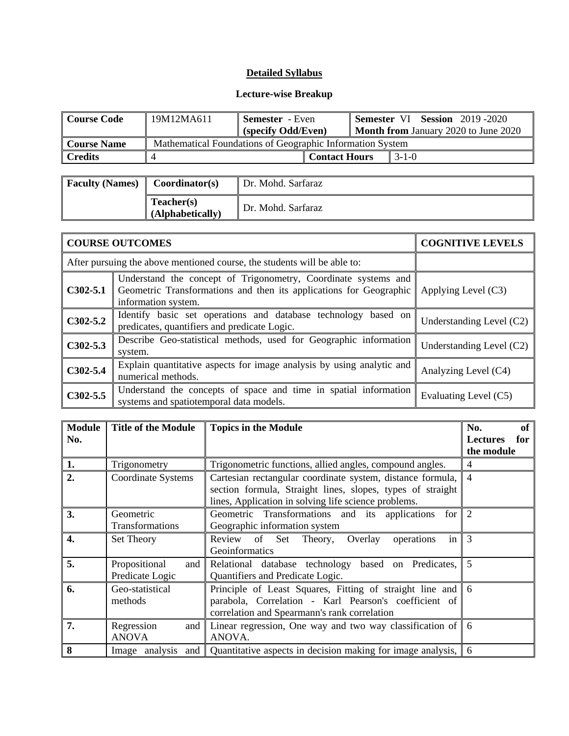| <b>Course Code</b> | 19M12MA611                                                | <b>Semester</b> - Even |                      |  |             | <b>Semester VI Session 2019 -2020</b>       |
|--------------------|-----------------------------------------------------------|------------------------|----------------------|--|-------------|---------------------------------------------|
|                    |                                                           | (specify Odd/Even)     |                      |  |             | <b>Month from January 2020 to June 2020</b> |
| <b>Course Name</b> | Mathematical Foundations of Geographic Information System |                        |                      |  |             |                                             |
| Credits            |                                                           |                        | <b>Contact Hours</b> |  | $3 - 1 - 0$ |                                             |

| <b>Faculty (Names)</b> | Coordinator(s)                 | Dr. Mohd. Sarfaraz |
|------------------------|--------------------------------|--------------------|
|                        | Teacher(s)<br>(Alphabetically) | Dr. Mohd. Sarfaraz |

|              | <b>COURSE OUTCOMES</b>                                                                                                                                      | <b>COGNITIVE LEVELS</b>    |  |
|--------------|-------------------------------------------------------------------------------------------------------------------------------------------------------------|----------------------------|--|
|              | After pursuing the above mentioned course, the students will be able to:                                                                                    |                            |  |
| $C302 - 5.1$ | Understand the concept of Trigonometry, Coordinate systems and<br>Geometric Transformations and then its applications for Geographic<br>information system. | Applying Level (C3)        |  |
| $C302-5.2$   | Identify basic set operations and database technology based on<br>predicates, quantifiers and predicate Logic.                                              | Understanding Level $(C2)$ |  |
| $C302-5.3$   | Describe Geo-statistical methods, used for Geographic information<br>system.                                                                                | Understanding Level $(C2)$ |  |
| C302-5.4     | Explain quantitative aspects for image analysis by using analytic and<br>numerical methods.                                                                 | Analyzing Level (C4)       |  |
| $C302 - 5.5$ | Understand the concepts of space and time in spatial information<br>systems and spatiotemporal data models.                                                 | Evaluating Level (C5)      |  |

| <b>Module</b><br>No. | <b>Title of the Module</b>              | <b>Topics in the Module</b>                                                                                                                                       | No.<br><b>of</b><br>for<br><b>Lectures</b> |
|----------------------|-----------------------------------------|-------------------------------------------------------------------------------------------------------------------------------------------------------------------|--------------------------------------------|
|                      |                                         |                                                                                                                                                                   | the module                                 |
| 1.                   | Trigonometry                            | Trigonometric functions, allied angles, compound angles.                                                                                                          | 4                                          |
| 2.                   | <b>Coordinate Systems</b>               | Cartesian rectangular coordinate system, distance formula,<br>section formula, Straight lines, slopes, types of straight                                          | $\overline{4}$                             |
|                      |                                         | lines, Application in solving life science problems.                                                                                                              |                                            |
| 3.                   | Geometric<br>Transformations            | Geometric Transformations and its applications<br>for<br>Geographic information system                                                                            | 2                                          |
| 4.                   | Set Theory                              | Review of Set Theory, Overlay<br>in<br>operations<br>Geoinformatics                                                                                               | 3                                          |
| 5.                   | Propositional<br>and<br>Predicate Logic | Relational database technology based on Predicates,<br>Quantifiers and Predicate Logic.                                                                           | 5                                          |
| 6.                   | Geo-statistical<br>methods              | Principle of Least Squares, Fitting of straight line and<br>parabola, Correlation - Karl Pearson's coefficient of<br>correlation and Spearmann's rank correlation | -6                                         |
| 7.                   | Regression<br>and<br><b>ANOVA</b>       | Linear regression, One way and two way classification of<br>ANOVA.                                                                                                | -6                                         |
| 8                    |                                         | Image analysis and Quantitative aspects in decision making for image analysis,                                                                                    |                                            |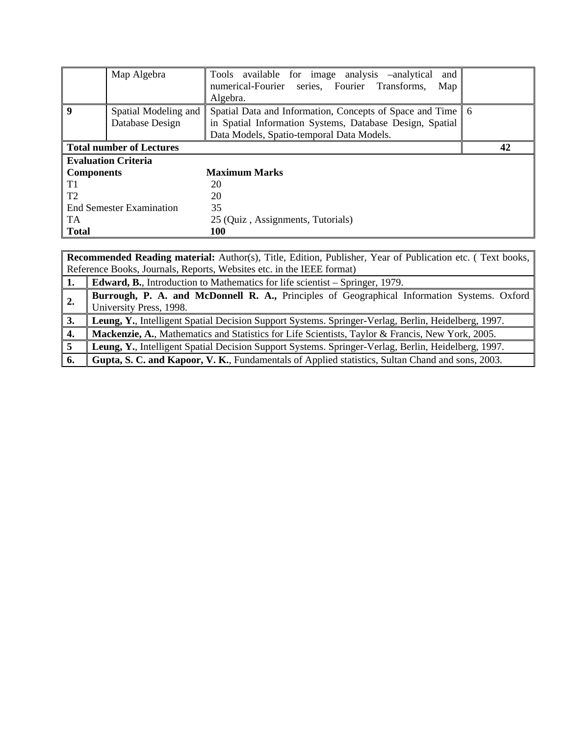|                                 | Map Algebra                                                                          | Tools available for image analysis -analytical<br>and<br>numerical-Fourier series, Fourier Transforms,<br>Map<br>Algebra. |  |  |  |
|---------------------------------|--------------------------------------------------------------------------------------|---------------------------------------------------------------------------------------------------------------------------|--|--|--|
| 9                               | Spatial Modeling and<br>Spatial Data and Information, Concepts of Space and Time   6 |                                                                                                                           |  |  |  |
|                                 | Database Design                                                                      | in Spatial Information Systems, Database Design, Spatial<br>Data Models, Spatio-temporal Data Models.                     |  |  |  |
| <b>Total number of Lectures</b> |                                                                                      |                                                                                                                           |  |  |  |
|                                 | <b>Evaluation Criteria</b>                                                           |                                                                                                                           |  |  |  |
| <b>Components</b>               |                                                                                      | <b>Maximum Marks</b>                                                                                                      |  |  |  |
| T1                              |                                                                                      | 20                                                                                                                        |  |  |  |
| T <sub>2</sub>                  |                                                                                      | 20                                                                                                                        |  |  |  |
| <b>End Semester Examination</b> |                                                                                      | 35                                                                                                                        |  |  |  |
| TA                              |                                                                                      | 25 (Quiz, Assignments, Tutorials)                                                                                         |  |  |  |
| <b>Total</b>                    |                                                                                      | <b>100</b>                                                                                                                |  |  |  |

**Recommended Reading material:** Author(s), Title, Edition, Publisher, Year of Publication etc. ( Text books, Reference Books, Journals, Reports, Websites etc. in the IEEE format)

|             | <b>Edward, B.</b> , Introduction to Mathematics for life scientist – Springer, 1979.                |
|-------------|-----------------------------------------------------------------------------------------------------|
|             | Burrough, P. A. and McDonnell R. A., Principles of Geographical Information Systems. Oxford         |
|             | University Press, 1998.                                                                             |
|             | Leung, Y., Intelligent Spatial Decision Support Systems. Springer-Verlag, Berlin, Heidelberg, 1997. |
| $\mathbf 4$ | Mackenzie, A., Mathematics and Statistics for Life Scientists, Taylor & Francis, New York, 2005.    |
|             | Leung, Y., Intelligent Spatial Decision Support Systems. Springer-Verlag, Berlin, Heidelberg, 1997. |
| -6.         | Gupta, S. C. and Kapoor, V. K., Fundamentals of Applied statistics, Sultan Chand and sons, 2003.    |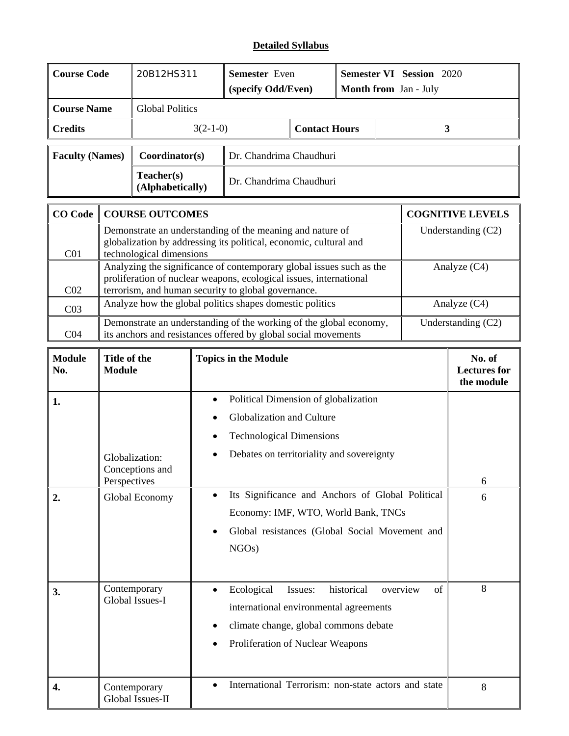| <b>Course Code</b>     |                                                                                                                                      | 20B12HS311                     |            | <b>Semester VI Session 2020</b><br><b>Semester</b> Even<br>(specify Odd/Even)<br>Month from Jan - July                                                                                            |                      |  |                    |   |                                             |
|------------------------|--------------------------------------------------------------------------------------------------------------------------------------|--------------------------------|------------|---------------------------------------------------------------------------------------------------------------------------------------------------------------------------------------------------|----------------------|--|--------------------|---|---------------------------------------------|
| <b>Course Name</b>     |                                                                                                                                      | <b>Global Politics</b>         |            |                                                                                                                                                                                                   |                      |  |                    |   |                                             |
| <b>Credits</b>         |                                                                                                                                      |                                | $3(2-1-0)$ |                                                                                                                                                                                                   | <b>Contact Hours</b> |  |                    | 3 |                                             |
| <b>Faculty (Names)</b> |                                                                                                                                      | Coordinator(s)                 |            | Dr. Chandrima Chaudhuri                                                                                                                                                                           |                      |  |                    |   |                                             |
|                        |                                                                                                                                      | Teacher(s)<br>(Alphabetically) |            | Dr. Chandrima Chaudhuri                                                                                                                                                                           |                      |  |                    |   |                                             |
| <b>CO</b> Code         |                                                                                                                                      | <b>COURSE OUTCOMES</b>         |            |                                                                                                                                                                                                   |                      |  |                    |   | <b>COGNITIVE LEVELS</b>                     |
| C <sub>01</sub>        |                                                                                                                                      | technological dimensions       |            | Demonstrate an understanding of the meaning and nature of<br>globalization by addressing its political, economic, cultural and                                                                    |                      |  |                    |   | Understanding (C2)                          |
| CO <sub>2</sub>        |                                                                                                                                      |                                |            | Analyzing the significance of contemporary global issues such as the<br>proliferation of nuclear weapons, ecological issues, international<br>terrorism, and human security to global governance. |                      |  |                    |   | Analyze $(C4)$                              |
| CO <sub>3</sub>        |                                                                                                                                      |                                |            | Analyze how the global politics shapes domestic politics                                                                                                                                          |                      |  |                    |   | Analyze (C4)                                |
| CO <sub>4</sub>        | Demonstrate an understanding of the working of the global economy,<br>its anchors and resistances offered by global social movements |                                |            |                                                                                                                                                                                                   |                      |  | Understanding (C2) |   |                                             |
| <b>Module</b><br>No.   | Title of the<br><b>Module</b>                                                                                                        |                                |            | <b>Topics in the Module</b>                                                                                                                                                                       |                      |  |                    |   | No. of<br><b>Lectures</b> for<br>the module |
| 1.                     | $\bullet$<br>$\bullet$<br>Globalization:<br>Conceptions and                                                                          |                                |            | Political Dimension of globalization<br>Globalization and Culture<br><b>Technological Dimensions</b><br>Debates on territoriality and sovereignty                                                 |                      |  |                    | 6 |                                             |
| 2.                     | Perspectives<br>$\bullet$<br>Global Economy<br>$\bullet$                                                                             |                                |            | Its Significance and Anchors of Global Political<br>Economy: IMF, WTO, World Bank, TNCs<br>Global resistances (Global Social Movement and<br>NGOs)                                                |                      |  |                    | 6 |                                             |
| 3.                     | Contemporary<br>$\bullet$<br>Global Issues-I<br>٠<br>$\bullet$                                                                       |                                |            | historical<br>Ecological<br>Issues:<br>overview<br>international environmental agreements<br>climate change, global commons debate<br>Proliferation of Nuclear Weapons                            |                      |  | of                 | 8 |                                             |
| 4.                     | International Terrorism: non-state actors and state<br>$\bullet$<br>Contemporary<br>Global Issues-II                                 |                                |            |                                                                                                                                                                                                   | 8                    |  |                    |   |                                             |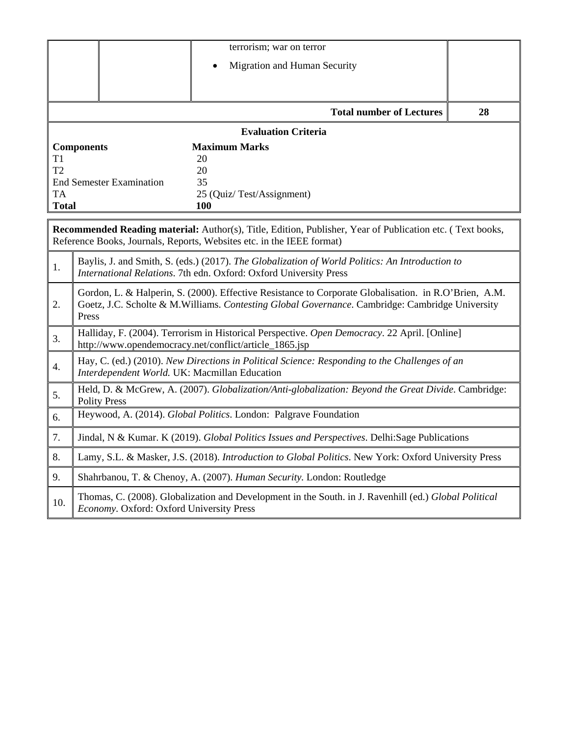|                                           | terrorism; war on terror                  |    |  |  |  |  |
|-------------------------------------------|-------------------------------------------|----|--|--|--|--|
|                                           | Migration and Human Security<br>$\bullet$ |    |  |  |  |  |
|                                           |                                           |    |  |  |  |  |
|                                           |                                           |    |  |  |  |  |
|                                           | <b>Total number of Lectures</b>           | 28 |  |  |  |  |
| <b>Evaluation Criteria</b>                |                                           |    |  |  |  |  |
| <b>Maximum Marks</b><br><b>Components</b> |                                           |    |  |  |  |  |
| T <sub>1</sub>                            | 20                                        |    |  |  |  |  |
| T <sub>2</sub>                            | 20                                        |    |  |  |  |  |
| <b>End Semester Examination</b>           | 35                                        |    |  |  |  |  |
| TA                                        | 25 (Quiz/Test/Assignment)                 |    |  |  |  |  |
| <b>Total</b>                              | <b>100</b>                                |    |  |  |  |  |

**Recommended Reading material:** Author(s), Title, Edition, Publisher, Year of Publication etc. ( Text books, Reference Books, Journals, Reports, Websites etc. in the IEEE format)

| Baylis, J. and Smith, S. (eds.) (2017). The Globalization of World Politics: An Introduction to<br>International Relations. 7th edn. Oxford: Oxford University Press |
|----------------------------------------------------------------------------------------------------------------------------------------------------------------------|
|                                                                                                                                                                      |

| Gordon, L. & Halperin, S. (2000). Effective Resistance to Corporate Globalisation. in R.O'Brien, A.M.    |
|----------------------------------------------------------------------------------------------------------|
| Goetz, J.C. Scholte & M.Williams. Contesting Global Governance. Cambridge: Cambridge University<br>Press |

| Halliday, F. (2004). Terrorism in Historical Perspective. Open Democracy. 22 April. [Online] |
|----------------------------------------------------------------------------------------------|
| http://www.opendemocracy.net/conflict/article_1865.jsp                                       |

4. Hay, C. (ed.) (2010). *New Directions in Political Science: Responding to the Challenges of an Interdependent World.* UK: Macmillan Education

5. Held, D. & McGrew, A. (2007). *Globalization/Anti-globalization: Beyond the Great Divide*. Cambridge: Polity Press

6. Heywood, A. (2014). *Global Politics*. London: Palgrave Foundation

7. Jindal, N & Kumar. K (2019). *Global Politics Issues and Perspectives*. Delhi:Sage Publications

8. Lamy, S.L. & Masker, J.S. (2018). *Introduction to Global Politics*. New York: Oxford University Press

9. Shahrbanou, T. & Chenoy, A. (2007). *Human Security.* London: Routledge

10. Thomas, C. (2008). Globalization and Development in the South. in J. Ravenhill (ed.) *Global Political Economy*. Oxford: Oxford University Press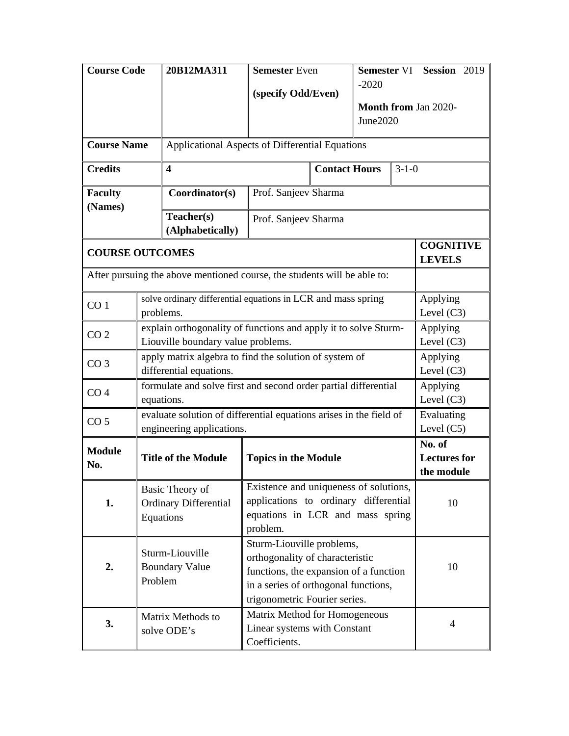| <b>Course Code</b>        |                                                     | 20B12MA311                                                                                      | <b>Semester Even</b><br>(specify Odd/Even)                                                                                                                                      | $-2020$              | <b>Semester VI Session 2019</b>             |  |  |
|---------------------------|-----------------------------------------------------|-------------------------------------------------------------------------------------------------|---------------------------------------------------------------------------------------------------------------------------------------------------------------------------------|----------------------|---------------------------------------------|--|--|
|                           |                                                     |                                                                                                 | <b>Month from Jan 2020-</b><br>June2020                                                                                                                                         |                      |                                             |  |  |
| <b>Course Name</b>        |                                                     |                                                                                                 | <b>Applicational Aspects of Differential Equations</b>                                                                                                                          |                      |                                             |  |  |
| <b>Credits</b>            |                                                     | $\overline{\mathbf{4}}$                                                                         |                                                                                                                                                                                 | <b>Contact Hours</b> | $3 - 1 - 0$                                 |  |  |
| <b>Faculty</b><br>(Names) |                                                     | Coordinator(s)                                                                                  | Prof. Sanjeev Sharma                                                                                                                                                            |                      |                                             |  |  |
|                           |                                                     | Teacher(s)<br>(Alphabetically)                                                                  | Prof. Sanjeev Sharma                                                                                                                                                            |                      |                                             |  |  |
| <b>COURSE OUTCOMES</b>    |                                                     |                                                                                                 |                                                                                                                                                                                 |                      | <b>COGNITIVE</b><br><b>LEVELS</b>           |  |  |
|                           |                                                     |                                                                                                 | After pursuing the above mentioned course, the students will be able to:                                                                                                        |                      |                                             |  |  |
| CO <sub>1</sub>           |                                                     | problems.                                                                                       | solve ordinary differential equations in LCR and mass spring                                                                                                                    |                      | Applying<br>Level $(C3)$                    |  |  |
| CO <sub>2</sub>           |                                                     | Liouville boundary value problems.                                                              | explain orthogonality of functions and apply it to solve Sturm-                                                                                                                 |                      | Applying<br>Level $(C3)$                    |  |  |
| CO <sub>3</sub>           |                                                     | apply matrix algebra to find the solution of system of<br>differential equations.               |                                                                                                                                                                                 |                      |                                             |  |  |
| CO <sub>4</sub>           |                                                     | formulate and solve first and second order partial differential<br>equations.                   |                                                                                                                                                                                 |                      |                                             |  |  |
| CO <sub>5</sub>           |                                                     | evaluate solution of differential equations arises in the field of<br>engineering applications. | Evaluating<br>Level $(C5)$                                                                                                                                                      |                      |                                             |  |  |
| <b>Module</b><br>No.      |                                                     | <b>Title of the Module</b>                                                                      | <b>Topics in the Module</b>                                                                                                                                                     |                      | No. of<br><b>Lectures</b> for<br>the module |  |  |
| 1.                        |                                                     | Basic Theory of<br><b>Ordinary Differential</b><br>Equations                                    | Existence and uniqueness of solutions,<br>applications to ordinary differential<br>equations in LCR and mass spring<br>problem.                                                 |                      | 10                                          |  |  |
| 2.                        | Sturm-Liouville<br><b>Boundary Value</b><br>Problem |                                                                                                 | Sturm-Liouville problems,<br>orthogonality of characteristic<br>functions, the expansion of a function<br>in a series of orthogonal functions,<br>trigonometric Fourier series. | 10                   |                                             |  |  |
| 3.                        |                                                     | Matrix Methods to<br>solve ODE's                                                                | Matrix Method for Homogeneous<br>Linear systems with Constant<br>Coefficients.                                                                                                  | 4                    |                                             |  |  |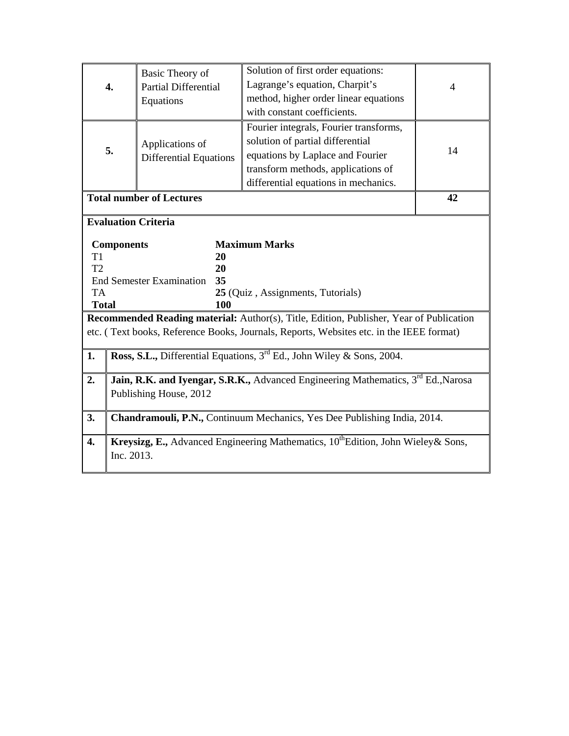|                                                                                                                                                                                                                                                                                                                                                                                                                            | Basic Theory of<br><b>Partial Differential</b><br>$\overline{4}$ .<br>Equations                             |  | Solution of first order equations:<br>Lagrange's equation, Charpit's<br>method, higher order linear equations<br>with constant coefficients.                                                 | $\overline{4}$ |  |  |  |  |
|----------------------------------------------------------------------------------------------------------------------------------------------------------------------------------------------------------------------------------------------------------------------------------------------------------------------------------------------------------------------------------------------------------------------------|-------------------------------------------------------------------------------------------------------------|--|----------------------------------------------------------------------------------------------------------------------------------------------------------------------------------------------|----------------|--|--|--|--|
|                                                                                                                                                                                                                                                                                                                                                                                                                            | Applications of<br>5.<br><b>Differential Equations</b>                                                      |  | Fourier integrals, Fourier transforms,<br>solution of partial differential<br>equations by Laplace and Fourier<br>transform methods, applications of<br>differential equations in mechanics. | 14             |  |  |  |  |
|                                                                                                                                                                                                                                                                                                                                                                                                                            | <b>Total number of Lectures</b>                                                                             |  |                                                                                                                                                                                              | 42             |  |  |  |  |
| <b>Evaluation Criteria</b><br><b>Maximum Marks</b><br><b>Components</b><br>T1<br>20<br>T <sub>2</sub><br>20<br><b>End Semester Examination</b><br>35<br><b>TA</b><br>25 (Quiz, Assignments, Tutorials)<br><b>Total</b><br><b>100</b><br>Recommended Reading material: Author(s), Title, Edition, Publisher, Year of Publication<br>etc. (Text books, Reference Books, Journals, Reports, Websites etc. in the IEEE format) |                                                                                                             |  |                                                                                                                                                                                              |                |  |  |  |  |
| 1.                                                                                                                                                                                                                                                                                                                                                                                                                         | Ross, S.L., Differential Equations, 3 <sup>rd</sup> Ed., John Wiley & Sons, 2004.                           |  |                                                                                                                                                                                              |                |  |  |  |  |
| 2.                                                                                                                                                                                                                                                                                                                                                                                                                         | Jain, R.K. and Iyengar, S.R.K., Advanced Engineering Mathematics, 3rd Ed., Narosa<br>Publishing House, 2012 |  |                                                                                                                                                                                              |                |  |  |  |  |
| 3.                                                                                                                                                                                                                                                                                                                                                                                                                         | Chandramouli, P.N., Continuum Mechanics, Yes Dee Publishing India, 2014.                                    |  |                                                                                                                                                                                              |                |  |  |  |  |
| 4.                                                                                                                                                                                                                                                                                                                                                                                                                         | Kreysizg, E., Advanced Engineering Mathematics, 10 <sup>th</sup> Edition, John Wieley& Sons,<br>Inc. 2013.  |  |                                                                                                                                                                                              |                |  |  |  |  |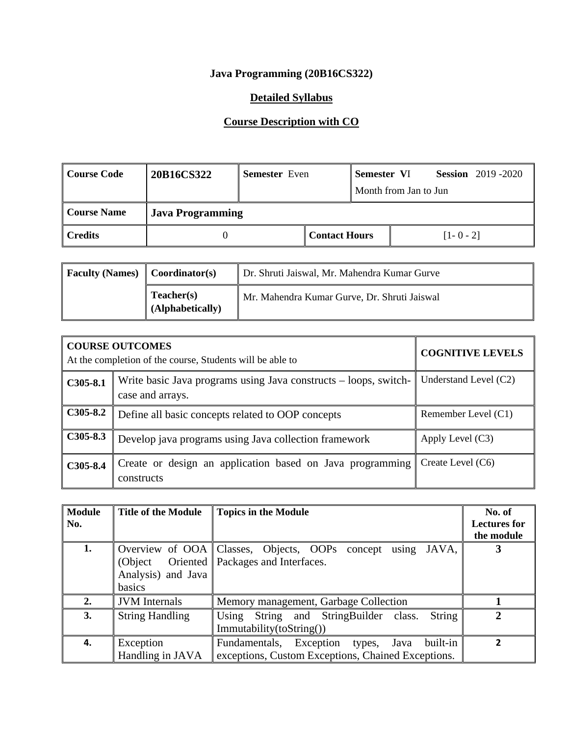# **Java Programming (20B16CS322)**

# **Detailed Syllabus**

# **Course Description with CO**

| Course Code            | 20B16CS322       | <b>Semester</b> Even |                      | Semester VI |                       |               | <b>Session</b> 2019 -2020 |
|------------------------|------------------|----------------------|----------------------|-------------|-----------------------|---------------|---------------------------|
|                        |                  |                      |                      |             | Month from Jan to Jun |               |                           |
| Course Name            | Java Programming |                      |                      |             |                       |               |                           |
| $\blacksquare$ Credits |                  |                      | <b>Contact Hours</b> |             |                       | $[1 - 0 - 2]$ |                           |

| <b>Faculty (Names)</b> | Coordinator(s)                 | Dr. Shruti Jaiswal, Mr. Mahendra Kumar Gurve |
|------------------------|--------------------------------|----------------------------------------------|
|                        | Teacher(s)<br>(Alphabetically) | Mr. Mahendra Kumar Gurve, Dr. Shruti Jaiswal |

|            | <b>COURSE OUTCOMES</b><br>At the completion of the course, Students will be able to  | <b>COGNITIVE LEVELS</b> |
|------------|--------------------------------------------------------------------------------------|-------------------------|
| C305-8.1   | Write basic Java programs using Java constructs – loops, switch-<br>case and arrays. | Understand Level $(C2)$ |
| $C305-8.2$ | Define all basic concepts related to OOP concepts                                    | Remember Level (C1)     |
| $C305-8.3$ | Develop java programs using Java collection framework                                | Apply Level $(C3)$      |
| C305-8.4   | Create or design an application based on Java programming<br>constructs              | Create Level (C6)       |

| <b>Module</b><br>No. | <b>Title of the Module</b>               | <b>Topics in the Module</b>                                                                                 | No. of<br><b>Lectures for</b><br>the module |
|----------------------|------------------------------------------|-------------------------------------------------------------------------------------------------------------|---------------------------------------------|
| 1.                   | (Object)<br>Analysis) and Java<br>basics | Overview of OOA Classes, Objects, OOPs concept using JAVA,<br>Oriented   Packages and Interfaces.           |                                             |
| 2.                   | <b>JVM</b> Internals                     | Memory management, Garbage Collection                                                                       |                                             |
| 3.                   | <b>String Handling</b>                   | <b>String</b><br>String and StringBuilder class.<br>Using<br>Immutability(toString()                        |                                             |
| 4.                   | Exception<br>Handling in JAVA            | Fundamentals, Exception<br>built-in<br>Java<br>types,<br>exceptions, Custom Exceptions, Chained Exceptions. |                                             |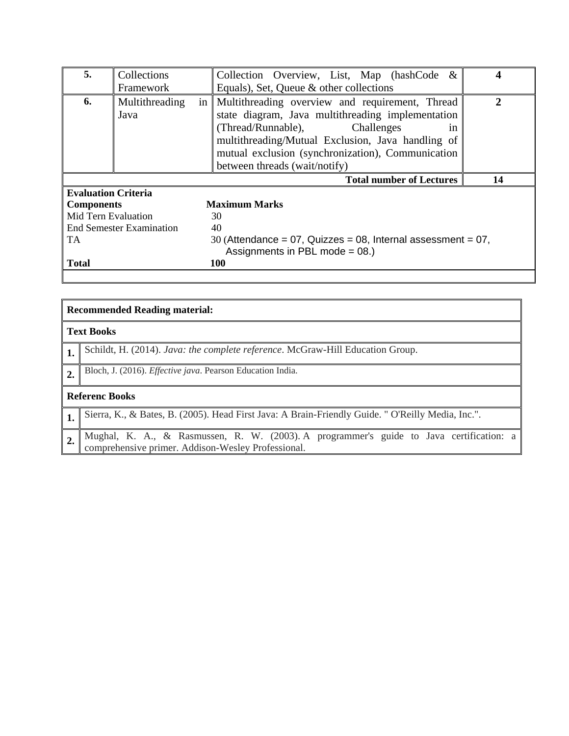| 5.                         | Collections                     |    | Collection Overview, List, Map (hashCode &                                                                                                                                                                                                               |              |
|----------------------------|---------------------------------|----|----------------------------------------------------------------------------------------------------------------------------------------------------------------------------------------------------------------------------------------------------------|--------------|
|                            | Framework                       |    | Equals), Set, Queue & other collections                                                                                                                                                                                                                  |              |
| 6.                         | Multithreading<br>Java          | in | Multithreading overview and requirement, Thread<br>state diagram, Java multithreading implementation<br>(Thread/Runnable),<br>Challenges<br>in<br>multithreading/Mutual Exclusion, Java handling of<br>mutual exclusion (synchronization), Communication | $\mathbf{2}$ |
|                            |                                 |    | between threads (wait/notify)                                                                                                                                                                                                                            |              |
|                            |                                 |    |                                                                                                                                                                                                                                                          |              |
|                            |                                 |    | <b>Total number of Lectures</b>                                                                                                                                                                                                                          | 14           |
| <b>Evaluation Criteria</b> |                                 |    |                                                                                                                                                                                                                                                          |              |
| <b>Components</b>          |                                 |    | <b>Maximum Marks</b>                                                                                                                                                                                                                                     |              |
| Mid Tern Evaluation        |                                 |    | 30                                                                                                                                                                                                                                                       |              |
|                            | <b>End Semester Examination</b> |    | 40                                                                                                                                                                                                                                                       |              |
| TA.                        |                                 |    | 30 (Attendance = $07$ , Quizzes = $08$ , Internal assessment = $07$ ,<br>Assignments in PBL mode = $08$ .)                                                                                                                                               |              |
| <b>Total</b>               |                                 |    | <b>100</b>                                                                                                                                                                                                                                               |              |

|                  | <b>Recommended Reading material:</b>                                                                                                       |  |  |  |
|------------------|--------------------------------------------------------------------------------------------------------------------------------------------|--|--|--|
|                  | <b>Text Books</b>                                                                                                                          |  |  |  |
|                  | Schildt, H. (2014). Java: the complete reference. McGraw-Hill Education Group.                                                             |  |  |  |
| $\overline{2}$ . | Bloch, J. (2016). Effective java. Pearson Education India.                                                                                 |  |  |  |
|                  | <b>Referenc Books</b>                                                                                                                      |  |  |  |
|                  | Sierra, K., & Bates, B. (2005). Head First Java: A Brain-Friendly Guide. " O'Reilly Media, Inc.".                                          |  |  |  |
|                  | Mughal, K. A., & Rasmussen, R. W. (2003). A programmer's guide to Java certification: a comprehensive primer. Addison-Wesley Professional. |  |  |  |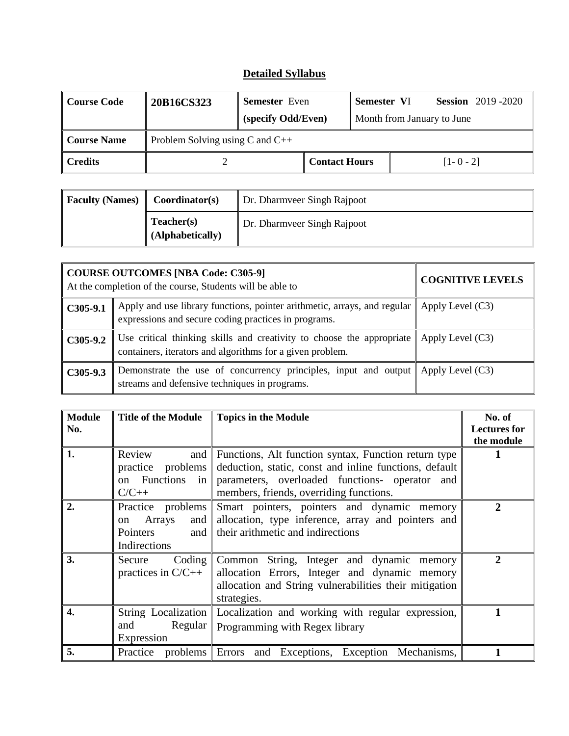| Course Code            | 20B16CS323                          | <b>Semester</b> Even |                      | Semester VI |               |                            | <b>Session</b> 2019-2020 |
|------------------------|-------------------------------------|----------------------|----------------------|-------------|---------------|----------------------------|--------------------------|
|                        |                                     | (specify Odd/Even)   |                      |             |               | Month from January to June |                          |
| <b>Course Name</b>     | Problem Solving using $C$ and $C++$ |                      |                      |             |               |                            |                          |
| $\blacksquare$ Credits |                                     |                      | <b>Contact Hours</b> |             | $[1 - 0 - 2]$ |                            |                          |

| <b>Faculty (Names)</b> | Coordinator(s)                 | Dr. Dharmveer Singh Rajpoot |
|------------------------|--------------------------------|-----------------------------|
|                        | Teacher(s)<br>(Alphabetically) | Dr. Dharmveer Singh Rajpoot |

|            | <b>COURSE OUTCOMES [NBA Code: C305-9]</b><br>At the completion of the course, Students will be able to                                        | <b>COGNITIVE LEVELS</b> |
|------------|-----------------------------------------------------------------------------------------------------------------------------------------------|-------------------------|
| $C305-9.1$ | Apply and use library functions, pointer arithmetic, arrays, and regular<br>expressions and secure coding practices in programs.              | Apply Level $(C3)$      |
| $C305-9.2$ | Use critical thinking skills and creativity to choose the appropriate $\ $<br>containers, iterators and algorithms for a given problem.       | Apply Level (C3)        |
| $C305-9.3$ | Demonstrate the use of concurrency principles, input and output $\parallel$ Apply Level (C3)<br>streams and defensive techniques in programs. |                         |

| <b>Module</b><br>No. | <b>Title of the Module</b>                                                     | <b>Topics in the Module</b>                                                                                                                                                                                        | No. of<br><b>Lectures</b> for<br>the module |
|----------------------|--------------------------------------------------------------------------------|--------------------------------------------------------------------------------------------------------------------------------------------------------------------------------------------------------------------|---------------------------------------------|
| 1.                   | Review<br>problems<br>practice<br>on Functions<br>$C/C++$                      | and Functions, Alt function syntax, Function return type<br>deduction, static, const and inline functions, default<br>in parameters, overloaded functions- operator and<br>members, friends, overriding functions. |                                             |
| $\overline{2}$ .     | and $\parallel$<br>Arrays<br>on<br>Pointers<br>and $\parallel$<br>Indirections | Practice problems Smart pointers, pointers and dynamic memory<br>allocation, type inference, array and pointers and<br>their arithmetic and indirections                                                           |                                             |
| 3.                   | Secure<br>practices in $C/C++$                                                 | Coding Common String, Integer and dynamic memory<br>allocation Errors, Integer and dynamic memory<br>allocation and String vulnerabilities their mitigation<br>strategies.                                         | 2                                           |
| $\overline{4}$ .     | Regular $\parallel$<br>and<br>Expression                                       | String Localization   Localization and working with regular expression,<br>Programming with Regex library                                                                                                          |                                             |
| 5.                   |                                                                                | Practice problems Errors and Exceptions, Exception Mechanisms,                                                                                                                                                     |                                             |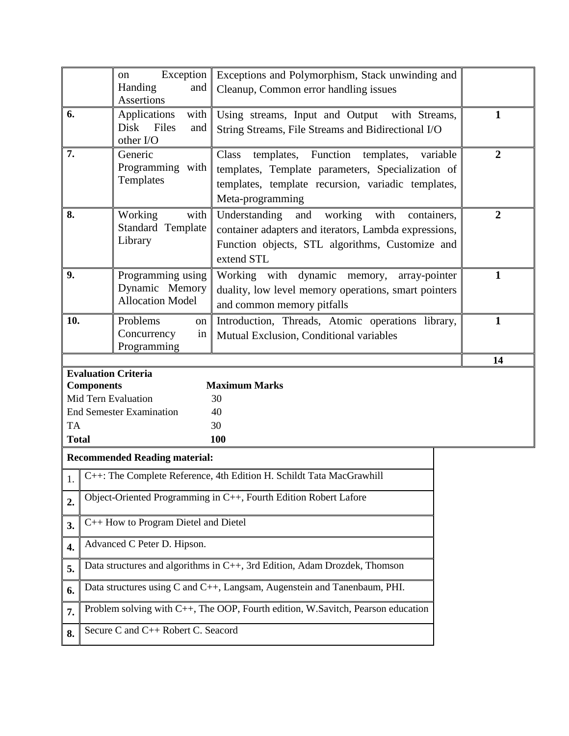|                                                |                   | Exception<br><sub>on</sub><br>Handing<br>and                   | Exceptions and Polymorphism, Stack unwinding and<br>Cleanup, Common error handling issues                                                                                             |                |  |
|------------------------------------------------|-------------------|----------------------------------------------------------------|---------------------------------------------------------------------------------------------------------------------------------------------------------------------------------------|----------------|--|
|                                                |                   | <b>Assertions</b>                                              |                                                                                                                                                                                       |                |  |
| 6.                                             |                   | Applications<br>with<br>Disk<br>Files<br>and<br>other I/O      | Using streams, Input and Output with Streams,<br>String Streams, File Streams and Bidirectional I/O                                                                                   | $\mathbf{1}$   |  |
| 7.<br>Generic<br>Programming with<br>Templates |                   |                                                                | templates, Function<br>Class<br>templates,<br>variable<br>templates, Template parameters, Specialization of<br>templates, template recursion, variadic templates,<br>Meta-programming | $\overline{2}$ |  |
| 8.                                             |                   | Working<br>with<br>Standard Template<br>Library                | Understanding<br>and<br>working<br>with<br>containers,<br>container adapters and iterators, Lambda expressions,<br>Function objects, STL algorithms, Customize and<br>extend STL      | $\overline{2}$ |  |
| 9.                                             |                   | Programming using<br>Dynamic Memory<br><b>Allocation Model</b> | Working with dynamic memory,<br>array-pointer<br>duality, low level memory operations, smart pointers<br>and common memory pitfalls                                                   | 1              |  |
| 10.                                            |                   | Problems<br>on<br>Concurrency<br>in<br>Programming             | Introduction, Threads, Atomic operations library,<br>Mutual Exclusion, Conditional variables                                                                                          | $\mathbf{1}$   |  |
|                                                |                   |                                                                |                                                                                                                                                                                       |                |  |
|                                                |                   |                                                                |                                                                                                                                                                                       | 14             |  |
|                                                |                   | <b>Evaluation Criteria</b>                                     |                                                                                                                                                                                       |                |  |
|                                                | <b>Components</b> |                                                                | <b>Maximum Marks</b>                                                                                                                                                                  |                |  |
|                                                |                   | Mid Tern Evaluation<br><b>End Semester Examination</b>         | 30<br>40                                                                                                                                                                              |                |  |
| <b>TA</b>                                      |                   |                                                                | 30                                                                                                                                                                                    |                |  |
| <b>Total</b>                                   |                   |                                                                | 100                                                                                                                                                                                   |                |  |
|                                                |                   | <b>Recommended Reading material:</b>                           |                                                                                                                                                                                       |                |  |
|                                                |                   |                                                                | C++: The Complete Reference, 4th Edition H. Schildt Tata MacGrawhill                                                                                                                  |                |  |
| 2.                                             |                   |                                                                | Object-Oriented Programming in C++, Fourth Edition Robert Lafore                                                                                                                      |                |  |
| 3.                                             |                   | C++ How to Program Dietel and Dietel                           |                                                                                                                                                                                       |                |  |
| 4.                                             |                   | Advanced C Peter D. Hipson.                                    |                                                                                                                                                                                       |                |  |
| 5.                                             |                   |                                                                | Data structures and algorithms in C++, 3rd Edition, Adam Drozdek, Thomson                                                                                                             |                |  |
| 6.                                             |                   |                                                                | Data structures using C and C++, Langsam, Augenstein and Tanenbaum, PHI.                                                                                                              |                |  |
| 7.                                             |                   |                                                                | Problem solving with C++, The OOP, Fourth edition, W.Savitch, Pearson education                                                                                                       |                |  |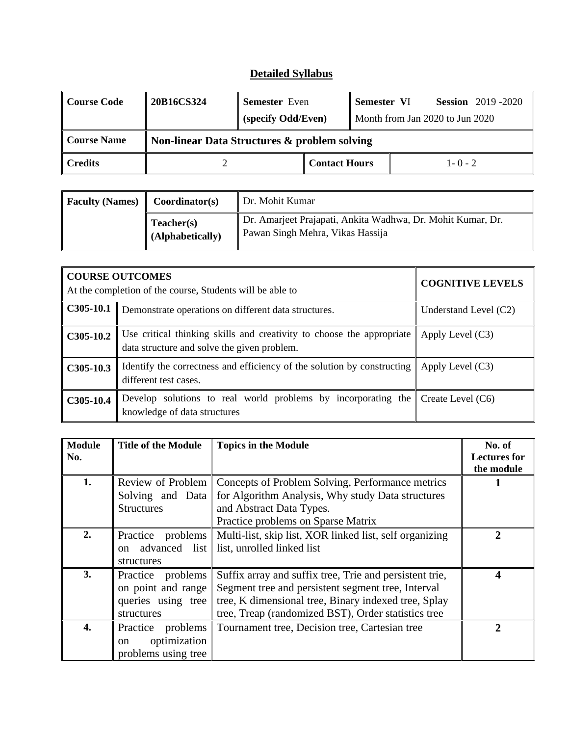## **Detailed Syllabus**

| Course Code | 20B16CS324                                   | <b>Semester</b> Even<br>(specify Odd/Even) |                      | Semester VI | Month from Jan 2020 to Jun 2020 | <b>Session</b> 2019 -2020 |
|-------------|----------------------------------------------|--------------------------------------------|----------------------|-------------|---------------------------------|---------------------------|
| Course Name | Non-linear Data Structures & problem solving |                                            |                      |             |                                 |                           |
| l Credits   |                                              |                                            | <b>Contact Hours</b> |             | $1 - 0 - 2$                     |                           |

| <b>Faculty (Names)</b> | Coordinator(s)                 | Dr. Mohit Kumar                                                                                 |
|------------------------|--------------------------------|-------------------------------------------------------------------------------------------------|
|                        | Teacher(s)<br>(Alphabetically) | Dr. Amarjeet Prajapati, Ankita Wadhwa, Dr. Mohit Kumar, Dr.<br>Pawan Singh Mehra, Vikas Hassija |

|             | <b>COURSE OUTCOMES</b><br>At the completion of the course, Students will be able to                                  | <b>COGNITIVE LEVELS</b> |
|-------------|----------------------------------------------------------------------------------------------------------------------|-------------------------|
| C305-10.1   | Demonstrate operations on different data structures.                                                                 | Understand Level $(C2)$ |
| $C305-10.2$ | Use critical thinking skills and creativity to choose the appropriate<br>data structure and solve the given problem. | Apply Level $(C3)$      |
| $C305-10.3$ | Identify the correctness and efficiency of the solution by constructing $\ $<br>different test cases.                | Apply Level $(C3)$      |
| C305-10.4   | Develop solutions to real world problems by incorporating the Create Level $(C6)$<br>knowledge of data structures    |                         |

| <b>Module</b> | <b>Title of the Module</b>    | <b>Topics in the Module</b>                             | No. of              |
|---------------|-------------------------------|---------------------------------------------------------|---------------------|
| No.           |                               |                                                         | <b>Lectures for</b> |
|               |                               |                                                         | the module          |
| 1.            | Review of Problem             | Concepts of Problem Solving, Performance metrics        |                     |
|               | Solving and Data              | for Algorithm Analysis, Why study Data structures       |                     |
|               | <b>Structures</b>             | and Abstract Data Types.                                |                     |
|               |                               | Practice problems on Sparse Matrix                      |                     |
| 2.            | Practice problems             | Multi-list, skip list, XOR linked list, self organizing | 2                   |
|               | advanced list<br>on           | list, unrolled linked list                              |                     |
|               | structures                    |                                                         |                     |
| 3.            | Practice problems             | Suffix array and suffix tree, Trie and persistent trie, |                     |
|               | on point and range            | Segment tree and persistent segment tree, Interval      |                     |
|               | queries using tree            | tree, K dimensional tree, Binary indexed tree, Splay    |                     |
|               | structures                    | tree, Treap (randomized BST), Order statistics tree     |                     |
| 4.            | problems<br>Practice          | Tournament tree, Decision tree, Cartesian tree          | 2                   |
|               | optimization<br><sub>on</sub> |                                                         |                     |
|               | problems using tree           |                                                         |                     |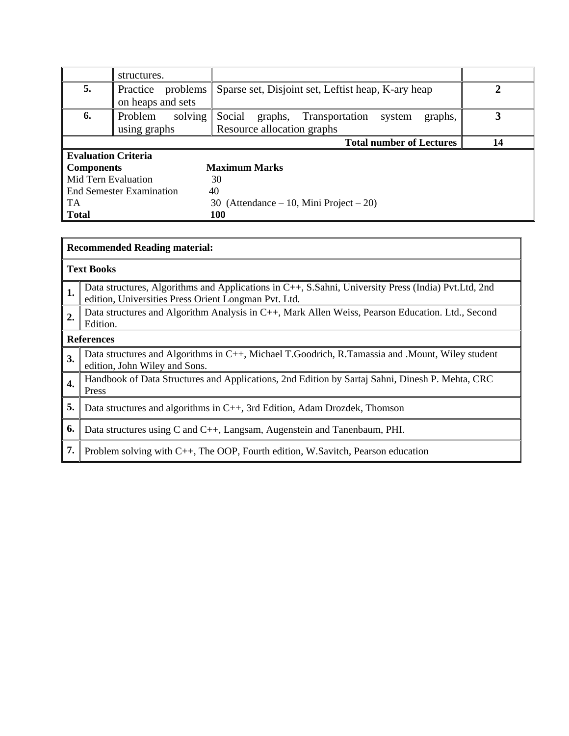|                            | structures.              |                                                          |    |  |  |
|----------------------------|--------------------------|----------------------------------------------------------|----|--|--|
| 5.                         | problems<br>Practice     | Sparse set, Disjoint set, Leftist heap, K-ary heap       | 2  |  |  |
|                            | on heaps and sets        |                                                          |    |  |  |
| 6.                         | solving<br>Problem       | Social<br>Transportation<br>graphs,<br>graphs,<br>system |    |  |  |
|                            | using graphs             |                                                          |    |  |  |
|                            |                          | <b>Total number of Lectures</b>                          | 14 |  |  |
| <b>Evaluation Criteria</b> |                          |                                                          |    |  |  |
| <b>Components</b>          |                          | <b>Maximum Marks</b>                                     |    |  |  |
| Mid Tern Evaluation        |                          | 30                                                       |    |  |  |
|                            | End Semester Examination | 40                                                       |    |  |  |
| TA                         |                          | 30 (Attendance $-10$ , Mini Project $-20$ )              |    |  |  |
| <b>Total</b>               |                          | <b>100</b>                                               |    |  |  |

|    | <b>Recommended Reading material:</b>                                                                                                                        |  |  |  |  |  |  |
|----|-------------------------------------------------------------------------------------------------------------------------------------------------------------|--|--|--|--|--|--|
|    | <b>Text Books</b>                                                                                                                                           |  |  |  |  |  |  |
| 1. | Data structures, Algorithms and Applications in C++, S.Sahni, University Press (India) Pvt.Ltd, 2nd<br>edition, Universities Press Orient Longman Pvt. Ltd. |  |  |  |  |  |  |
| 2. | Data structures and Algorithm Analysis in C++, Mark Allen Weiss, Pearson Education. Ltd., Second<br>Edition.                                                |  |  |  |  |  |  |
|    | <b>References</b>                                                                                                                                           |  |  |  |  |  |  |
| 3. | Data structures and Algorithms in C++, Michael T.Goodrich, R.Tamassia and .Mount, Wiley student<br>edition, John Wiley and Sons.                            |  |  |  |  |  |  |
| 4. | Handbook of Data Structures and Applications, 2nd Edition by Sartaj Sahni, Dinesh P. Mehta, CRC<br>Press                                                    |  |  |  |  |  |  |
| 5. | Data structures and algorithms in $C_{++}$ , 3rd Edition, Adam Drozdek, Thomson                                                                             |  |  |  |  |  |  |
| 6. | Data structures using C and C++, Langsam, Augenstein and Tanenbaum, PHI.                                                                                    |  |  |  |  |  |  |
| 7. | Problem solving with C++, The OOP, Fourth edition, W.Savitch, Pearson education                                                                             |  |  |  |  |  |  |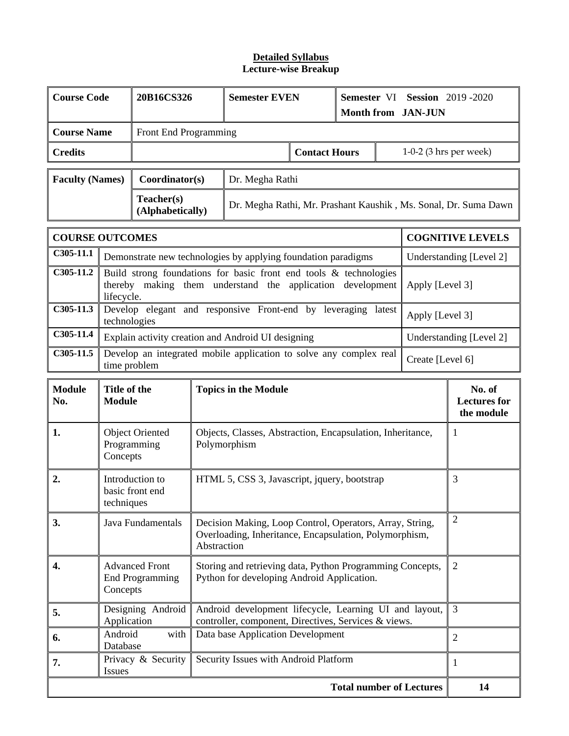## **Detailed Syllabus Lecture-wise Breakup**

| <b>Course Code</b>     |                                                                                                                                                                        | 20B16CS326                                                                                                                                             |                       | <b>Semester EVEN</b>                                                                                                            |                      | Semester VI Session 2019-2020<br>Month from JAN-JUN |                                             |                                 |                                                                 |
|------------------------|------------------------------------------------------------------------------------------------------------------------------------------------------------------------|--------------------------------------------------------------------------------------------------------------------------------------------------------|-----------------------|---------------------------------------------------------------------------------------------------------------------------------|----------------------|-----------------------------------------------------|---------------------------------------------|---------------------------------|-----------------------------------------------------------------|
| <b>Course Name</b>     |                                                                                                                                                                        |                                                                                                                                                        | Front End Programming |                                                                                                                                 |                      |                                                     |                                             |                                 |                                                                 |
| <b>Credits</b>         |                                                                                                                                                                        |                                                                                                                                                        |                       |                                                                                                                                 | <b>Contact Hours</b> |                                                     |                                             | $1-0-2$ (3 hrs per week)        |                                                                 |
| <b>Faculty (Names)</b> |                                                                                                                                                                        | Coordinator(s)                                                                                                                                         |                       | Dr. Megha Rathi                                                                                                                 |                      |                                                     |                                             |                                 |                                                                 |
|                        |                                                                                                                                                                        | Teacher(s)<br>(Alphabetically)                                                                                                                         |                       |                                                                                                                                 |                      |                                                     |                                             |                                 | Dr. Megha Rathi, Mr. Prashant Kaushik, Ms. Sonal, Dr. Suma Dawn |
| <b>COURSE OUTCOMES</b> |                                                                                                                                                                        |                                                                                                                                                        |                       |                                                                                                                                 |                      |                                                     |                                             |                                 | <b>COGNITIVE LEVELS</b>                                         |
| C305-11.1              |                                                                                                                                                                        |                                                                                                                                                        |                       | Demonstrate new technologies by applying foundation paradigms                                                                   |                      |                                                     |                                             |                                 | Understanding [Level 2]                                         |
| $C305-11.2$            | lifecycle.                                                                                                                                                             |                                                                                                                                                        |                       | Build strong foundations for basic front end tools & technologies<br>thereby making them understand the application development |                      |                                                     |                                             | Apply [Level 3]                 |                                                                 |
| $C305-11.3$            | technologies                                                                                                                                                           |                                                                                                                                                        |                       | Develop elegant and responsive Front-end by leveraging latest                                                                   |                      |                                                     |                                             | Apply [Level 3]                 |                                                                 |
| C305-11.4              |                                                                                                                                                                        |                                                                                                                                                        |                       | Explain activity creation and Android UI designing                                                                              |                      |                                                     |                                             |                                 | Understanding [Level 2]                                         |
| C305-11.5              | time problem                                                                                                                                                           |                                                                                                                                                        |                       | Develop an integrated mobile application to solve any complex real                                                              |                      |                                                     |                                             | Create [Level 6]                |                                                                 |
| <b>Module</b><br>No.   |                                                                                                                                                                        | Title of the<br><b>Topics in the Module</b><br><b>Module</b>                                                                                           |                       |                                                                                                                                 |                      |                                                     | No. of<br><b>Lectures for</b><br>the module |                                 |                                                                 |
| 1.                     | Concepts                                                                                                                                                               | Object Oriented<br>Programming                                                                                                                         |                       | Objects, Classes, Abstraction, Encapsulation, Inheritance,<br>Polymorphism                                                      |                      |                                                     |                                             |                                 | $\mathbf{1}$                                                    |
| 2.                     | techniques                                                                                                                                                             | Introduction to<br>basic front end                                                                                                                     |                       | HTML 5, CSS 3, Javascript, jquery, bootstrap                                                                                    |                      |                                                     |                                             |                                 | 3                                                               |
| 3.                     |                                                                                                                                                                        | Java Fundamentals<br>Decision Making, Loop Control, Operators, Array, String,<br>Overloading, Inheritance, Encapsulation, Polymorphism,<br>Abstraction |                       |                                                                                                                                 |                      |                                                     | $\overline{2}$                              |                                 |                                                                 |
| 4.                     | <b>Advanced Front</b><br>Storing and retrieving data, Python Programming Concepts,<br><b>End Programming</b><br>Python for developing Android Application.<br>Concepts |                                                                                                                                                        |                       |                                                                                                                                 |                      | $\overline{2}$                                      |                                             |                                 |                                                                 |
| 5.                     | Application                                                                                                                                                            | Designing Android                                                                                                                                      |                       | Android development lifecycle, Learning UI and layout,<br>controller, component, Directives, Services & views.                  |                      |                                                     |                                             |                                 | 3                                                               |
| 6.                     | Android<br>Database                                                                                                                                                    | with                                                                                                                                                   |                       | Data base Application Development                                                                                               |                      |                                                     |                                             |                                 | $\overline{2}$                                                  |
| 7.                     | <b>Issues</b>                                                                                                                                                          | Privacy & Security                                                                                                                                     |                       | Security Issues with Android Platform                                                                                           |                      |                                                     |                                             |                                 | $\mathbf{1}$                                                    |
|                        |                                                                                                                                                                        |                                                                                                                                                        |                       |                                                                                                                                 |                      |                                                     |                                             | <b>Total number of Lectures</b> | 14                                                              |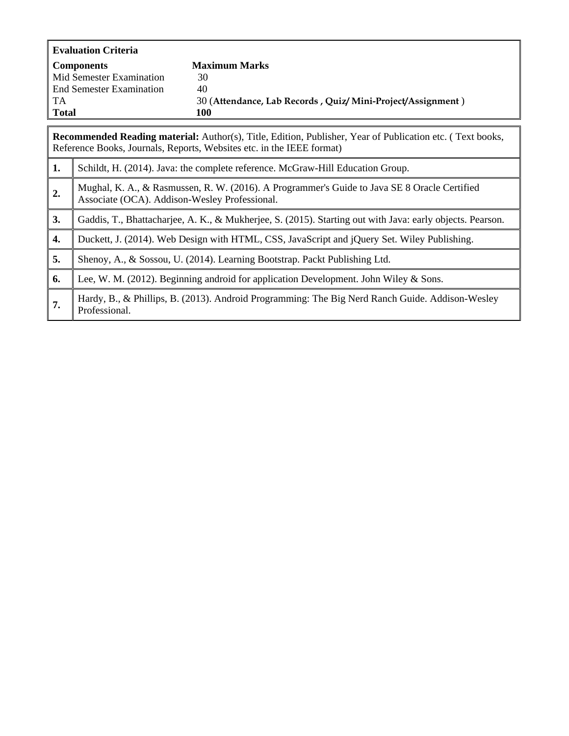| Evaluation Criteria             |                                                                                                                  |
|---------------------------------|------------------------------------------------------------------------------------------------------------------|
| <b>Components</b>               | <b>Maximum Marks</b>                                                                                             |
| Mid Semester Examination        | 30                                                                                                               |
| <b>End Semester Examination</b> | 40                                                                                                               |
| l TA                            | 30 (Attendance, Lab Records, Quiz/Mini-Project/Assignment)                                                       |
| Total                           | 100                                                                                                              |
|                                 |                                                                                                                  |
|                                 | <b>Recommended Reading material:</b> Author(s), Title, Edition, Publisher, Year of Publication etc. (Text books, |

|    | Reference Books, Journals, Reports, Websites etc. in the IEEE format)                                                                         |
|----|-----------------------------------------------------------------------------------------------------------------------------------------------|
| 1. | Schildt, H. (2014). Java: the complete reference. McGraw-Hill Education Group.                                                                |
| 2. | Mughal, K. A., & Rasmussen, R. W. (2016). A Programmer's Guide to Java SE 8 Oracle Certified<br>Associate (OCA). Addison-Wesley Professional. |
| 3. | Gaddis, T., Bhattacharjee, A. K., & Mukherjee, S. (2015). Starting out with Java: early objects. Pearson.                                     |
| 4. | Duckett, J. (2014). Web Design with HTML, CSS, JavaScript and jQuery Set. Wiley Publishing.                                                   |
| 5. | Shenoy, A., & Sossou, U. (2014). Learning Bootstrap. Packt Publishing Ltd.                                                                    |
| 6. | Lee, W. M. (2012). Beginning android for application Development. John Wiley & Sons.                                                          |
| 7. | Hardy, B., & Phillips, B. (2013). Android Programming: The Big Nerd Ranch Guide. Addison-Wesley<br>Professional.                              |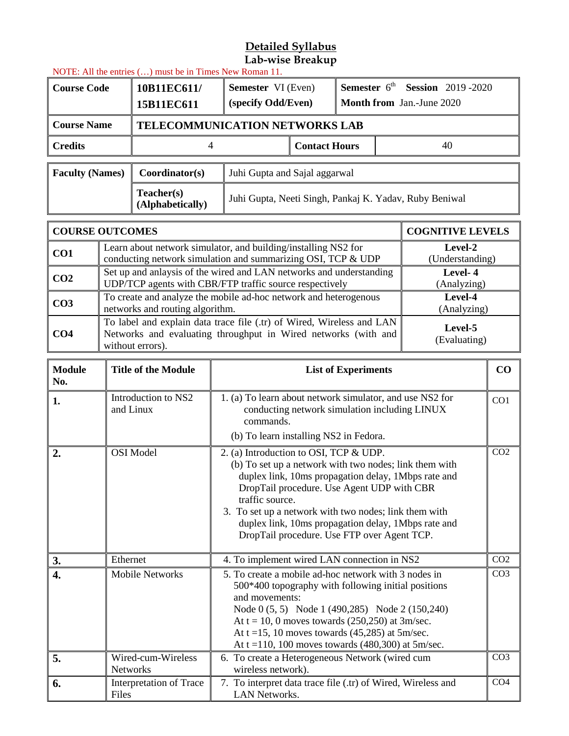## **Detailed Syllabus**

**Lab-wise Breakup**

|                                                                                                                                                                                                                                                                                                                                                                                                                   |                 | NOTE: All the entries () must be in Times New Roman 11.                                                                        |                                                                                                                                                                                                                                                                                                                                                       |                      |                          |                 |                                                        |                 |  |  |
|-------------------------------------------------------------------------------------------------------------------------------------------------------------------------------------------------------------------------------------------------------------------------------------------------------------------------------------------------------------------------------------------------------------------|-----------------|--------------------------------------------------------------------------------------------------------------------------------|-------------------------------------------------------------------------------------------------------------------------------------------------------------------------------------------------------------------------------------------------------------------------------------------------------------------------------------------------------|----------------------|--------------------------|-----------------|--------------------------------------------------------|-----------------|--|--|
| <b>Course Code</b>                                                                                                                                                                                                                                                                                                                                                                                                |                 | 10B11EC611/                                                                                                                    | <b>Semester</b> VI (Even)                                                                                                                                                                                                                                                                                                                             |                      | Semester 6 <sup>th</sup> |                 | <b>Session</b> 2019-2020                               |                 |  |  |
|                                                                                                                                                                                                                                                                                                                                                                                                                   |                 | 15B11EC611                                                                                                                     | (specify Odd/Even)<br>Month from Jan.-June 2020                                                                                                                                                                                                                                                                                                       |                      |                          |                 |                                                        |                 |  |  |
| <b>Course Name</b>                                                                                                                                                                                                                                                                                                                                                                                                |                 |                                                                                                                                | TELECOMMUNICATION NETWORKS LAB                                                                                                                                                                                                                                                                                                                        |                      |                          |                 |                                                        |                 |  |  |
| <b>Credits</b>                                                                                                                                                                                                                                                                                                                                                                                                    |                 | $\overline{4}$                                                                                                                 |                                                                                                                                                                                                                                                                                                                                                       | <b>Contact Hours</b> |                          |                 | 40                                                     |                 |  |  |
| <b>Faculty (Names)</b>                                                                                                                                                                                                                                                                                                                                                                                            |                 | Coordinator(s)                                                                                                                 | Juhi Gupta and Sajal aggarwal                                                                                                                                                                                                                                                                                                                         |                      |                          |                 |                                                        |                 |  |  |
|                                                                                                                                                                                                                                                                                                                                                                                                                   |                 | Teacher(s)<br>(Alphabetically)                                                                                                 |                                                                                                                                                                                                                                                                                                                                                       |                      |                          |                 | Juhi Gupta, Neeti Singh, Pankaj K. Yadav, Ruby Beniwal |                 |  |  |
| <b>COURSE OUTCOMES</b>                                                                                                                                                                                                                                                                                                                                                                                            |                 |                                                                                                                                |                                                                                                                                                                                                                                                                                                                                                       |                      |                          |                 | <b>COGNITIVE LEVELS</b>                                |                 |  |  |
| CO1                                                                                                                                                                                                                                                                                                                                                                                                               |                 | Learn about network simulator, and building/installing NS2 for<br>conducting network simulation and summarizing OSI, TCP & UDP |                                                                                                                                                                                                                                                                                                                                                       |                      |                          |                 | Level-2<br>(Understanding)                             |                 |  |  |
| CO <sub>2</sub>                                                                                                                                                                                                                                                                                                                                                                                                   |                 | Set up and anlaysis of the wired and LAN networks and understanding                                                            |                                                                                                                                                                                                                                                                                                                                                       |                      |                          |                 | Level-4                                                |                 |  |  |
| CO <sub>3</sub>                                                                                                                                                                                                                                                                                                                                                                                                   |                 | UDP/TCP agents with CBR/FTP traffic source respectively<br>To create and analyze the mobile ad-hoc network and heterogenous    |                                                                                                                                                                                                                                                                                                                                                       |                      |                          |                 | (Analyzing)<br>Level-4<br>(Analyzing)                  |                 |  |  |
| networks and routing algorithm.<br>CO <sub>4</sub><br>without errors).                                                                                                                                                                                                                                                                                                                                            |                 |                                                                                                                                | To label and explain data trace file (.tr) of Wired, Wireless and LAN<br>Networks and evaluating throughput in Wired networks (with and                                                                                                                                                                                                               |                      |                          |                 | Level-5<br>(Evaluating)                                |                 |  |  |
| <b>Module</b><br>No.                                                                                                                                                                                                                                                                                                                                                                                              |                 | <b>Title of the Module</b>                                                                                                     | <b>List of Experiments</b>                                                                                                                                                                                                                                                                                                                            |                      |                          |                 |                                                        | $\bf CO$        |  |  |
| 1.                                                                                                                                                                                                                                                                                                                                                                                                                |                 | Introduction to NS2<br>and Linux                                                                                               | 1. (a) To learn about network simulator, and use NS2 for<br>conducting network simulation including LINUX<br>commands.                                                                                                                                                                                                                                |                      |                          |                 |                                                        | CO <sub>1</sub> |  |  |
|                                                                                                                                                                                                                                                                                                                                                                                                                   |                 |                                                                                                                                | (b) To learn installing NS2 in Fedora.                                                                                                                                                                                                                                                                                                                |                      |                          |                 |                                                        |                 |  |  |
| 2. (a) Introduction to OSI, TCP & UDP.<br><b>OSI</b> Model<br>2.<br>(b) To set up a network with two nodes; link them with<br>duplex link, 10ms propagation delay, 1Mbps rate and<br>DropTail procedure. Use Agent UDP with CBR<br>traffic source.<br>3. To set up a network with two nodes; link them with<br>duplex link, 10ms propagation delay, 1Mbps rate and<br>DropTail procedure. Use FTP over Agent TCP. |                 |                                                                                                                                |                                                                                                                                                                                                                                                                                                                                                       |                      |                          | CO <sub>2</sub> |                                                        |                 |  |  |
| 3.                                                                                                                                                                                                                                                                                                                                                                                                                | Ethernet        |                                                                                                                                | 4. To implement wired LAN connection in NS2                                                                                                                                                                                                                                                                                                           |                      |                          |                 |                                                        | CO <sub>2</sub> |  |  |
| <b>Mobile Networks</b><br>$\overline{4}$ .                                                                                                                                                                                                                                                                                                                                                                        |                 |                                                                                                                                | 5. To create a mobile ad-hoc network with 3 nodes in<br>500*400 topography with following initial positions<br>and movements:<br>Node 0 (5, 5) Node 1 (490,285) Node 2 (150,240)<br>At $t = 10$ , 0 moves towards (250,250) at 3m/sec.<br>At $t = 15$ , 10 moves towards (45,285) at 5m/sec.<br>At $t = 110$ , 100 moves towards (480,300) at 5m/sec. |                      |                          |                 |                                                        | CO <sub>3</sub> |  |  |
| 5.                                                                                                                                                                                                                                                                                                                                                                                                                | <b>Networks</b> | Wired-cum-Wireless                                                                                                             | 6. To create a Heterogeneous Network (wired cum<br>wireless network).                                                                                                                                                                                                                                                                                 |                      |                          |                 |                                                        | CO <sub>3</sub> |  |  |
| 6.                                                                                                                                                                                                                                                                                                                                                                                                                | Files           | Interpretation of Trace                                                                                                        | 7. To interpret data trace file (.tr) of Wired, Wireless and<br><b>LAN Networks.</b>                                                                                                                                                                                                                                                                  |                      |                          |                 |                                                        | CO <sub>4</sub> |  |  |